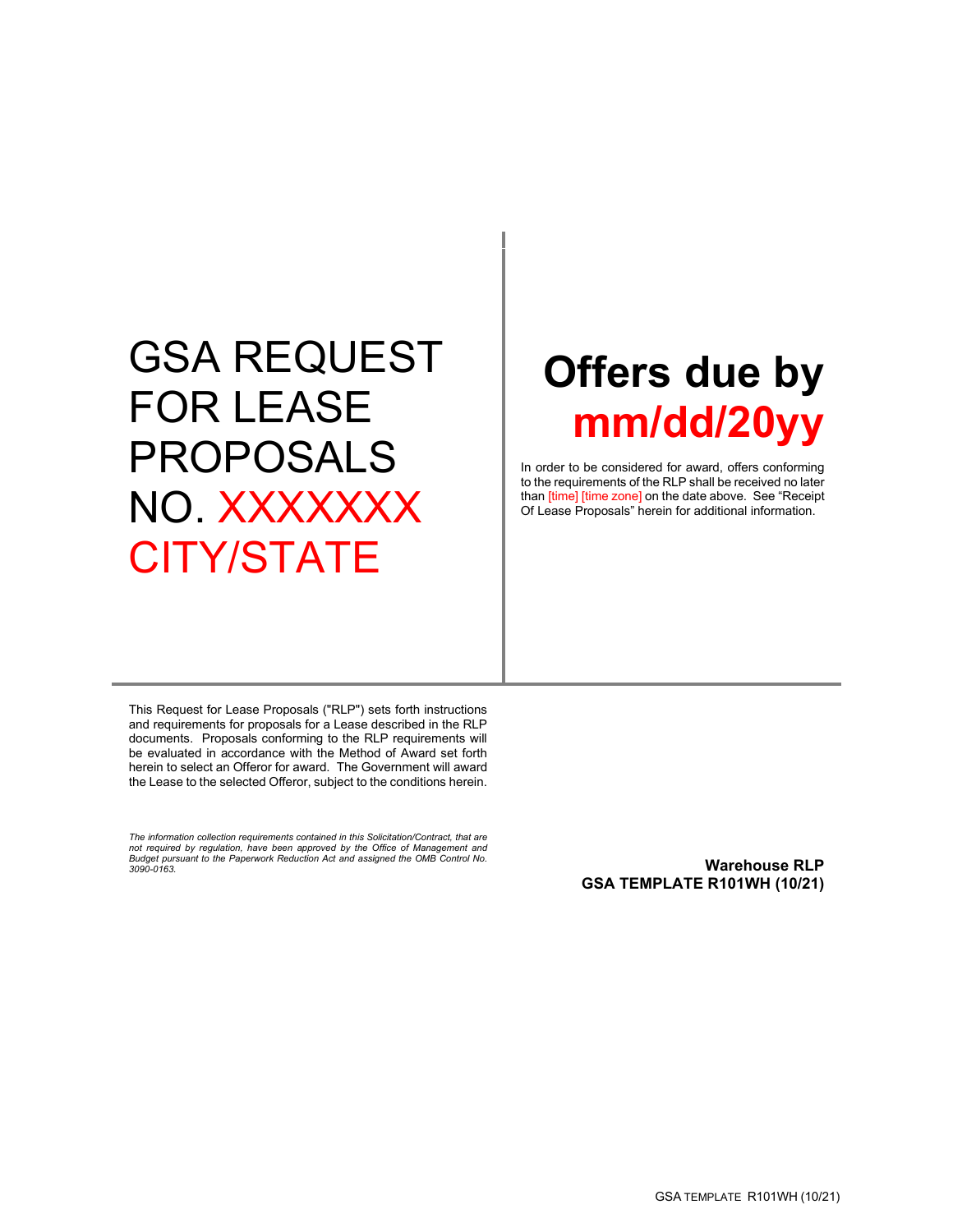# GSA REQUEST FOR LEASE PROPOSALS NO. XXXXXXX CITY/STATE

# **Offers due by mm/dd/20yy**

In order to be considered for award, offers conforming to the requirements of the RLP shall be received no later than [time] [time zone] on the date above. See "Receipt Of Lease Proposals" herein for additional information.

This Request for Lease Proposals ("RLP") sets forth instructions and requirements for proposals for a Lease described in the RLP documents. Proposals conforming to the RLP requirements will be evaluated in accordance with the Method of Award set forth herein to select an Offeror for award. The Government will award the Lease to the selected Offeror, subject to the conditions herein.

*The information collection requirements contained in this Solicitation/Contract, that are not required by regulation, have been approved by the Office of Management and Budget pursuant to the Paperwork Reduction Act and assigned the OMB Control No.* 

<span id="page-0-0"></span>*3090-0163.* **Warehouse RLP GSA TEMPLATE R101WH (10/21)**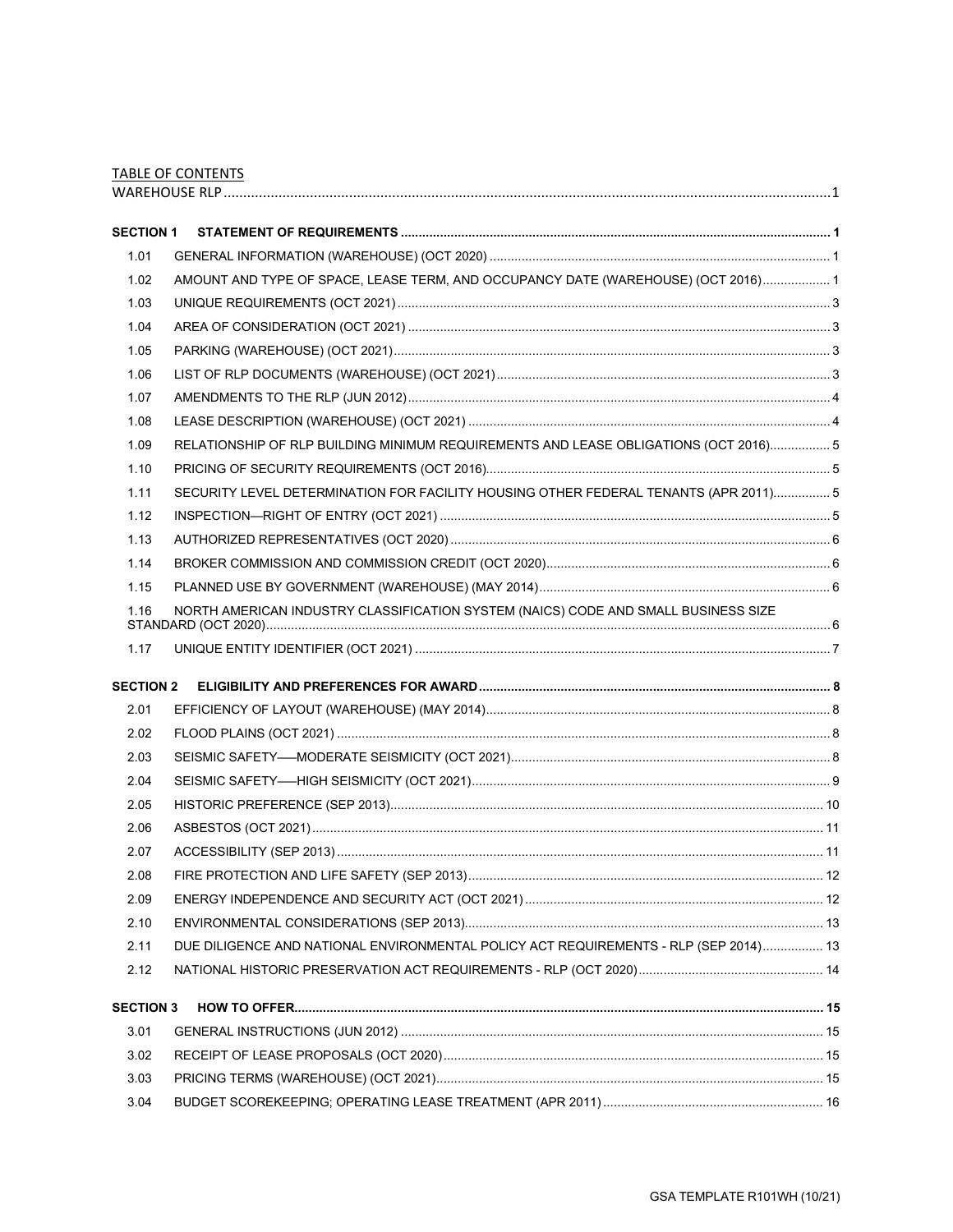|                  | <b>TABLE OF CONTENTS</b>                                                             |  |
|------------------|--------------------------------------------------------------------------------------|--|
|                  |                                                                                      |  |
| <b>SECTION 1</b> |                                                                                      |  |
| 1.01             |                                                                                      |  |
| 1.02             | AMOUNT AND TYPE OF SPACE, LEASE TERM, AND OCCUPANCY DATE (WAREHOUSE) (OCT 2016) 1    |  |
| 1.03             |                                                                                      |  |
| 1.04             |                                                                                      |  |
| 1.05             |                                                                                      |  |
| 1.06             |                                                                                      |  |
| 1.07             |                                                                                      |  |
| 1.08             |                                                                                      |  |
| 1.09             | RELATIONSHIP OF RLP BUILDING MINIMUM REQUIREMENTS AND LEASE OBLIGATIONS (OCT 2016) 5 |  |
| 1.10             |                                                                                      |  |
| 1.11             | SECURITY LEVEL DETERMINATION FOR FACILITY HOUSING OTHER FEDERAL TENANTS (APR 2011) 5 |  |
| 1.12             |                                                                                      |  |
| 1.13             |                                                                                      |  |
| 1.14             |                                                                                      |  |
| 1.15             |                                                                                      |  |
| 1.16             | NORTH AMERICAN INDUSTRY CLASSIFICATION SYSTEM (NAICS) CODE AND SMALL BUSINESS SIZE   |  |
| 1.17             |                                                                                      |  |
|                  |                                                                                      |  |
| <b>SECTION 2</b> |                                                                                      |  |
| 2.01             |                                                                                      |  |
| 2.02             |                                                                                      |  |
| 2.03             |                                                                                      |  |
| 2.04             |                                                                                      |  |
| 2.05             |                                                                                      |  |
| 2.06             |                                                                                      |  |
| 2.07             |                                                                                      |  |
| 2.08             |                                                                                      |  |
| 2.09             |                                                                                      |  |
| 2.10             |                                                                                      |  |
| 2.11             | DUE DILIGENCE AND NATIONAL ENVIRONMENTAL POLICY ACT REQUIREMENTS - RLP (SEP 2014) 13 |  |
| 2.12             |                                                                                      |  |
| <b>SECTION 3</b> |                                                                                      |  |
| 3.01             |                                                                                      |  |
| 3.02             |                                                                                      |  |
| 3.03             |                                                                                      |  |
| 3.04             |                                                                                      |  |
|                  |                                                                                      |  |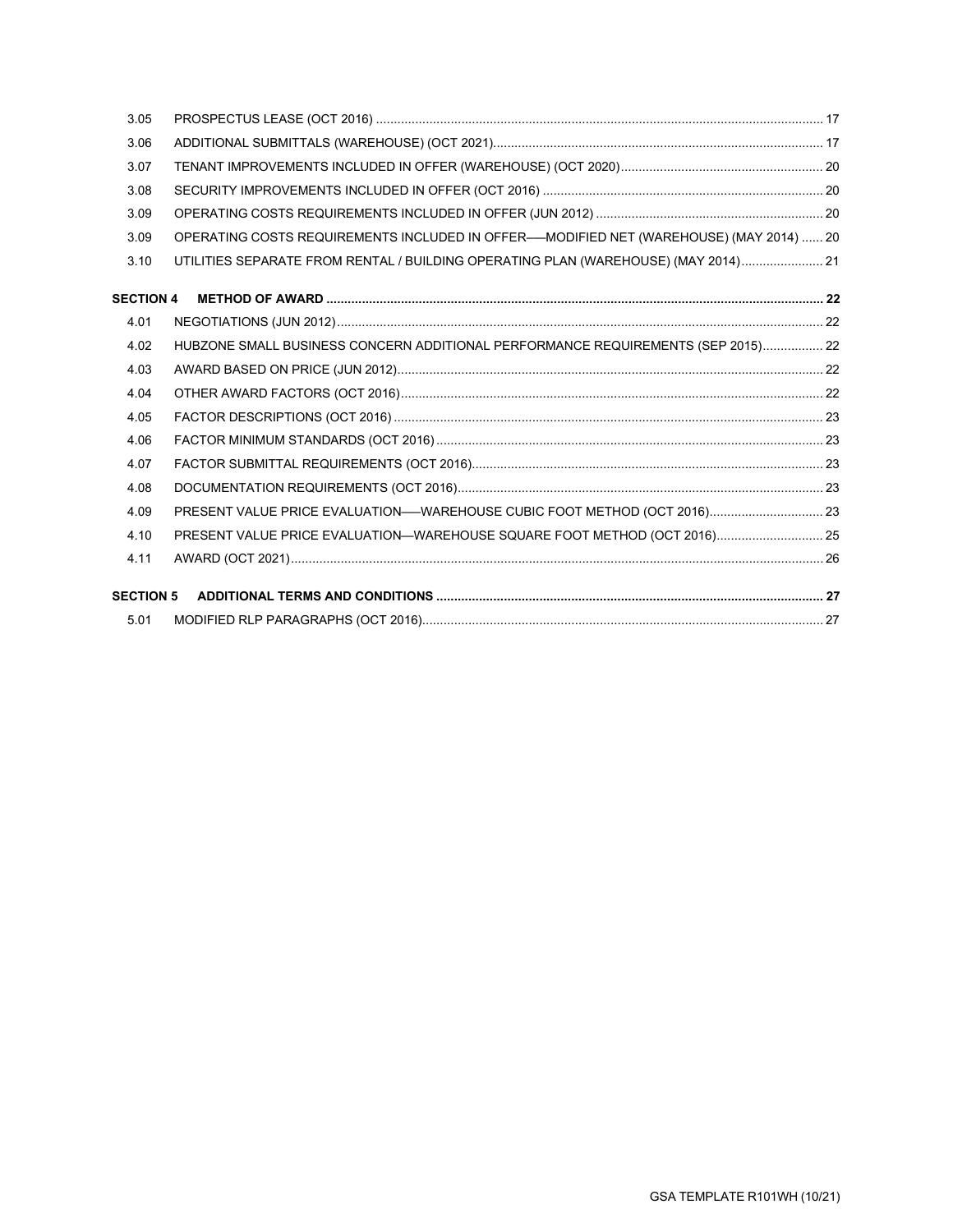| 3.06<br>3.07<br>3.08<br>3.09<br>OPERATING COSTS REQUIREMENTS INCLUDED IN OFFER-MODIFIED NET (WAREHOUSE) (MAY 2014)  20<br>3.09<br>3.10<br>UTILITIES SEPARATE FROM RENTAL / BUILDING OPERATING PLAN (WAREHOUSE) (MAY 2014) 21<br><b>SECTION 4</b><br>4.01<br>HUBZONE SMALL BUSINESS CONCERN ADDITIONAL PERFORMANCE REQUIREMENTS (SEP 2015) 22<br>4.02<br>4.03<br>4.04<br>4.05<br>4.06<br>4.07<br>4.08<br>PRESENT VALUE PRICE EVALUATION—WAREHOUSE CUBIC FOOT METHOD (OCT 2016) 23<br>4.09<br>PRESENT VALUE PRICE EVALUATION-WAREHOUSE SQUARE FOOT METHOD (OCT 2016) 25<br>4.10<br>4.11<br><b>SECTION 5</b><br>5.01 | 3.05 |  |
|-------------------------------------------------------------------------------------------------------------------------------------------------------------------------------------------------------------------------------------------------------------------------------------------------------------------------------------------------------------------------------------------------------------------------------------------------------------------------------------------------------------------------------------------------------------------------------------------------------------------|------|--|
|                                                                                                                                                                                                                                                                                                                                                                                                                                                                                                                                                                                                                   |      |  |
|                                                                                                                                                                                                                                                                                                                                                                                                                                                                                                                                                                                                                   |      |  |
|                                                                                                                                                                                                                                                                                                                                                                                                                                                                                                                                                                                                                   |      |  |
|                                                                                                                                                                                                                                                                                                                                                                                                                                                                                                                                                                                                                   |      |  |
|                                                                                                                                                                                                                                                                                                                                                                                                                                                                                                                                                                                                                   |      |  |
|                                                                                                                                                                                                                                                                                                                                                                                                                                                                                                                                                                                                                   |      |  |
|                                                                                                                                                                                                                                                                                                                                                                                                                                                                                                                                                                                                                   |      |  |
|                                                                                                                                                                                                                                                                                                                                                                                                                                                                                                                                                                                                                   |      |  |
|                                                                                                                                                                                                                                                                                                                                                                                                                                                                                                                                                                                                                   |      |  |
|                                                                                                                                                                                                                                                                                                                                                                                                                                                                                                                                                                                                                   |      |  |
|                                                                                                                                                                                                                                                                                                                                                                                                                                                                                                                                                                                                                   |      |  |
|                                                                                                                                                                                                                                                                                                                                                                                                                                                                                                                                                                                                                   |      |  |
|                                                                                                                                                                                                                                                                                                                                                                                                                                                                                                                                                                                                                   |      |  |
|                                                                                                                                                                                                                                                                                                                                                                                                                                                                                                                                                                                                                   |      |  |
|                                                                                                                                                                                                                                                                                                                                                                                                                                                                                                                                                                                                                   |      |  |
|                                                                                                                                                                                                                                                                                                                                                                                                                                                                                                                                                                                                                   |      |  |
|                                                                                                                                                                                                                                                                                                                                                                                                                                                                                                                                                                                                                   |      |  |
|                                                                                                                                                                                                                                                                                                                                                                                                                                                                                                                                                                                                                   |      |  |
|                                                                                                                                                                                                                                                                                                                                                                                                                                                                                                                                                                                                                   |      |  |
|                                                                                                                                                                                                                                                                                                                                                                                                                                                                                                                                                                                                                   |      |  |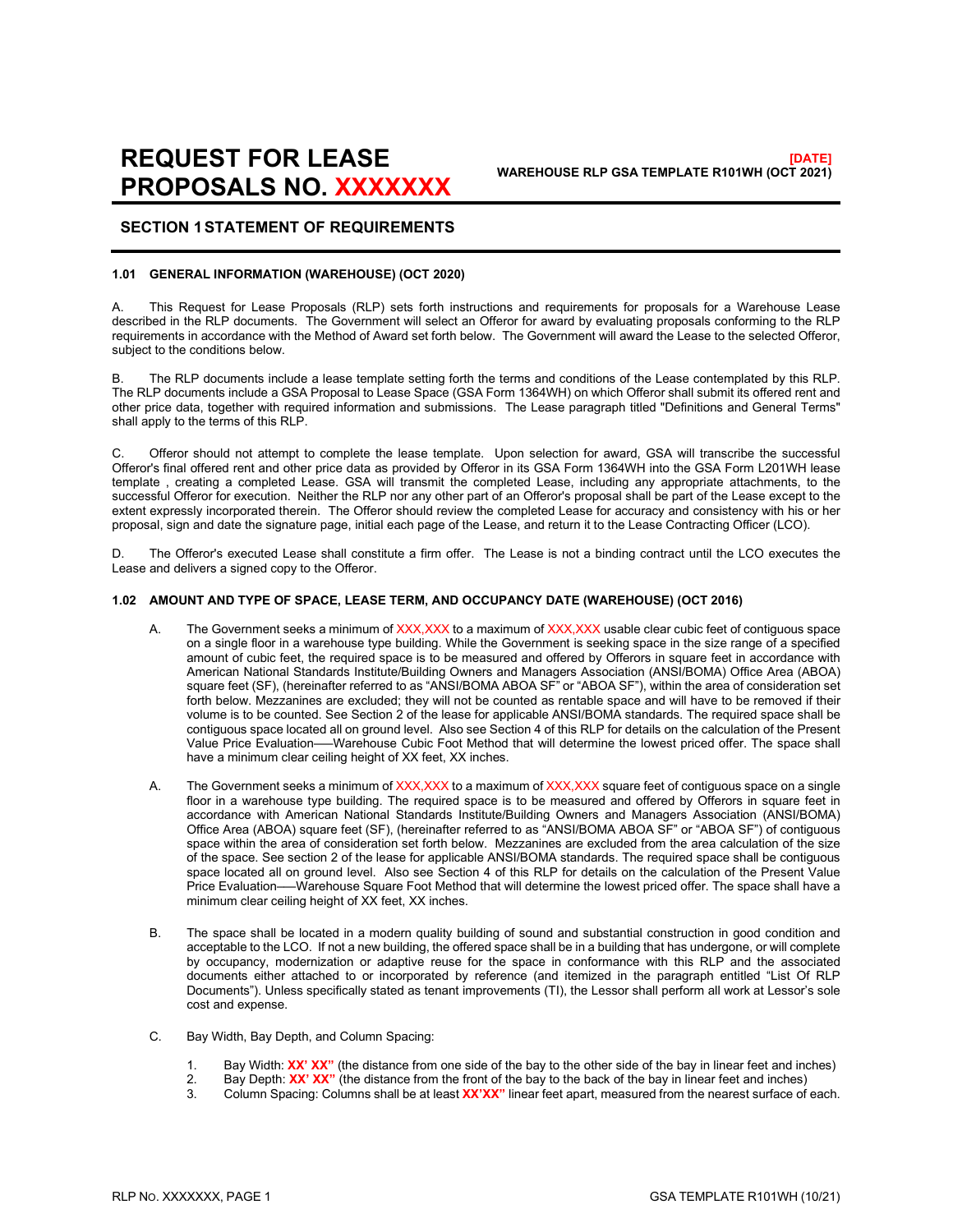# **REQUEST FOR LEASE PROPOSALS NO. XXXXXXX**

# <span id="page-3-0"></span>**SECTION 1STATEMENT OF REQUIREMENTS**

#### <span id="page-3-1"></span>**1.01 GENERAL INFORMATION (WAREHOUSE) (OCT 2020)**

A. This Request for Lease Proposals (RLP) sets forth instructions and requirements for proposals for a Warehouse Lease described in the RLP documents. The Government will select an Offeror for award by evaluating proposals conforming to the RLP requirements in accordance with the Method of Award set forth below. The Government will award the Lease to the selected Offeror, subject to the conditions below.

B. The RLP documents include a lease template setting forth the terms and conditions of the Lease contemplated by this RLP. The RLP documents include a GSA Proposal to Lease Space (GSA Form 1364WH) on which Offeror shall submit its offered rent and other price data, together with required information and submissions. The Lease paragraph titled "Definitions and General Terms" shall apply to the terms of this RLP.

C. Offeror should not attempt to complete the lease template. Upon selection for award, GSA will transcribe the successful Offeror's final offered rent and other price data as provided by Offeror in its GSA Form 1364WH into the GSA Form L201WH lease template , creating a completed Lease. GSA will transmit the completed Lease, including any appropriate attachments, to the successful Offeror for execution. Neither the RLP nor any other part of an Offeror's proposal shall be part of the Lease except to the extent expressly incorporated therein. The Offeror should review the completed Lease for accuracy and consistency with his or her proposal, sign and date the signature page, initial each page of the Lease, and return it to the Lease Contracting Officer (LCO).

D. The Offeror's executed Lease shall constitute a firm offer. The Lease is not a binding contract until the LCO executes the Lease and delivers a signed copy to the Offeror.

#### **1.02 AMOUNT AND TYPE OF SPACE, LEASE TERM, AND OCCUPANCY DATE (WAREHOUSE) (OCT 2016)**

- <span id="page-3-2"></span>A. The Government seeks a minimum of XXX,XXX to a maximum of XXX,XXX usable clear cubic feet of contiguous space on a single floor in a warehouse type building. While the Government is seeking space in the size range of a specified amount of cubic feet, the required space is to be measured and offered by Offerors in square feet in accordance with American National Standards Institute/Building Owners and Managers Association (ANSI/BOMA) Office Area (ABOA) square feet (SF), (hereinafter referred to as "ANSI/BOMA ABOA SF" or "ABOA SF"), within the area of consideration set forth below. Mezzanines are excluded; they will not be counted as rentable space and will have to be removed if their volume is to be counted. See Section 2 of the lease for applicable ANSI/BOMA standards. The required space shall be contiguous space located all on ground level. Also see Section 4 of this RLP for details on the calculation of the Present Value Price Evaluation–—Warehouse Cubic Foot Method that will determine the lowest priced offer. The space shall have a minimum clear ceiling height of XX feet, XX inches.
- A. The Government seeks a minimum of XXX,XXX to a maximum of XXX,XXX square feet of contiguous space on a single floor in a warehouse type building. The required space is to be measured and offered by Offerors in square feet in accordance with American National Standards Institute/Building Owners and Managers Association (ANSI/BOMA) Office Area (ABOA) square feet (SF), (hereinafter referred to as "ANSI/BOMA ABOA SF" or "ABOA SF") of contiguous space within the area of consideration set forth below. Mezzanines are excluded from the area calculation of the size of the space. See section 2 of the lease for applicable ANSI/BOMA standards. The required space shall be contiguous space located all on ground level. Also see Section 4 of this RLP for details on the calculation of the Present Value Price Evaluation–—Warehouse Square Foot Method that will determine the lowest priced offer. The space shall have a minimum clear ceiling height of XX feet, XX inches.
- B. The space shall be located in a modern quality building of sound and substantial construction in good condition and acceptable to the LCO. If not a new building, the offered space shall be in a building that has undergone, or will complete by occupancy, modernization or adaptive reuse for the space in conformance with this RLP and the associated documents either attached to or incorporated by reference (and itemized in the paragraph entitled "List Of RLP Documents"). Unless specifically stated as tenant improvements (TI), the Lessor shall perform all work at Lessor's sole cost and expense.
- C. Bay Width, Bay Depth, and Column Spacing:
	- 1. Bay Width: **XX' XX''** (the distance from one side of the bay to the other side of the bay in linear feet and inches)<br>2. Bay Depth: **XX' XX''** (the distance from the front of the bay to the back of the bay in linear feet
	- 2. Bay Depth: **XX' XX''** (the distance from the front of the bay to the back of the bay in linear feet and inches)<br>3. Column Spacing: Columns shall be at least **XX'XX''** linear feet apart measured from the nearest surface
	- 3. Column Spacing: Columns shall be at least **XX'XX"** linear feet apart, measured from the nearest surface of each.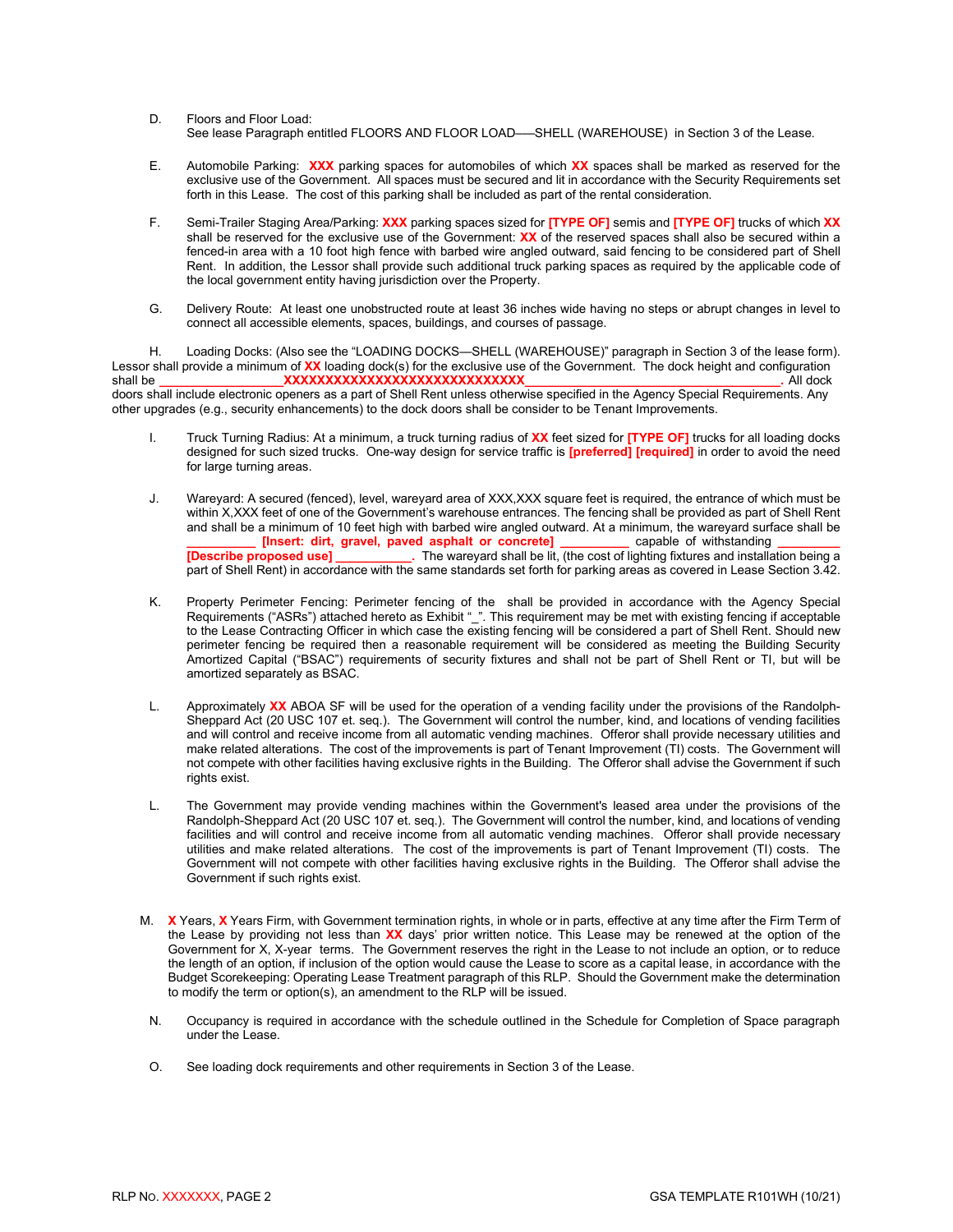- D. Floors and Floor Load: See lease Paragraph entitled FLOORS AND FLOOR LOAD—SHELL (WAREHOUSE) in Section 3 of the Lease.
- E. Automobile Parking: **XXX** parking spaces for automobiles of which **XX** spaces shall be marked as reserved for the exclusive use of the Government. All spaces must be secured and lit in accordance with the Security Requirements set forth in this Lease. The cost of this parking shall be included as part of the rental consideration.
- F. Semi-Trailer Staging Area/Parking: **XXX** parking spaces sized for **[TYPE OF]** semis and **[TYPE OF]** trucks of which **XX** shall be reserved for the exclusive use of the Government: **XX** of the reserved spaces shall also be secured within a fenced-in area with a 10 foot high fence with barbed wire angled outward, said fencing to be considered part of Shell Rent. In addition, the Lessor shall provide such additional truck parking spaces as required by the applicable code of the local government entity having jurisdiction over the Property.
- G. Delivery Route: At least one unobstructed route at least 36 inches wide having no steps or abrupt changes in level to connect all accessible elements, spaces, buildings, and courses of passage.

H. Loading Docks: (Also see the "LOADING DOCKS—SHELL (WAREHOUSE)" paragraph in Section 3 of the lease form). Lessor shall provide a minimum of **XX** loading dock(s) for the exclusive use of the Government. The dock height and configuration shall be **\_\_\_\_\_\_\_\_\_\_\_\_\_\_\_\_\_\_XXXXXXXXXXXXXXXXXXXXXXXXXXXXX\_\_\_\_\_\_\_\_\_\_\_\_\_\_\_\_\_\_\_\_\_\_\_\_\_\_\_\_\_\_\_\_\_\_\_\_\_.** All dock doors shall include electronic openers as a part of Shell Rent unless otherwise specified in the Agency Special Requirements. Any other upgrades (e.g., security enhancements) to the dock doors shall be consider to be Tenant Improvements.

- I. Truck Turning Radius: At a minimum, a truck turning radius of **XX** feet sized for **[TYPE OF]** trucks for all loading docks designed for such sized trucks. One-way design for service traffic is **[preferred] [required]** in order to avoid the need for large turning areas.
- J. Wareyard: A secured (fenced), level, wareyard area of XXX,XXX square feet is required, the entrance of which must be within X,XXX feet of one of the Government's warehouse entrances. The fencing shall be provided as part of Shell Rent and shall be a minimum of 10 feet high with barbed wire angled outward. At a minimum, the wareyard surface shall be<br>[Insert: dirt, gravel, paved asphalt or concrete] capable of withstanding **The Extern Concrete Linsert: dirt, gravel, paved asphalt or concrete]**<br>**External capability C** capable of the wareyard shall be lit. **Extract Propose III.** The wareyard shall be lit, (the cost of lighting fixtures and installation being a part of Shell Rent) in accordance with the same standards set forth for parking areas as covered in Lease Section 3.42.
- K. Property Perimeter Fencing: Perimeter fencing of the shall be provided in accordance with the Agency Special Requirements ("ASRs") attached hereto as Exhibit "\_". This requirement may be met with existing fencing if acceptable to the Lease Contracting Officer in which case the existing fencing will be considered a part of Shell Rent. Should new perimeter fencing be required then a reasonable requirement will be considered as meeting the Building Security Amortized Capital ("BSAC") requirements of security fixtures and shall not be part of Shell Rent or TI, but will be amortized separately as BSAC.
- L. Approximately **XX** ABOA SF will be used for the operation of a vending facility under the provisions of the Randolph-Sheppard Act (20 USC 107 et. seq.). The Government will control the number, kind, and locations of vending facilities and will control and receive income from all automatic vending machines. Offeror shall provide necessary utilities and make related alterations. The cost of the improvements is part of Tenant Improvement (TI) costs. The Government will not compete with other facilities having exclusive rights in the Building. The Offeror shall advise the Government if such rights exist.
- L. The Government may provide vending machines within the Government's leased area under the provisions of the Randolph-Sheppard Act (20 USC 107 et. seq.). The Government will control the number, kind, and locations of vending facilities and will control and receive income from all automatic vending machines. Offeror shall provide necessary utilities and make related alterations. The cost of the improvements is part of Tenant Improvement (TI) costs. The Government will not compete with other facilities having exclusive rights in the Building. The Offeror shall advise the Government if such rights exist.
- M. **X** Years, **X** Years Firm, with Government termination rights, in whole or in parts, effective at any time after the Firm Term of the Lease by providing not less than **XX** days' prior written notice. This Lease may be renewed at the option of the Government for X, X-year terms. The Government reserves the right in the Lease to not include an option, or to reduce the length of an option, if inclusion of the option would cause the Lease to score as a capital lease, in accordance with the Budget Scorekeeping: Operating Lease Treatment paragraph of this RLP. Should the Government make the determination to modify the term or option(s), an amendment to the RLP will be issued.
- N. Occupancy is required in accordance with the schedule outlined in the Schedule for Completion of Space paragraph under the Lease.
- O. See loading dock requirements and other requirements in Section 3 of the Lease.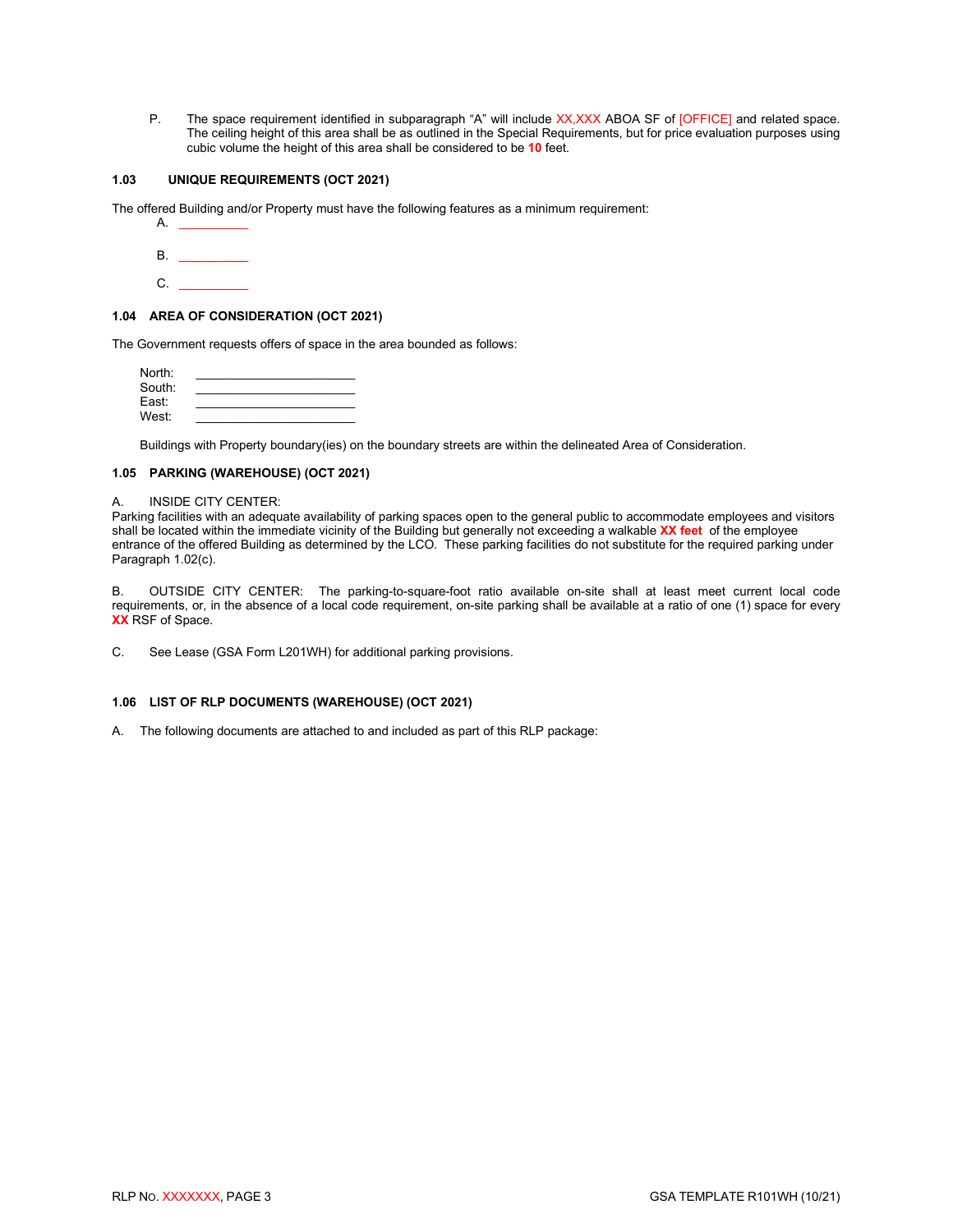P. The space requirement identified in subparagraph "A" will include XX, XXX ABOA SF of [OFFICE] and related space. The ceiling height of this area shall be as outlined in the Special Requirements, but for price evaluation purposes using cubic volume the height of this area shall be considered to be **10** feet.

# **1.03 UNIQUE REQUIREMENTS (OCT 2021)**

The offered Building and/or Property must have the following features as a minimum requirement:

<span id="page-5-0"></span>

| А. |  |  |
|----|--|--|
| В. |  |  |
| С. |  |  |

#### <span id="page-5-1"></span>**1.04 AREA OF CONSIDERATION (OCT 2021)**

The Government requests offers of space in the area bounded as follows:

| North: |  |
|--------|--|
| South: |  |
| East:  |  |
| West:  |  |

<span id="page-5-2"></span>Buildings with Property boundary(ies) on the boundary streets are within the delineated Area of Consideration.

#### **1.05 PARKING (WAREHOUSE) (OCT 2021)**

#### A. INSIDE CITY CENTER:

Parking facilities with an adequate availability of parking spaces open to the general public to accommodate employees and visitors shall be located within the immediate vicinity of the Building but generally not exceeding a walkable **XX feet** of the employee entrance of the offered Building as determined by the LCO. These parking facilities do not substitute for the required parking under Paragraph 1.02(c).

B. OUTSIDE CITY CENTER: The parking-to-square-foot ratio available on-site shall at least meet current local code requirements, or, in the absence of a local code requirement, on-site parking shall be available at a ratio of one (1) space for every **XX** RSF of Space.

C. See Lease (GSA Form L201WH) for additional parking provisions.

#### <span id="page-5-3"></span>**1.06 LIST OF RLP DOCUMENTS (WAREHOUSE) (OCT 2021)**

A. The following documents are attached to and included as part of this RLP package: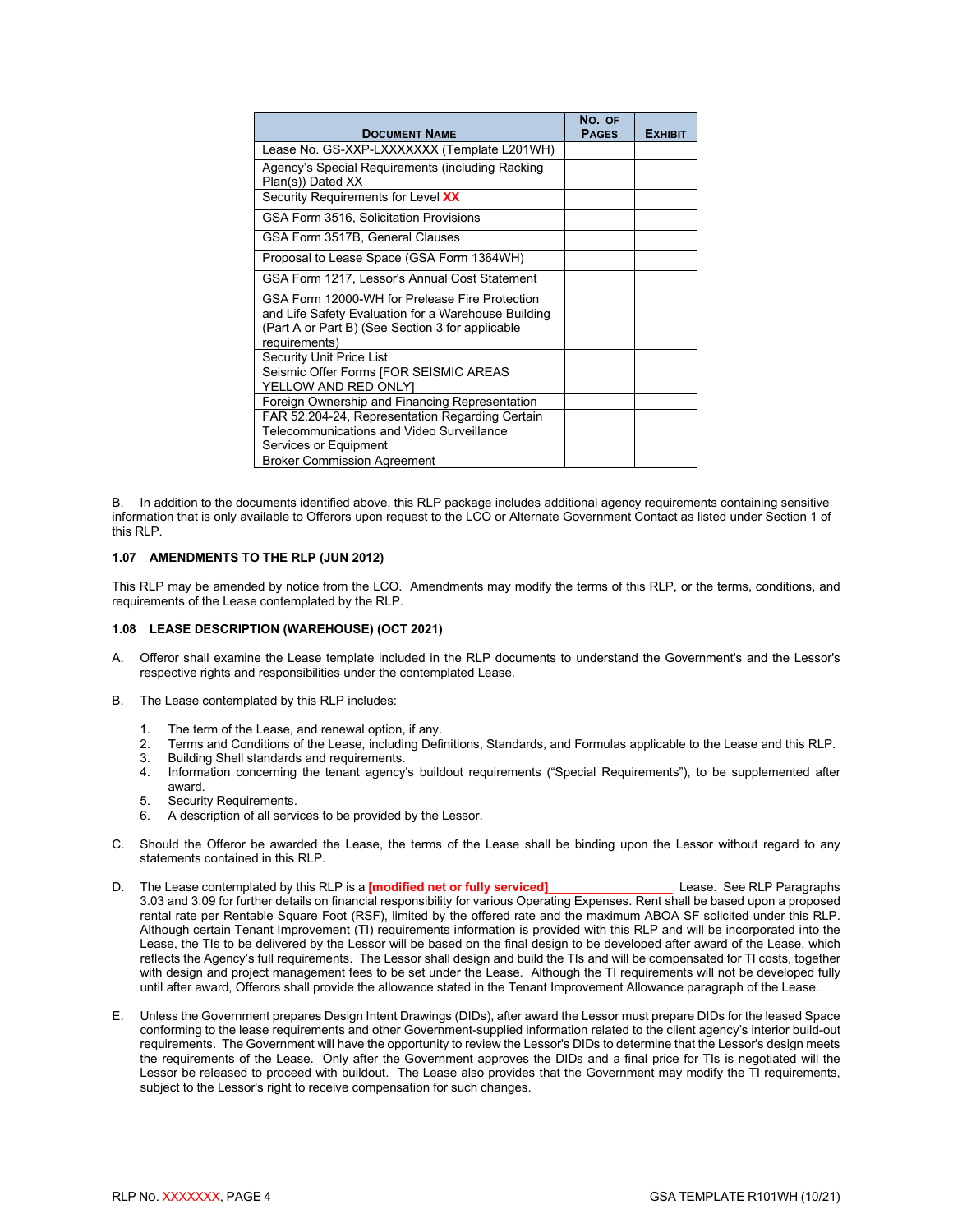| <b>DOCUMENT NAME</b>                                                                                                                                                       | No. OF<br><b>PAGES</b> | <b>EXHIBIT</b> |
|----------------------------------------------------------------------------------------------------------------------------------------------------------------------------|------------------------|----------------|
| Lease No. GS-XXP-LXXXXXXX (Template L201WH)                                                                                                                                |                        |                |
| Agency's Special Requirements (including Racking<br>Plan(s)) Dated XX                                                                                                      |                        |                |
| Security Requirements for Level XX                                                                                                                                         |                        |                |
| GSA Form 3516, Solicitation Provisions                                                                                                                                     |                        |                |
| GSA Form 3517B, General Clauses                                                                                                                                            |                        |                |
| Proposal to Lease Space (GSA Form 1364WH)                                                                                                                                  |                        |                |
| GSA Form 1217, Lessor's Annual Cost Statement                                                                                                                              |                        |                |
| GSA Form 12000-WH for Prelease Fire Protection<br>and Life Safety Evaluation for a Warehouse Building<br>(Part A or Part B) (See Section 3 for applicable<br>requirements) |                        |                |
| <b>Security Unit Price List</b>                                                                                                                                            |                        |                |
| Seismic Offer Forms [FOR SEISMIC AREAS<br>YELLOW AND RED ONLYI                                                                                                             |                        |                |
| Foreign Ownership and Financing Representation                                                                                                                             |                        |                |
| FAR 52.204-24, Representation Regarding Certain<br>Telecommunications and Video Surveillance<br>Services or Equipment                                                      |                        |                |
| <b>Broker Commission Agreement</b>                                                                                                                                         |                        |                |

B. In addition to the documents identified above, this RLP package includes additional agency requirements containing sensitive information that is only available to Offerors upon request to the LCO or Alternate Government Contact as listed under Section 1 of this RLP.

#### <span id="page-6-0"></span>**1.07 AMENDMENTS TO THE RLP (JUN 2012)**

This RLP may be amended by notice from the LCO. Amendments may modify the terms of this RLP, or the terms, conditions, and requirements of the Lease contemplated by the RLP.

#### <span id="page-6-1"></span>**1.08 LEASE DESCRIPTION (WAREHOUSE) (OCT 2021)**

- A. Offeror shall examine the Lease template included in the RLP documents to understand the Government's and the Lessor's respective rights and responsibilities under the contemplated Lease.
- B. The Lease contemplated by this RLP includes:
	- 1. The term of the Lease, and renewal option, if any.<br>2. Terms and Conditions of the Lease, including Defined
	- 2. Terms and Conditions of the Lease, including Definitions, Standards, and Formulas applicable to the Lease and this RLP.
	- 3. Building Shell standards and requirements.<br>4. Information concerning the tenant agency
	- Information concerning the tenant agency's buildout requirements ("Special Requirements"), to be supplemented after award.
	- 5. Security Requirements.
	- 6. A description of all services to be provided by the Lessor.
- C. Should the Offeror be awarded the Lease, the terms of the Lease shall be binding upon the Lessor without regard to any statements contained in this RLP.
- D. The Lease contemplated by this RLP is a **[modified net or fully serviced]**\_\_\_\_\_\_\_\_\_\_\_\_\_\_\_\_\_\_ Lease. See RLP Paragraphs 3.03 and 3.09 for further details on financial responsibility for various Operating Expenses. Rent shall be based upon a proposed rental rate per Rentable Square Foot (RSF), limited by the offered rate and the maximum ABOA SF solicited under this RLP. Although certain Tenant Improvement (TI) requirements information is provided with this RLP and will be incorporated into the Lease, the TIs to be delivered by the Lessor will be based on the final design to be developed after award of the Lease, which reflects the Agency's full requirements. The Lessor shall design and build the TIs and will be compensated for TI costs, together with design and project management fees to be set under the Lease. Although the TI requirements will not be developed fully until after award, Offerors shall provide the allowance stated in the Tenant Improvement Allowance paragraph of the Lease.
- E. Unless the Government prepares Design Intent Drawings (DIDs), after award the Lessor must prepare DIDs for the leased Space conforming to the lease requirements and other Government-supplied information related to the client agency's interior build-out requirements. The Government will have the opportunity to review the Lessor's DIDs to determine that the Lessor's design meets the requirements of the Lease. Only after the Government approves the DIDs and a final price for TIs is negotiated will the Lessor be released to proceed with buildout. The Lease also provides that the Government may modify the TI requirements, subject to the Lessor's right to receive compensation for such changes.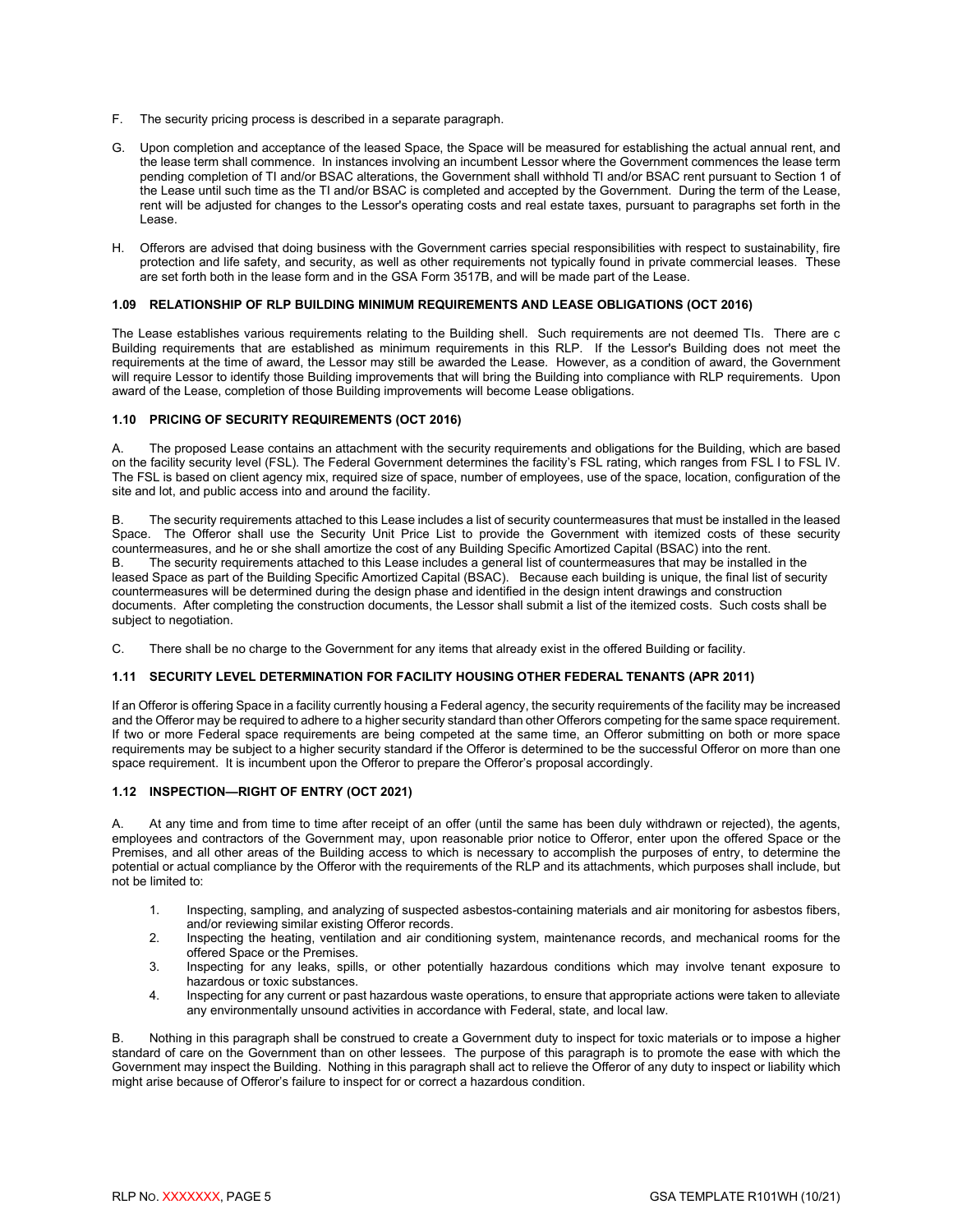- F. The security pricing process is described in a separate paragraph.
- G. Upon completion and acceptance of the leased Space, the Space will be measured for establishing the actual annual rent, and the lease term shall commence. In instances involving an incumbent Lessor where the Government commences the lease term pending completion of TI and/or BSAC alterations, the Government shall withhold TI and/or BSAC rent pursuant to Section 1 of the Lease until such time as the TI and/or BSAC is completed and accepted by the Government. During the term of the Lease, rent will be adjusted for changes to the Lessor's operating costs and real estate taxes, pursuant to paragraphs set forth in the Lease.
- H. Offerors are advised that doing business with the Government carries special responsibilities with respect to sustainability, fire protection and life safety, and security, as well as other requirements not typically found in private commercial leases. These are set forth both in the lease form and in the GSA Form 3517B, and will be made part of the Lease.

#### <span id="page-7-0"></span>**1.09 RELATIONSHIP OF RLP BUILDING MINIMUM REQUIREMENTS AND LEASE OBLIGATIONS (OCT 2016)**

The Lease establishes various requirements relating to the Building shell. Such requirements are not deemed TIs. There are c Building requirements that are established as minimum requirements in this RLP. If the Lessor's Building does not meet the requirements at the time of award, the Lessor may still be awarded the Lease. However, as a condition of award, the Government will require Lessor to identify those Building improvements that will bring the Building into compliance with RLP requirements. Upon award of the Lease, completion of those Building improvements will become Lease obligations.

#### <span id="page-7-1"></span>**1.10 PRICING OF SECURITY REQUIREMENTS (OCT 2016)**

A. The proposed Lease contains an attachment with the security requirements and obligations for the Building, which are based on the facility security level (FSL). The Federal Government determines the facility's FSL rating, which ranges from FSL I to FSL IV. The FSL is based on client agency mix, required size of space, number of employees, use of the space, location, configuration of the site and lot, and public access into and around the facility.

B. The security requirements attached to this Lease includes a list of security countermeasures that must be installed in the leased Space. The Offeror shall use the Security Unit Price List to provide the Government with itemized costs of these security countermeasures, and he or she shall amortize the cost of any Building Specific Amortized Capital (BSAC) into the rent. The security requirements attached to this Lease includes a general list of countermeasures that may be installed in the leased Space as part of the Building Specific Amortized Capital (BSAC). Because each building is unique, the final list of security countermeasures will be determined during the design phase and identified in the design intent drawings and construction documents. After completing the construction documents, the Lessor shall submit a list of the itemized costs. Such costs shall be subject to negotiation.

C. There shall be no charge to the Government for any items that already exist in the offered Building or facility.

#### <span id="page-7-2"></span>**1.11 SECURITY LEVEL DETERMINATION FOR FACILITY HOUSING OTHER FEDERAL TENANTS (APR 2011)**

If an Offeror is offering Space in a facility currently housing a Federal agency, the security requirements of the facility may be increased and the Offeror may be required to adhere to a higher security standard than other Offerors competing for the same space requirement. If two or more Federal space requirements are being competed at the same time, an Offeror submitting on both or more space requirements may be subject to a higher security standard if the Offeror is determined to be the successful Offeror on more than one space requirement. It is incumbent upon the Offeror to prepare the Offeror's proposal accordingly.

#### <span id="page-7-3"></span>**1.12 INSPECTION—RIGHT OF ENTRY (OCT 2021)**

A. At any time and from time to time after receipt of an offer (until the same has been duly withdrawn or rejected), the agents, employees and contractors of the Government may, upon reasonable prior notice to Offeror, enter upon the offered Space or the Premises, and all other areas of the Building access to which is necessary to accomplish the purposes of entry, to determine the potential or actual compliance by the Offeror with the requirements of the RLP and its attachments, which purposes shall include, but not be limited to:

- 1. Inspecting, sampling, and analyzing of suspected asbestos-containing materials and air monitoring for asbestos fibers, and/or reviewing similar existing Offeror records.
- 2. Inspecting the heating, ventilation and air conditioning system, maintenance records, and mechanical rooms for the offered Space or the Premises.
- 3. Inspecting for any leaks, spills, or other potentially hazardous conditions which may involve tenant exposure to hazardous or toxic substances.
- 4. Inspecting for any current or past hazardous waste operations, to ensure that appropriate actions were taken to alleviate any environmentally unsound activities in accordance with Federal, state, and local law.

B. Nothing in this paragraph shall be construed to create a Government duty to inspect for toxic materials or to impose a higher standard of care on the Government than on other lessees. The purpose of this paragraph is to promote the ease with which the Government may inspect the Building. Nothing in this paragraph shall act to relieve the Offeror of any duty to inspect or liability which might arise because of Offeror's failure to inspect for or correct a hazardous condition.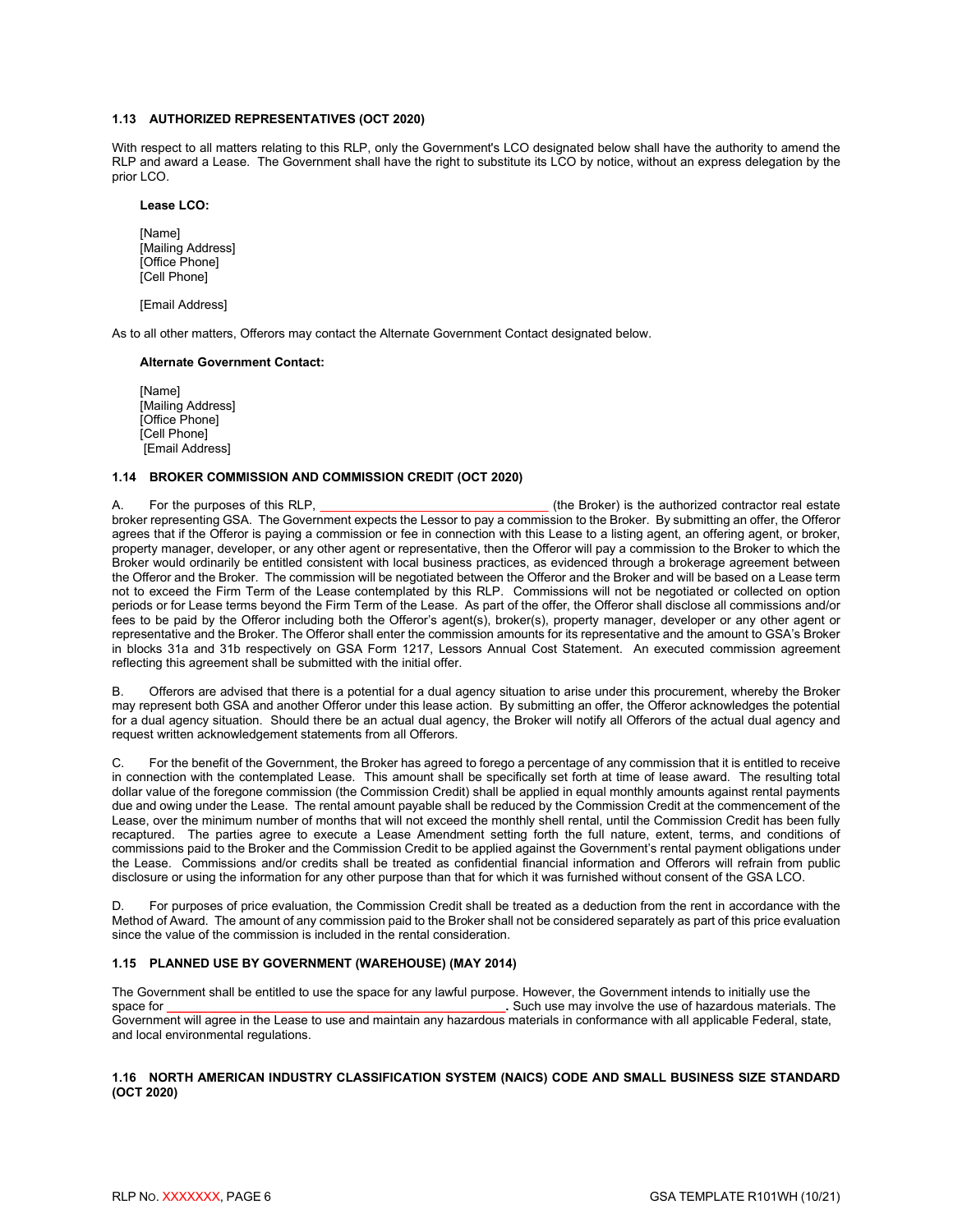#### <span id="page-8-0"></span>**1.13 AUTHORIZED REPRESENTATIVES (OCT 2020)**

With respect to all matters relating to this RLP, only the Government's LCO designated below shall have the authority to amend the RLP and award a Lease. The Government shall have the right to substitute its LCO by notice, without an express delegation by the prior LCO.

#### **Lease LCO:**

[Name] [Mailing Address] [Office Phone] [Cell Phone]

[Email Address]

As to all other matters, Offerors may contact the Alternate Government Contact designated below.

#### **Alternate Government Contact:**

[Name] [Mailing Address] [Office Phone] [Cell Phone] [Email Address]

#### <span id="page-8-1"></span>**1.14 BROKER COMMISSION AND COMMISSION CREDIT (OCT 2020)**

A. For the purposes of this RLP, the state of the Broker) is the authorized contractor real estate broker representing GSA. The Government expects the Lessor to pay a commission to the Broker. By submitting an offer, the Offeror agrees that if the Offeror is paying a commission or fee in connection with this Lease to a listing agent, an offering agent, or broker, property manager, developer, or any other agent or representative, then the Offeror will pay a commission to the Broker to which the Broker would ordinarily be entitled consistent with local business practices, as evidenced through a brokerage agreement between the Offeror and the Broker. The commission will be negotiated between the Offeror and the Broker and will be based on a Lease term not to exceed the Firm Term of the Lease contemplated by this RLP. Commissions will not be negotiated or collected on option periods or for Lease terms beyond the Firm Term of the Lease. As part of the offer, the Offeror shall disclose all commissions and/or fees to be paid by the Offeror including both the Offeror's agent(s), broker(s), property manager, developer or any other agent or representative and the Broker. The Offeror shall enter the commission amounts for its representative and the amount to GSA's Broker in blocks 31a and 31b respectively on GSA Form 1217, Lessors Annual Cost Statement. An executed commission agreement reflecting this agreement shall be submitted with the initial offer.

B. Offerors are advised that there is a potential for a dual agency situation to arise under this procurement, whereby the Broker may represent both GSA and another Offeror under this lease action. By submitting an offer, the Offeror acknowledges the potential for a dual agency situation. Should there be an actual dual agency, the Broker will notify all Offerors of the actual dual agency and request written acknowledgement statements from all Offerors.

C. For the benefit of the Government, the Broker has agreed to forego a percentage of any commission that it is entitled to receive in connection with the contemplated Lease. This amount shall be specifically set forth at time of lease award. The resulting total dollar value of the foregone commission (the Commission Credit) shall be applied in equal monthly amounts against rental payments due and owing under the Lease. The rental amount payable shall be reduced by the Commission Credit at the commencement of the Lease, over the minimum number of months that will not exceed the monthly shell rental, until the Commission Credit has been fully recaptured. The parties agree to execute a Lease Amendment setting forth the full nature, extent, terms, and conditions of commissions paid to the Broker and the Commission Credit to be applied against the Government's rental payment obligations under the Lease. Commissions and/or credits shall be treated as confidential financial information and Offerors will refrain from public disclosure or using the information for any other purpose than that for which it was furnished without consent of the GSA LCO.

D. For purposes of price evaluation, the Commission Credit shall be treated as a deduction from the rent in accordance with the Method of Award. The amount of any commission paid to the Broker shall not be considered separately as part of this price evaluation since the value of the commission is included in the rental consideration.

#### <span id="page-8-2"></span>**1.15 PLANNED USE BY GOVERNMENT (WAREHOUSE) (MAY 2014)**

The Government shall be entitled to use the space for any lawful purpose. However, the Government intends to initially use the space for any lawful purpose. However, the Government intends to initially use the space for . Such use may involve the use of hazardous materials. The Government will agree in the Lease to use and maintain any hazardous materials in conformance with all applicable Federal, state, and local environmental regulations.

#### <span id="page-8-3"></span>**1.16 NORTH AMERICAN INDUSTRY CLASSIFICATION SYSTEM (NAICS) CODE AND SMALL BUSINESS SIZE STANDARD (OCT 2020)**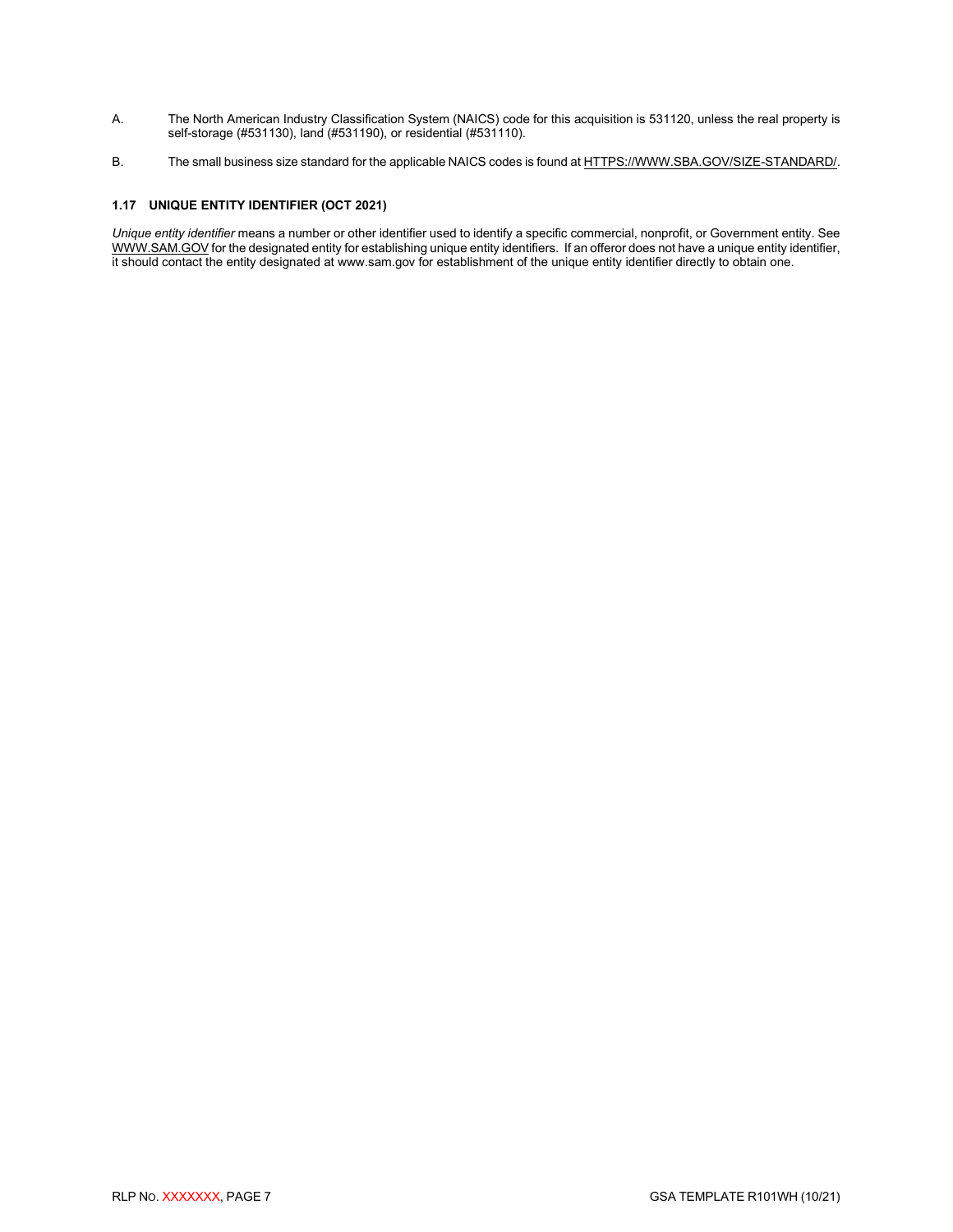- A. The North American Industry Classification System (NAICS) code for this acquisition is 531120, unless the real property is self-storage (#531130), land (#531190), or residential (#531110).
- B. The small business size standard for the applicable NAICS codes is found a[t HTTPS://WWW.SBA.GOV/SIZE-STANDARD/.](https://www.sba.gov/SIZE-STANDARD/)

## <span id="page-9-0"></span>**1.17 UNIQUE ENTITY IDENTIFIER (OCT 2021)**

*Unique entity identifier* means a number or other identifier used to identify a specific commercial, nonprofit, or Government entity. See [WWW.SAM.GOV](http://www.sam.gov/) for the designated entity for establishing unique entity identifiers. If an offeror does not have a unique entity identifier, it should contact the entity designated at www.sam.gov for establishment of the unique entity identifier directly to obtain one.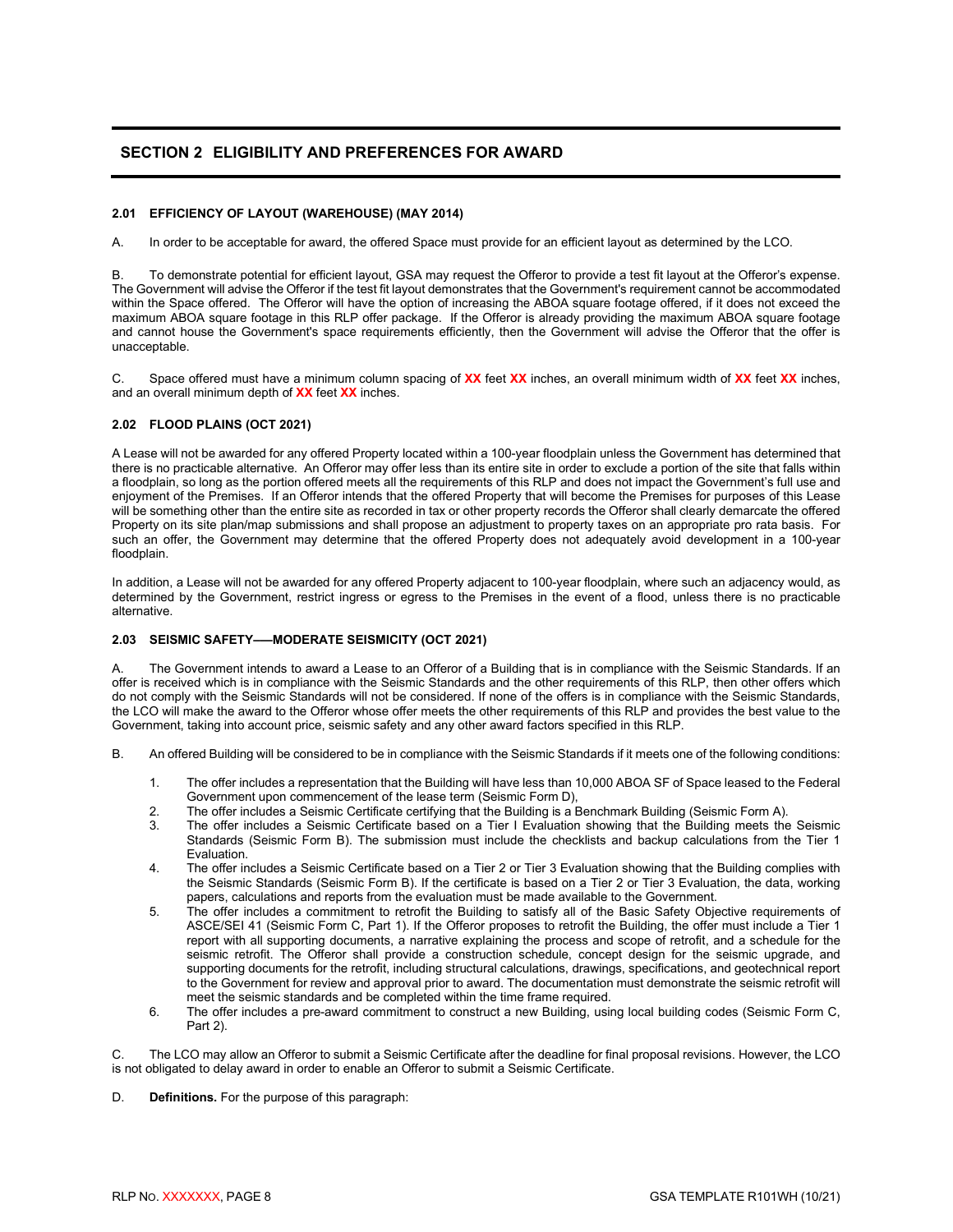# <span id="page-10-0"></span>**SECTION 2 ELIGIBILITY AND PREFERENCES FOR AWARD**

#### <span id="page-10-1"></span>**2.01 EFFICIENCY OF LAYOUT (WAREHOUSE) (MAY 2014)**

A. In order to be acceptable for award, the offered Space must provide for an efficient layout as determined by the LCO.

B. To demonstrate potential for efficient layout, GSA may request the Offeror to provide a test fit layout at the Offeror's expense. The Government will advise the Offeror if the test fit layout demonstrates that the Government's requirement cannot be accommodated within the Space offered. The Offeror will have the option of increasing the ABOA square footage offered, if it does not exceed the maximum ABOA square footage in this RLP offer package. If the Offeror is already providing the maximum ABOA square footage and cannot house the Government's space requirements efficiently, then the Government will advise the Offeror that the offer is unacceptable.

C. Space offered must have a minimum column spacing of **XX** feet **XX** inches, an overall minimum width of **XX** feet **XX** inches, and an overall minimum depth of **XX** feet **XX** inches.

#### <span id="page-10-2"></span>**2.02 FLOOD PLAINS (OCT 2021)**

A Lease will not be awarded for any offered Property located within a 100-year floodplain unless the Government has determined that there is no practicable alternative. An Offeror may offer less than its entire site in order to exclude a portion of the site that falls within a floodplain, so long as the portion offered meets all the requirements of this RLP and does not impact the Government's full use and enjoyment of the Premises. If an Offeror intends that the offered Property that will become the Premises for purposes of this Lease will be something other than the entire site as recorded in tax or other property records the Offeror shall clearly demarcate the offered Property on its site plan/map submissions and shall propose an adjustment to property taxes on an appropriate pro rata basis. For such an offer, the Government may determine that the offered Property does not adequately avoid development in a 100-year floodplain.

In addition, a Lease will not be awarded for any offered Property adjacent to 100-year floodplain, where such an adjacency would, as determined by the Government, restrict ingress or egress to the Premises in the event of a flood, unless there is no practicable alternative.

#### <span id="page-10-3"></span>**2.03 SEISMIC SAFETY–—MODERATE SEISMICITY (OCT 2021)**

The Government intends to award a Lease to an Offeror of a Building that is in compliance with the Seismic Standards. If an offer is received which is in compliance with the Seismic Standards and the other requirements of this RLP, then other offers which do not comply with the Seismic Standards will not be considered. If none of the offers is in compliance with the Seismic Standards, the LCO will make the award to the Offeror whose offer meets the other requirements of this RLP and provides the best value to the Government, taking into account price, seismic safety and any other award factors specified in this RLP.

- B. An offered Building will be considered to be in compliance with the Seismic Standards if it meets one of the following conditions:
	- 1. The offer includes a representation that the Building will have less than 10,000 ABOA SF of Space leased to the Federal Government upon commencement of the lease term (Seismic Form D),
	- 2. The offer includes a Seismic Certificate certifying that the Building is a Benchmark Building (Seismic Form A).<br>3. The offer includes a Seismic Certificate based on a Tier I Evaluation showing that the Building meets th
	- The offer includes a Seismic Certificate based on a Tier I Evaluation showing that the Building meets the Seismic Standards (Seismic Form B). The submission must include the checklists and backup calculations from the Tier 1 Evaluation.
	- 4. The offer includes a Seismic Certificate based on a Tier 2 or Tier 3 Evaluation showing that the Building complies with the Seismic Standards (Seismic Form B). If the certificate is based on a Tier 2 or Tier 3 Evaluation, the data, working papers, calculations and reports from the evaluation must be made available to the Government.
	- 5. The offer includes a commitment to retrofit the Building to satisfy all of the Basic Safety Objective requirements of ASCE/SEI 41 (Seismic Form C, Part 1). If the Offeror proposes to retrofit the Building, the offer must include a Tier 1 report with all supporting documents, a narrative explaining the process and scope of retrofit, and a schedule for the seismic retrofit. The Offeror shall provide a construction schedule, concept design for the seismic upgrade, and supporting documents for the retrofit, including structural calculations, drawings, specifications, and geotechnical report to the Government for review and approval prior to award. The documentation must demonstrate the seismic retrofit will meet the seismic standards and be completed within the time frame required.
	- 6. The offer includes a pre-award commitment to construct a new Building, using local building codes (Seismic Form C, Part 2).

C. The LCO may allow an Offeror to submit a Seismic Certificate after the deadline for final proposal revisions. However, the LCO is not obligated to delay award in order to enable an Offeror to submit a Seismic Certificate.

D. **Definitions.** For the purpose of this paragraph: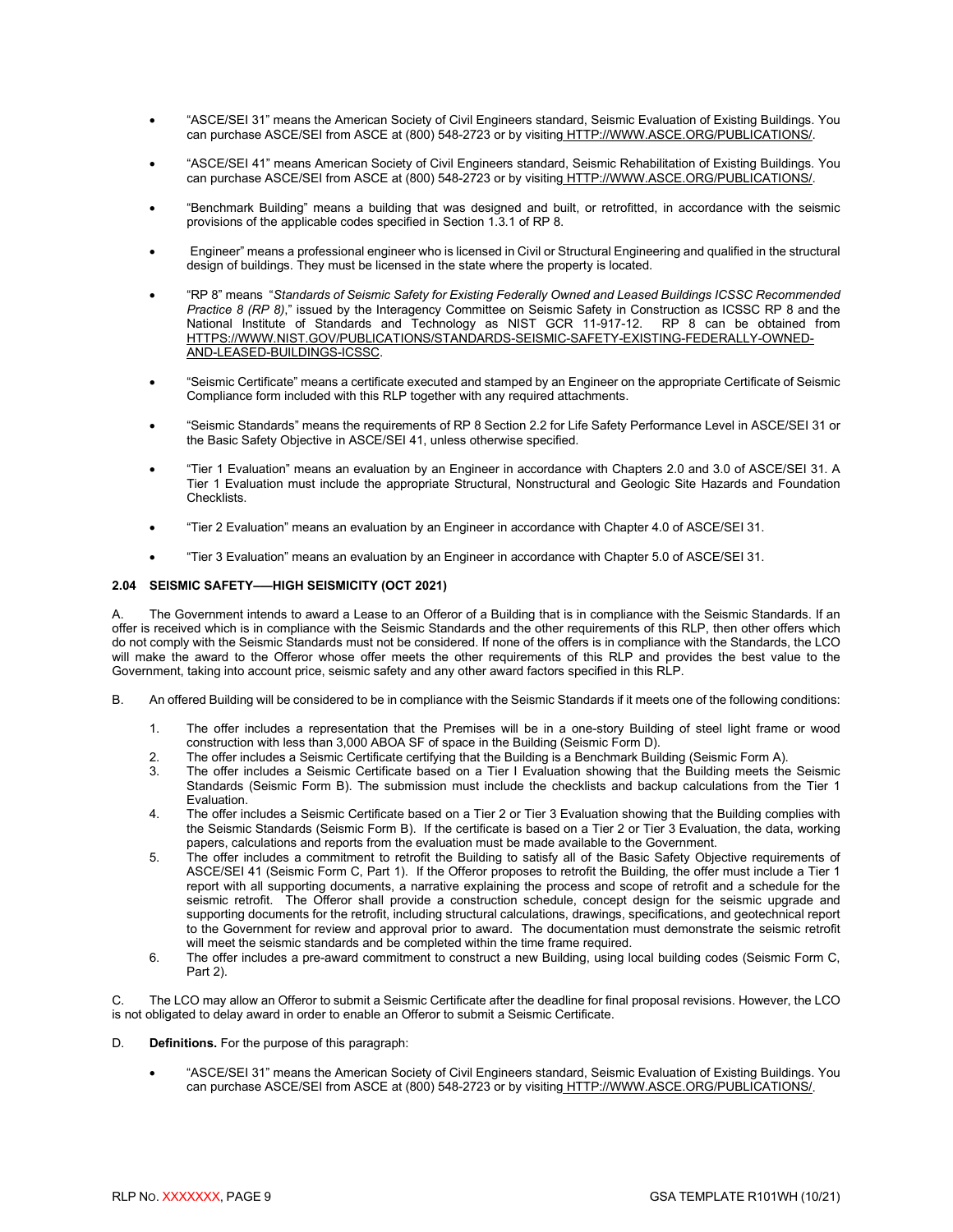- "ASCE/SEI 31" means the American Society of Civil Engineers standard, Seismic Evaluation of Existing Buildings. You can purchase ASCE/SEI from ASCE at (800) 548-2723 or by visiting [HTTP://WWW.ASCE.ORG/PUBLICATIONS/.](http://www.asce.org/publications/)
- "ASCE/SEI 41" means American Society of Civil Engineers standard, Seismic Rehabilitation of Existing Buildings. You can purchase ASCE/SEI from ASCE at (800) 548-2723 or by visiting [HTTP://WWW.ASCE.ORG/PUBLICATIONS/.](http://www.asce.org/publications/)
- "Benchmark Building" means a building that was designed and built, or retrofitted, in accordance with the seismic provisions of the applicable codes specified in Section 1.3.1 of RP 8.
- Engineer" means a professional engineer who is licensed in Civil or Structural Engineering and qualified in the structural design of buildings. They must be licensed in the state where the property is located.
- "RP 8" means "*Standards of Seismic Safety for Existing Federally Owned and Leased Buildings ICSSC Recommended Practice 8 (RP 8)*," issued by the Interagency Committee on Seismic Safety in Construction as ICSSC RP 8 and the National Institute of Standards and Technology as NIST GCR 11-917-12. RP 8 can be obtained from [HTTPS://WWW.NIST.GOV/PUBLICATIONS/STANDARDS-SEISMIC-SAFETY-EXISTING-FEDERALLY-OWNED-](https://www.nist.gov/publications/standards-seismic-safety-existing-federally-owned-and-leased-buildings-icssc)[AND-LEASED-BUILDINGS-ICSSC.](https://www.nist.gov/publications/standards-seismic-safety-existing-federally-owned-and-leased-buildings-icssc)
- "Seismic Certificate" means a certificate executed and stamped by an Engineer on the appropriate Certificate of Seismic Compliance form included with this RLP together with any required attachments.
- "Seismic Standards" means the requirements of RP 8 Section 2.2 for Life Safety Performance Level in ASCE/SEI 31 or the Basic Safety Objective in ASCE/SEI 41, unless otherwise specified.
- "Tier 1 Evaluation" means an evaluation by an Engineer in accordance with Chapters 2.0 and 3.0 of ASCE/SEI 31. A Tier 1 Evaluation must include the appropriate Structural, Nonstructural and Geologic Site Hazards and Foundation Checklists.
- "Tier 2 Evaluation" means an evaluation by an Engineer in accordance with Chapter 4.0 of ASCE/SEI 31.
- "Tier 3 Evaluation" means an evaluation by an Engineer in accordance with Chapter 5.0 of ASCE/SEI 31.

#### <span id="page-11-0"></span>**2.04 SEISMIC SAFETY–—HIGH SEISMICITY (OCT 2021)**

A. The Government intends to award a Lease to an Offeror of a Building that is in compliance with the Seismic Standards. If an offer is received which is in compliance with the Seismic Standards and the other requirements of this RLP, then other offers which do not comply with the Seismic Standards must not be considered. If none of the offers is in compliance with the Standards, the LCO will make the award to the Offeror whose offer meets the other requirements of this RLP and provides the best value to the Government, taking into account price, seismic safety and any other award factors specified in this RLP.

- B. An offered Building will be considered to be in compliance with the Seismic Standards if it meets one of the following conditions:
	- 1. The offer includes a representation that the Premises will be in a one-story Building of steel light frame or wood construction with less than 3,000 ABOA SF of space in the Building (Seismic Form D).
	- 2. The offer includes a Seismic Certificate certifying that the Building is a Benchmark Building (Seismic Form A).
	- The offer includes a Seismic Certificate based on a Tier I Evaluation showing that the Building meets the Seismic Standards (Seismic Form B). The submission must include the checklists and backup calculations from the Tier 1 Evaluation.
	- 4. The offer includes a Seismic Certificate based on a Tier 2 or Tier 3 Evaluation showing that the Building complies with the Seismic Standards (Seismic Form B). If the certificate is based on a Tier 2 or Tier 3 Evaluation, the data, working papers, calculations and reports from the evaluation must be made available to the Government.
	- 5. The offer includes a commitment to retrofit the Building to satisfy all of the Basic Safety Objective requirements of ASCE/SEI 41 (Seismic Form C, Part 1). If the Offeror proposes to retrofit the Building, the offer must include a Tier 1 report with all supporting documents, a narrative explaining the process and scope of retrofit and a schedule for the seismic retrofit. The Offeror shall provide a construction schedule, concept design for the seismic upgrade and supporting documents for the retrofit, including structural calculations, drawings, specifications, and geotechnical report to the Government for review and approval prior to award. The documentation must demonstrate the seismic retrofit will meet the seismic standards and be completed within the time frame required.
	- 6. The offer includes a pre-award commitment to construct a new Building, using local building codes (Seismic Form C, Part 2).

C. The LCO may allow an Offeror to submit a Seismic Certificate after the deadline for final proposal revisions. However, the LCO is not obligated to delay award in order to enable an Offeror to submit a Seismic Certificate.

- D. **Definitions.** For the purpose of this paragraph:
	- "ASCE/SEI 31" means the American Society of Civil Engineers standard, Seismic Evaluation of Existing Buildings. You can purchase ASCE/SEI from ASCE at (800) 548-2723 or by visiting [HTTP://WWW.ASCE.ORG/PUBLICATIONS/.](http://www.asce.org/publications/)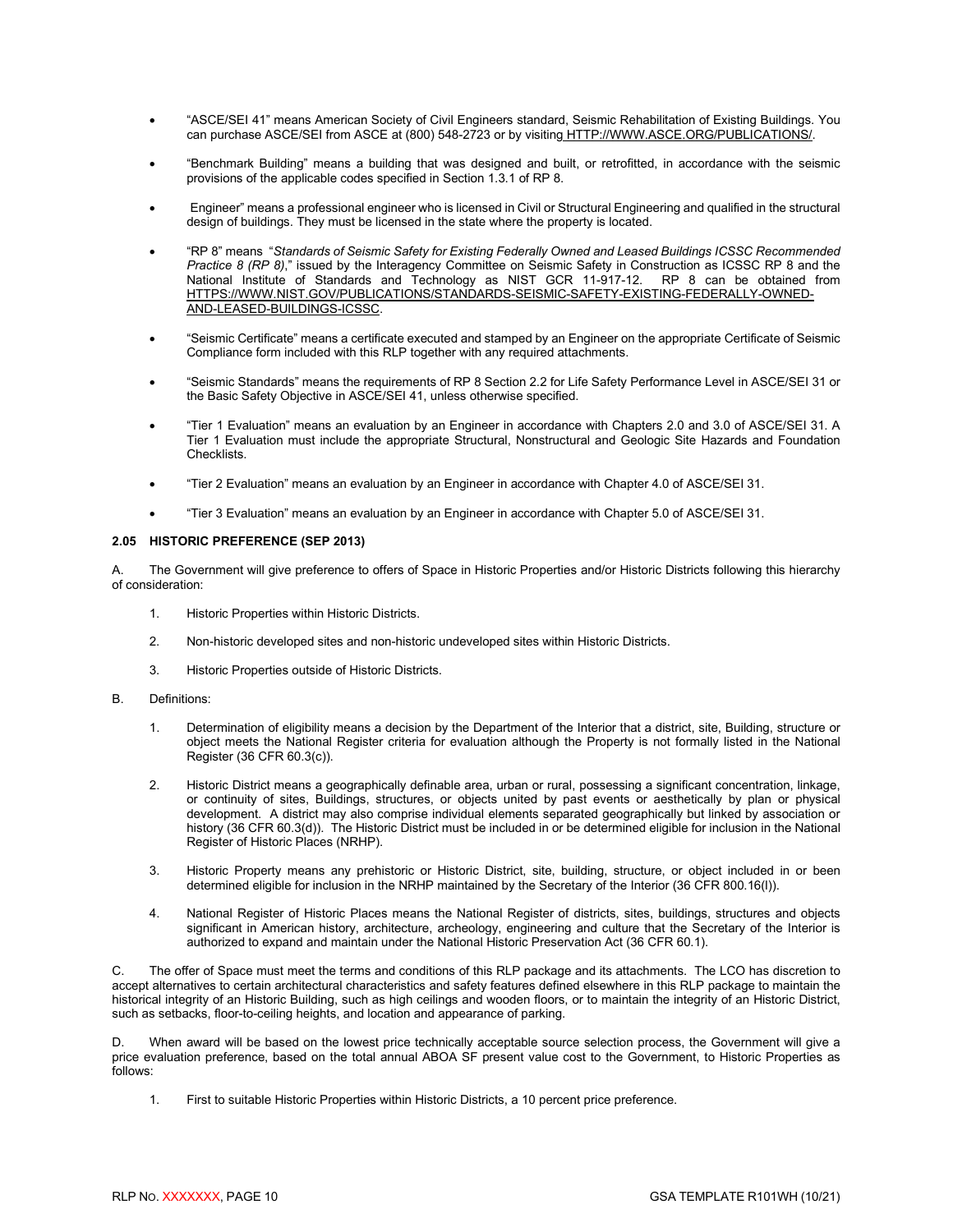- "ASCE/SEI 41" means American Society of Civil Engineers standard, Seismic Rehabilitation of Existing Buildings. You can purchase ASCE/SEI from ASCE at (800) 548-2723 or by visiting [HTTP://WWW.ASCE.ORG/PUBLICATIONS/.](http://www.asce.org/publications/)
- "Benchmark Building" means a building that was designed and built, or retrofitted, in accordance with the seismic provisions of the applicable codes specified in Section 1.3.1 of RP 8.
- Engineer" means a professional engineer who is licensed in Civil or Structural Engineering and qualified in the structural design of buildings. They must be licensed in the state where the property is located.
- "RP 8" means "*Standards of Seismic Safety for Existing Federally Owned and Leased Buildings ICSSC Recommended Practice 8 (RP 8)*," issued by the Interagency Committee on Seismic Safety in Construction as ICSSC RP 8 and the National Institute of Standards and Technology as NIST GCR 11-917-12. RP 8 can be obtained from [HTTPS://WWW.NIST.GOV/PUBLICATIONS/STANDARDS-SEISMIC-SAFETY-EXISTING-FEDERALLY-OWNED-](https://www.nist.gov/publications/standards-seismic-safety-existing-federally-owned-and-leased-buildings-icssc)[AND-LEASED-BUILDINGS-ICSSC.](https://www.nist.gov/publications/standards-seismic-safety-existing-federally-owned-and-leased-buildings-icssc)
- "Seismic Certificate" means a certificate executed and stamped by an Engineer on the appropriate Certificate of Seismic Compliance form included with this RLP together with any required attachments.
- "Seismic Standards" means the requirements of RP 8 Section 2.2 for Life Safety Performance Level in ASCE/SEI 31 or the Basic Safety Objective in ASCE/SEI 41, unless otherwise specified.
- "Tier 1 Evaluation" means an evaluation by an Engineer in accordance with Chapters 2.0 and 3.0 of ASCE/SEI 31. A Tier 1 Evaluation must include the appropriate Structural, Nonstructural and Geologic Site Hazards and Foundation Checklists.
- "Tier 2 Evaluation" means an evaluation by an Engineer in accordance with Chapter 4.0 of ASCE/SEI 31.
- <span id="page-12-0"></span>• "Tier 3 Evaluation" means an evaluation by an Engineer in accordance with Chapter 5.0 of ASCE/SEI 31.

#### **2.05 HISTORIC PREFERENCE (SEP 2013)**

The Government will give preference to offers of Space in Historic Properties and/or Historic Districts following this hierarchy of consideration:

- 1. Historic Properties within Historic Districts.
- 2. Non-historic developed sites and non-historic undeveloped sites within Historic Districts.
- 3. Historic Properties outside of Historic Districts.
- B. Definitions:
	- 1. Determination of eligibility means a decision by the Department of the Interior that a district, site, Building, structure or object meets the National Register criteria for evaluation although the Property is not formally listed in the National Register (36 CFR 60.3(c)).
	- 2. Historic District means a geographically definable area, urban or rural, possessing a significant concentration, linkage, or continuity of sites, Buildings, structures, or objects united by past events or aesthetically by plan or physical development. A district may also comprise individual elements separated geographically but linked by association or history (36 CFR 60.3(d)). The Historic District must be included in or be determined eligible for inclusion in the National Register of Historic Places (NRHP).
	- 3. Historic Property means any prehistoric or Historic District, site, building, structure, or object included in or been determined eligible for inclusion in the NRHP maintained by the Secretary of the Interior (36 CFR 800.16(l)).
	- 4. National Register of Historic Places means the National Register of districts, sites, buildings, structures and objects significant in American history, architecture, archeology, engineering and culture that the Secretary of the Interior is authorized to expand and maintain under the National Historic Preservation Act (36 CFR 60.1).

C. The offer of Space must meet the terms and conditions of this RLP package and its attachments. The LCO has discretion to accept alternatives to certain architectural characteristics and safety features defined elsewhere in this RLP package to maintain the historical integrity of an Historic Building, such as high ceilings and wooden floors, or to maintain the integrity of an Historic District, such as setbacks, floor-to-ceiling heights, and location and appearance of parking.

D. When award will be based on the lowest price technically acceptable source selection process, the Government will give a price evaluation preference, based on the total annual ABOA SF present value cost to the Government, to Historic Properties as follows:

1. First to suitable Historic Properties within Historic Districts, a 10 percent price preference.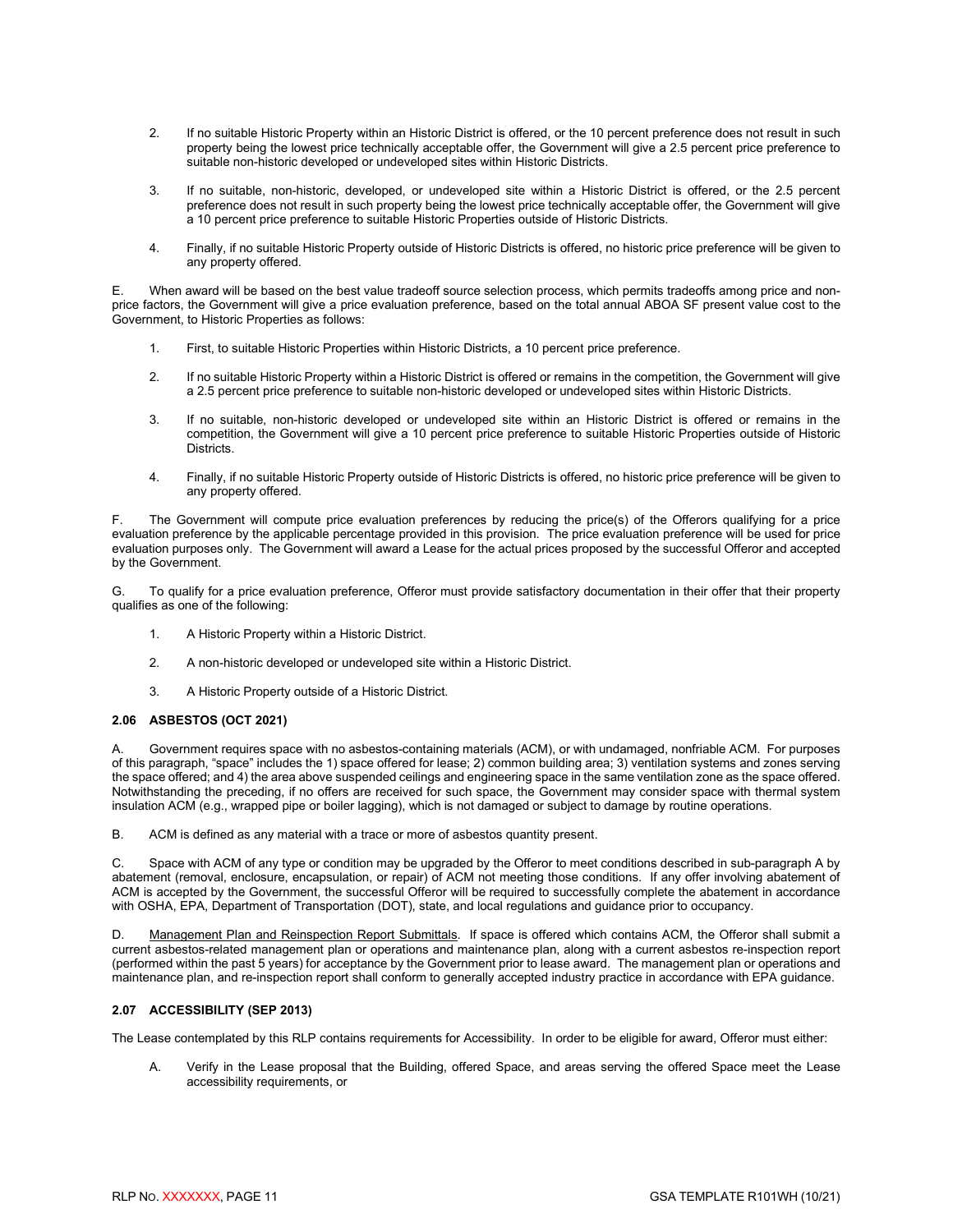- 2. If no suitable Historic Property within an Historic District is offered, or the 10 percent preference does not result in such property being the lowest price technically acceptable offer, the Government will give a 2.5 percent price preference to suitable non-historic developed or undeveloped sites within Historic Districts.
- 3. If no suitable, non-historic, developed, or undeveloped site within a Historic District is offered, or the 2.5 percent preference does not result in such property being the lowest price technically acceptable offer, the Government will give a 10 percent price preference to suitable Historic Properties outside of Historic Districts.
- 4. Finally, if no suitable Historic Property outside of Historic Districts is offered, no historic price preference will be given to any property offered.

E. When award will be based on the best value tradeoff source selection process, which permits tradeoffs among price and nonprice factors, the Government will give a price evaluation preference, based on the total annual ABOA SF present value cost to the Government, to Historic Properties as follows:

- 1. First, to suitable Historic Properties within Historic Districts, a 10 percent price preference.
- 2. If no suitable Historic Property within a Historic District is offered or remains in the competition, the Government will give a 2.5 percent price preference to suitable non-historic developed or undeveloped sites within Historic Districts.
- 3. If no suitable, non-historic developed or undeveloped site within an Historic District is offered or remains in the competition, the Government will give a 10 percent price preference to suitable Historic Properties outside of Historic Districts.
- 4. Finally, if no suitable Historic Property outside of Historic Districts is offered, no historic price preference will be given to any property offered.

F. The Government will compute price evaluation preferences by reducing the price(s) of the Offerors qualifying for a price evaluation preference by the applicable percentage provided in this provision. The price evaluation preference will be used for price evaluation purposes only. The Government will award a Lease for the actual prices proposed by the successful Offeror and accepted by the Government.

G. To qualify for a price evaluation preference, Offeror must provide satisfactory documentation in their offer that their property qualifies as one of the following:

- 1. A Historic Property within a Historic District.
- 2. A non-historic developed or undeveloped site within a Historic District.
- 3. A Historic Property outside of a Historic District.

#### <span id="page-13-0"></span>**2.06 ASBESTOS (OCT 2021)**

A. Government requires space with no asbestos-containing materials (ACM), or with undamaged, nonfriable ACM. For purposes of this paragraph, "space" includes the 1) space offered for lease; 2) common building area; 3) ventilation systems and zones serving the space offered; and 4) the area above suspended ceilings and engineering space in the same ventilation zone as the space offered. Notwithstanding the preceding, if no offers are received for such space, the Government may consider space with thermal system insulation ACM (e.g., wrapped pipe or boiler lagging), which is not damaged or subject to damage by routine operations.

B. ACM is defined as any material with a trace or more of asbestos quantity present.

C. Space with ACM of any type or condition may be upgraded by the Offeror to meet conditions described in sub-paragraph A by abatement (removal, enclosure, encapsulation, or repair) of ACM not meeting those conditions. If any offer involving abatement of ACM is accepted by the Government, the successful Offeror will be required to successfully complete the abatement in accordance with OSHA, EPA, Department of Transportation (DOT), state, and local regulations and guidance prior to occupancy.

D. Management Plan and Reinspection Report Submittals. If space is offered which contains ACM, the Offeror shall submit a current asbestos-related management plan or operations and maintenance plan, along with a current asbestos re-inspection report (performed within the past 5 years) for acceptance by the Government prior to lease award. The management plan or operations and maintenance plan, and re-inspection report shall conform to generally accepted industry practice in accordance with EPA guidance.

#### <span id="page-13-1"></span>**2.07 ACCESSIBILITY (SEP 2013)**

The Lease contemplated by this RLP contains requirements for Accessibility. In order to be eligible for award, Offeror must either:

A. Verify in the Lease proposal that the Building, offered Space, and areas serving the offered Space meet the Lease accessibility requirements, or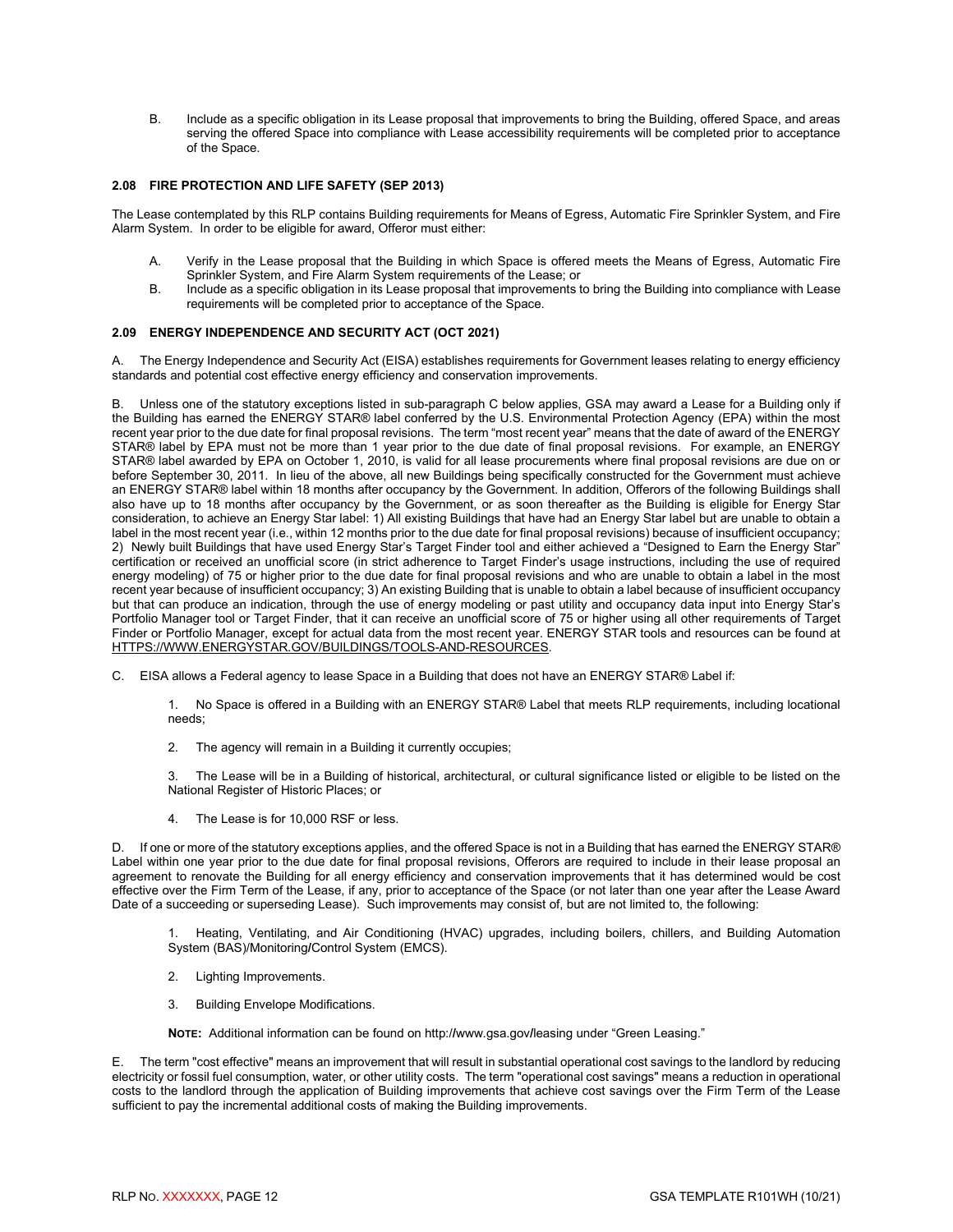B. Include as a specific obligation in its Lease proposal that improvements to bring the Building, offered Space, and areas serving the offered Space into compliance with Lease accessibility requirements will be completed prior to acceptance of the Space.

#### <span id="page-14-0"></span>**2.08 FIRE PROTECTION AND LIFE SAFETY (SEP 2013)**

The Lease contemplated by this RLP contains Building requirements for Means of Egress, Automatic Fire Sprinkler System, and Fire Alarm System. In order to be eligible for award, Offeror must either:

- A. Verify in the Lease proposal that the Building in which Space is offered meets the Means of Egress, Automatic Fire Sprinkler System, and Fire Alarm System requirements of the Lease; or
- B. Include as a specific obligation in its Lease proposal that improvements to bring the Building into compliance with Lease requirements will be completed prior to acceptance of the Space.

#### <span id="page-14-1"></span>**2.09 ENERGY INDEPENDENCE AND SECURITY ACT (OCT 2021)**

A. The Energy Independence and Security Act (EISA) establishes requirements for Government leases relating to energy efficiency standards and potential cost effective energy efficiency and conservation improvements.

B. Unless one of the statutory exceptions listed in sub-paragraph C below applies, GSA may award a Lease for a Building only if the Building has earned the ENERGY STAR® label conferred by the U.S. Environmental Protection Agency (EPA) within the most recent year prior to the due date for final proposal revisions. The term "most recent year" means that the date of award of the ENERGY STAR® label by EPA must not be more than 1 year prior to the due date of final proposal revisions. For example, an ENERGY STAR® label awarded by EPA on October 1, 2010, is valid for all lease procurements where final proposal revisions are due on or before September 30, 2011. In lieu of the above, all new Buildings being specifically constructed for the Government must achieve an ENERGY STAR® label within 18 months after occupancy by the Government. In addition, Offerors of the following Buildings shall also have up to 18 months after occupancy by the Government, or as soon thereafter as the Building is eligible for Energy Star consideration, to achieve an Energy Star label: 1) All existing Buildings that have had an Energy Star label but are unable to obtain a label in the most recent year (i.e., within 12 months prior to the due date for final proposal revisions) because of insufficient occupancy; 2) Newly built Buildings that have used Energy Star's Target Finder tool and either achieved a "Designed to Earn the Energy Star" certification or received an unofficial score (in strict adherence to Target Finder's usage instructions, including the use of required energy modeling) of 75 or higher prior to the due date for final proposal revisions and who are unable to obtain a label in the most recent year because of insufficient occupancy; 3) An existing Building that is unable to obtain a label because of insufficient occupancy but that can produce an indication, through the use of energy modeling or past utility and occupancy data input into Energy Star's Portfolio Manager tool or Target Finder, that it can receive an unofficial score of 75 or higher using all other requirements of Target Finder or Portfolio Manager, except for actual data from the most recent year. ENERGY STAR tools and resources can be found at [HTTPS://WWW.ENERGYSTAR.GOV/BUILDINGS/TOOLS-AND-RESOURCES.](https://www.energystar.gov/BUILDINGS/TOOLS-AND-RESOURCES)

C. EISA allows a Federal agency to lease Space in a Building that does not have an ENERGY STAR® Label if:

1. No Space is offered in a Building with an ENERGY STAR® Label that meets RLP requirements, including locational needs;

2. The agency will remain in a Building it currently occupies;

3. The Lease will be in a Building of historical, architectural, or cultural significance listed or eligible to be listed on the National Register of Historic Places; or

4. The Lease is for 10,000 RSF or less.

D. If one or more of the statutory exceptions applies, and the offered Space is not in a Building that has earned the ENERGY STAR® Label within one year prior to the due date for final proposal revisions, Offerors are required to include in their lease proposal an agreement to renovate the Building for all energy efficiency and conservation improvements that it has determined would be cost effective over the Firm Term of the Lease, if any, prior to acceptance of the Space (or not later than one year after the Lease Award Date of a succeeding or superseding Lease). Such improvements may consist of, but are not limited to, the following:

1. Heating, Ventilating, and Air Conditioning (HVAC) upgrades, including boilers, chillers, and Building Automation System (BAS)/Monitoring**/**Control System (EMCS).

- 2. Lighting Improvements.
- 3. Building Envelope Modifications.

**NOTE:** Additional information can be found on http:/**/**www.gsa.gov**/**leasing under "Green Leasing."

E. The term "cost effective" means an improvement that will result in substantial operational cost savings to the landlord by reducing electricity or fossil fuel consumption, water, or other utility costs. The term "operational cost savings" means a reduction in operational costs to the landlord through the application of Building improvements that achieve cost savings over the Firm Term of the Lease sufficient to pay the incremental additional costs of making the Building improvements.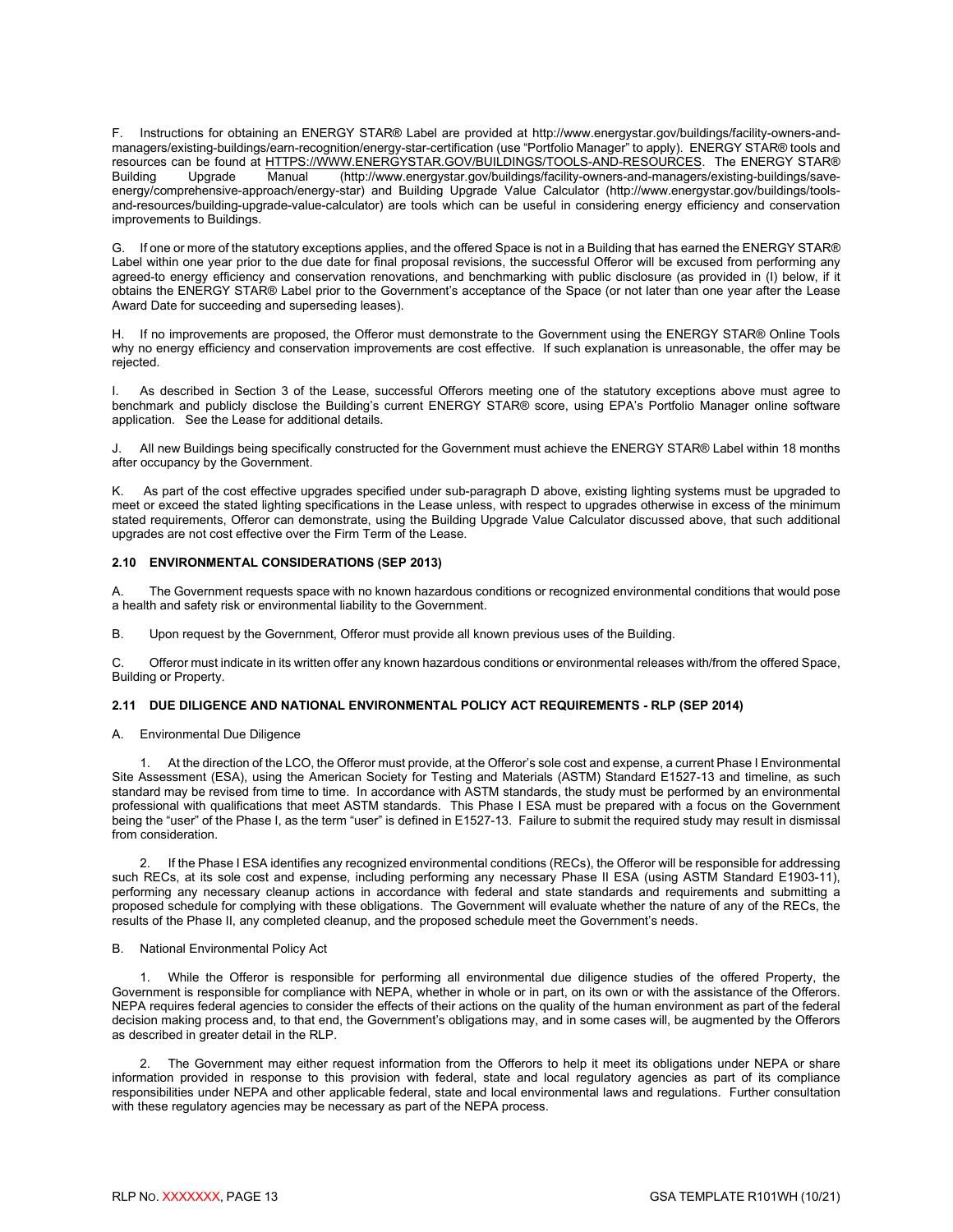F. Instructions for obtaining an ENERGY STAR® Label are provided at http://www.energystar.gov/buildings/facility-owners-andmanagers/existing-buildings/earn-recognition/energy-star-certification (use "Portfolio Manager" to apply). ENERGY STAR® tools and resources can be found at [HTTPS://WWW.ENERGYSTAR.GOV/BUILDINGS/TOOLS-AND-RESOURCES.](https://www.energystar.gov/BUILDINGS/TOOLS-AND-RESOURCES) The ENERGY STAR®<br>Building Upgrade Manual (http://www.energystar.gov/buildings/facility-owners-and-managers/existing-buildings/save-Building Upgrade Manual (http://www.energystar.gov/buildings/facility-owners-and-managers/existing-buildings/saveenergy/comprehensive-approach/energy-star) and Building Upgrade Value Calculator (http://www.energystar.gov/buildings/toolsand-resources/building-upgrade-value-calculator) are tools which can be useful in considering energy efficiency and conservation improvements to Buildings.

G. If one or more of the statutory exceptions applies, and the offered Space is not in a Building that has earned the ENERGY STAR® Label within one year prior to the due date for final proposal revisions, the successful Offeror will be excused from performing any agreed-to energy efficiency and conservation renovations, and benchmarking with public disclosure (as provided in (I) below, if it obtains the ENERGY STAR® Label prior to the Government's acceptance of the Space (or not later than one year after the Lease Award Date for succeeding and superseding leases).

H. If no improvements are proposed, the Offeror must demonstrate to the Government using the ENERGY STAR® Online Tools why no energy efficiency and conservation improvements are cost effective. If such explanation is unreasonable, the offer may be rejected.

I. As described in Section 3 of the Lease, successful Offerors meeting one of the statutory exceptions above must agree to benchmark and publicly disclose the Building's current ENERGY STAR® score, using EPA's Portfolio Manager online software application. See the Lease for additional details.

J. All new Buildings being specifically constructed for the Government must achieve the ENERGY STAR® Label within 18 months after occupancy by the Government.

K. As part of the cost effective upgrades specified under sub-paragraph D above, existing lighting systems must be upgraded to meet or exceed the stated lighting specifications in the Lease unless, with respect to upgrades otherwise in excess of the minimum stated requirements, Offeror can demonstrate, using the Building Upgrade Value Calculator discussed above, that such additional upgrades are not cost effective over the Firm Term of the Lease.

#### <span id="page-15-0"></span>**2.10 ENVIRONMENTAL CONSIDERATIONS (SEP 2013)**

A. The Government requests space with no known hazardous conditions or recognized environmental conditions that would pose a health and safety risk or environmental liability to the Government.

B. Upon request by the Government, Offeror must provide all known previous uses of the Building.

C. Offeror must indicate in its written offer any known hazardous conditions or environmental releases with/from the offered Space, Building or Property.

#### <span id="page-15-1"></span>**2.11 DUE DILIGENCE AND NATIONAL ENVIRONMENTAL POLICY ACT REQUIREMENTS - RLP (SEP 2014)**

A. Environmental Due Diligence

1. At the direction of the LCO, the Offeror must provide, at the Offeror's sole cost and expense, a current Phase I Environmental Site Assessment (ESA), using the American Society for Testing and Materials (ASTM) Standard E1527-13 and timeline, as such standard may be revised from time to time. In accordance with ASTM standards, the study must be performed by an environmental professional with qualifications that meet ASTM standards. This Phase I ESA must be prepared with a focus on the Government being the "user" of the Phase I, as the term "user" is defined in E1527-13. Failure to submit the required study may result in dismissal from consideration.

2. If the Phase I ESA identifies any recognized environmental conditions (RECs), the Offeror will be responsible for addressing such RECs, at its sole cost and expense, including performing any necessary Phase II ESA (using ASTM Standard E1903-11), performing any necessary cleanup actions in accordance with federal and state standards and requirements and submitting a proposed schedule for complying with these obligations. The Government will evaluate whether the nature of any of the RECs, the results of the Phase II, any completed cleanup, and the proposed schedule meet the Government's needs.

#### B. National Environmental Policy Act

1. While the Offeror is responsible for performing all environmental due diligence studies of the offered Property, the Government is responsible for compliance with NEPA, whether in whole or in part, on its own or with the assistance of the Offerors. NEPA requires federal agencies to consider the effects of their actions on the quality of the human environment as part of the federal decision making process and, to that end, the Government's obligations may, and in some cases will, be augmented by the Offerors as described in greater detail in the RLP.

The Government may either request information from the Offerors to help it meet its obligations under NEPA or share information provided in response to this provision with federal, state and local regulatory agencies as part of its compliance responsibilities under NEPA and other applicable federal, state and local environmental laws and regulations. Further consultation with these regulatory agencies may be necessary as part of the NEPA process.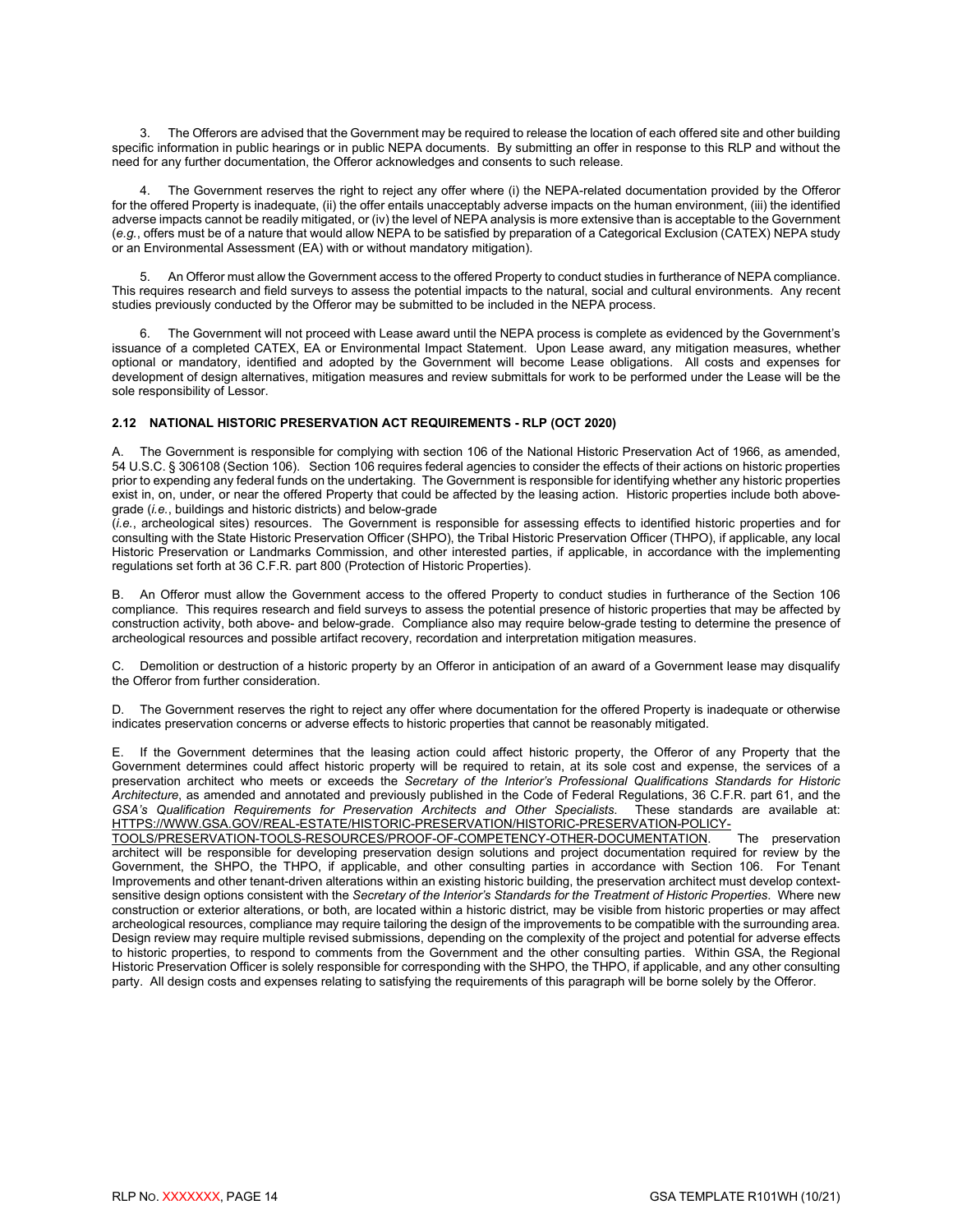3. The Offerors are advised that the Government may be required to release the location of each offered site and other building specific information in public hearings or in public NEPA documents. By submitting an offer in response to this RLP and without the need for any further documentation, the Offeror acknowledges and consents to such release.

4. The Government reserves the right to reject any offer where (i) the NEPA-related documentation provided by the Offeror for the offered Property is inadequate, (ii) the offer entails unacceptably adverse impacts on the human environment, (iii) the identified adverse impacts cannot be readily mitigated, or (iv) the level of NEPA analysis is more extensive than is acceptable to the Government (*e.g.*, offers must be of a nature that would allow NEPA to be satisfied by preparation of a Categorical Exclusion (CATEX) NEPA study or an Environmental Assessment (EA) with or without mandatory mitigation).

5. An Offeror must allow the Government access to the offered Property to conduct studies in furtherance of NEPA compliance. This requires research and field surveys to assess the potential impacts to the natural, social and cultural environments. Any recent studies previously conducted by the Offeror may be submitted to be included in the NEPA process.

6. The Government will not proceed with Lease award until the NEPA process is complete as evidenced by the Government's issuance of a completed CATEX, EA or Environmental Impact Statement. Upon Lease award, any mitigation measures, whether optional or mandatory, identified and adopted by the Government will become Lease obligations. All costs and expenses for development of design alternatives, mitigation measures and review submittals for work to be performed under the Lease will be the sole responsibility of Lessor.

#### <span id="page-16-0"></span>**2.12 NATIONAL HISTORIC PRESERVATION ACT REQUIREMENTS - RLP (OCT 2020)**

A. The Government is responsible for complying with section 106 of the National Historic Preservation Act of 1966, as amended, 54 U.S.C. § 306108 (Section 106). Section 106 requires federal agencies to consider the effects of their actions on historic properties prior to expending any federal funds on the undertaking. The Government is responsible for identifying whether any historic properties exist in, on, under, or near the offered Property that could be affected by the leasing action. Historic properties include both abovegrade (*i.e.*, buildings and historic districts) and below-grade

(*i.e.*, archeological sites) resources. The Government is responsible for assessing effects to identified historic properties and for consulting with the State Historic Preservation Officer (SHPO), the Tribal Historic Preservation Officer (THPO), if applicable, any local Historic Preservation or Landmarks Commission, and other interested parties, if applicable, in accordance with the implementing regulations set forth at 36 C.F.R. part 800 (Protection of Historic Properties).

B. An Offeror must allow the Government access to the offered Property to conduct studies in furtherance of the Section 106 compliance. This requires research and field surveys to assess the potential presence of historic properties that may be affected by construction activity, both above- and below-grade. Compliance also may require below-grade testing to determine the presence of archeological resources and possible artifact recovery, recordation and interpretation mitigation measures.

C. Demolition or destruction of a historic property by an Offeror in anticipation of an award of a Government lease may disqualify the Offeror from further consideration.

D. The Government reserves the right to reject any offer where documentation for the offered Property is inadequate or otherwise indicates preservation concerns or adverse effects to historic properties that cannot be reasonably mitigated.

E. If the Government determines that the leasing action could affect historic property, the Offeror of any Property that the Government determines could affect historic property will be required to retain, at its sole cost and expense, the services of a preservation architect who meets or exceeds the *Secretary of the Interior's Professional Qualifications Standards for Historic Architecture*, as amended and annotated and previously published in the Code of Federal Regulations, 36 C.F.R. part 61, and the *GSA's Qualification Requirements for Preservation Architects and Other Specialists*. These standards are available at: [HTTPS://WWW.GSA.GOV/REAL-ESTATE/HISTORIC-PRESERVATION/HISTORIC-PRESERVATION-POLICY-](https://www.gsa.gov/real-estate/historic-preservation/historic-preservation-policy-tools/preservation-tools-resources/proof-of-competency-other-documentation)

[TOOLS/PRESERVATION-TOOLS-RESOURCES/PROOF-OF-COMPETENCY-OTHER-DOCUMENTATION.](https://www.gsa.gov/real-estate/historic-preservation/historic-preservation-policy-tools/preservation-tools-resources/proof-of-competency-other-documentation) The preservation architect will be responsible for developing preservation design solutions and project documentation required for review by the Government, the SHPO, the THPO, if applicable, and other consulting parties in accordance with Section 106. For Tenant Improvements and other tenant-driven alterations within an existing historic building, the preservation architect must develop contextsensitive design options consistent with the *Secretary of the Interior's Standards for the Treatment of Historic Properties*. Where new construction or exterior alterations, or both, are located within a historic district, may be visible from historic properties or may affect archeological resources, compliance may require tailoring the design of the improvements to be compatible with the surrounding area. Design review may require multiple revised submissions, depending on the complexity of the project and potential for adverse effects to historic properties, to respond to comments from the Government and the other consulting parties. Within GSA, the Regional Historic Preservation Officer is solely responsible for corresponding with the SHPO, the THPO, if applicable, and any other consulting party. All design costs and expenses relating to satisfying the requirements of this paragraph will be borne solely by the Offeror.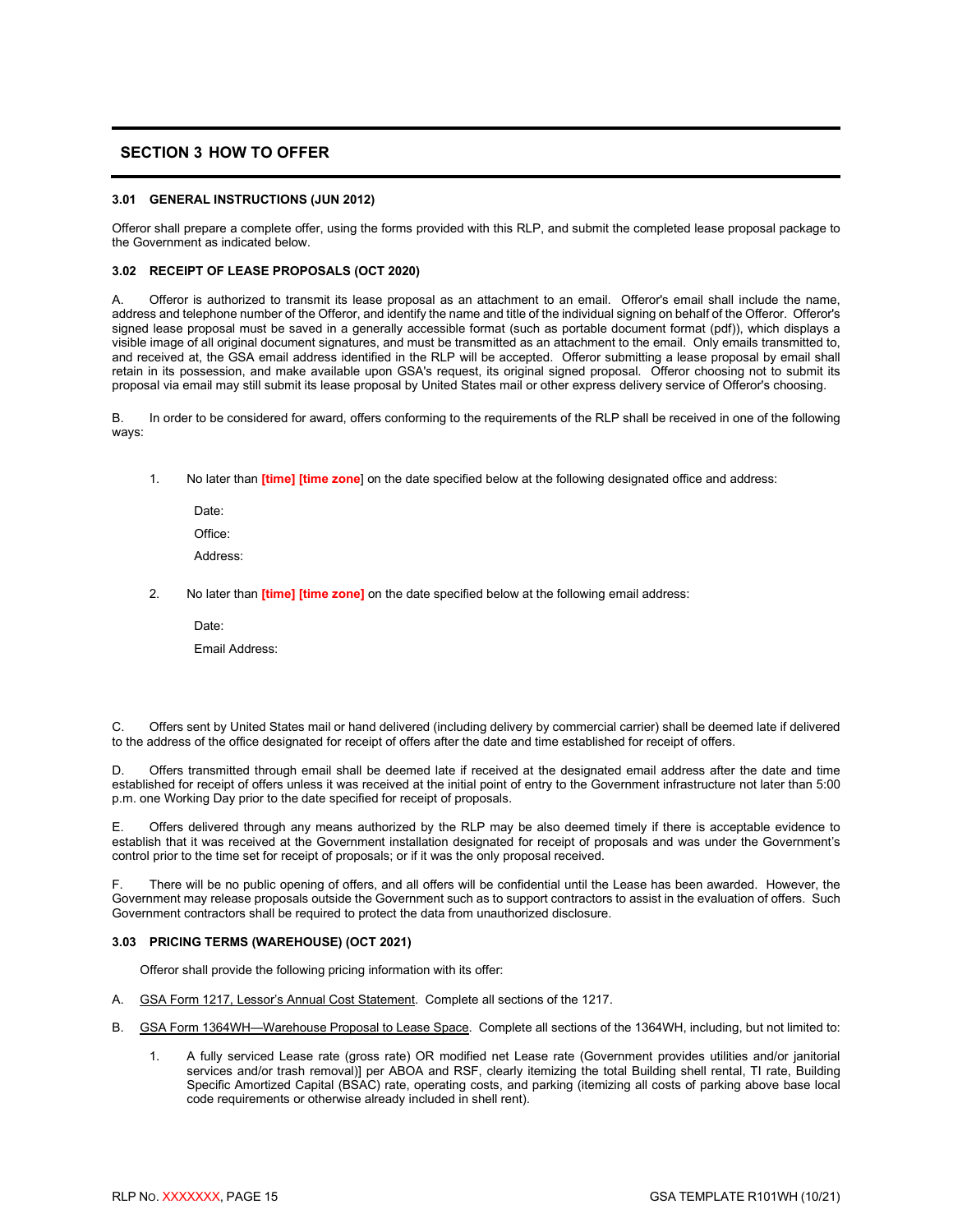# <span id="page-17-0"></span>**SECTION 3 HOW TO OFFER**

#### <span id="page-17-1"></span>**3.01 GENERAL INSTRUCTIONS (JUN 2012)**

Offeror shall prepare a complete offer, using the forms provided with this RLP, and submit the completed lease proposal package to the Government as indicated below.

#### <span id="page-17-2"></span>**3.02 RECEIPT OF LEASE PROPOSALS (OCT 2020)**

A. Offeror is authorized to transmit its lease proposal as an attachment to an email. Offeror's email shall include the name, address and telephone number of the Offeror, and identify the name and title of the individual signing on behalf of the Offeror. Offeror's signed lease proposal must be saved in a generally accessible format (such as portable document format (pdf)), which displays a visible image of all original document signatures, and must be transmitted as an attachment to the email. Only emails transmitted to, and received at, the GSA email address identified in the RLP will be accepted. Offeror submitting a lease proposal by email shall retain in its possession, and make available upon GSA's request, its original signed proposal. Offeror choosing not to submit its proposal via email may still submit its lease proposal by United States mail or other express delivery service of Offeror's choosing.

B. In order to be considered for award, offers conforming to the requirements of the RLP shall be received in one of the following ways:

1. No later than **[time] [time zone**] on the date specified below at the following designated office and address:

Date: Office: Address:

- 2. No later than **[time] [time zone]** on the date specified below at the following email address:
	- Date:

Email Address:

C. Offers sent by United States mail or hand delivered (including delivery by commercial carrier) shall be deemed late if delivered to the address of the office designated for receipt of offers after the date and time established for receipt of offers.

D. Offers transmitted through email shall be deemed late if received at the designated email address after the date and time established for receipt of offers unless it was received at the initial point of entry to the Government infrastructure not later than 5:00 p.m. one Working Day prior to the date specified for receipt of proposals.

E. Offers delivered through any means authorized by the RLP may be also deemed timely if there is acceptable evidence to establish that it was received at the Government installation designated for receipt of proposals and was under the Government's control prior to the time set for receipt of proposals; or if it was the only proposal received.

F. There will be no public opening of offers, and all offers will be confidential until the Lease has been awarded. However, the Government may release proposals outside the Government such as to support contractors to assist in the evaluation of offers. Such Government contractors shall be required to protect the data from unauthorized disclosure.

#### <span id="page-17-3"></span>**3.03 PRICING TERMS (WAREHOUSE) (OCT 2021)**

Offeror shall provide the following pricing information with its offer:

- A. GSA Form 1217, Lessor's Annual Cost Statement. Complete all sections of the 1217.
- B. GSA Form 1364WH—Warehouse Proposal to Lease Space. Complete all sections of the 1364WH, including, but not limited to:
	- 1. A fully serviced Lease rate (gross rate) OR modified net Lease rate (Government provides utilities and/or janitorial services and/or trash removal)] per ABOA and RSF, clearly itemizing the total Building shell rental, TI rate, Building Specific Amortized Capital (BSAC) rate, operating costs, and parking (itemizing all costs of parking above base local code requirements or otherwise already included in shell rent).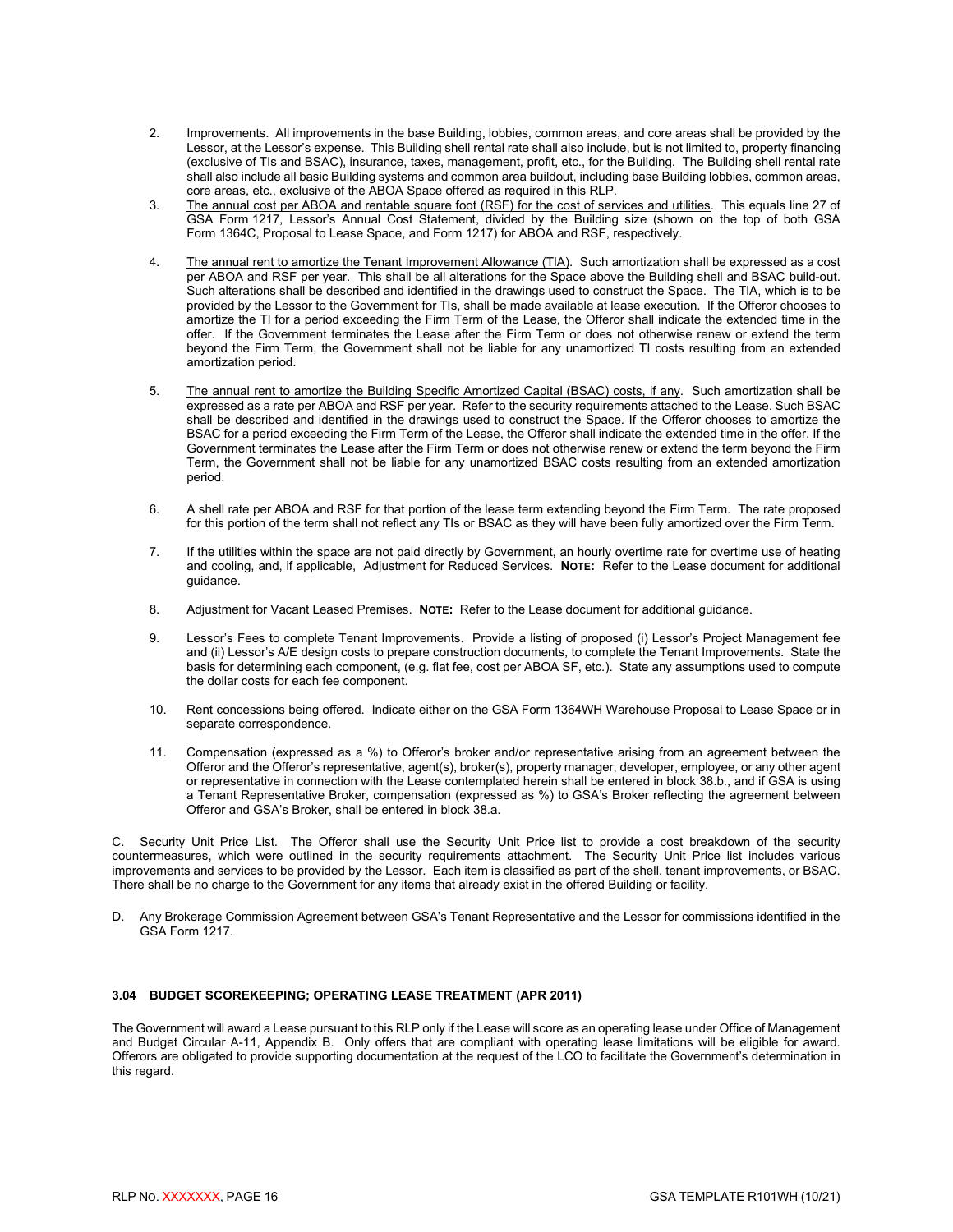- 2. Improvements. All improvements in the base Building, lobbies, common areas, and core areas shall be provided by the Lessor, at the Lessor's expense. This Building shell rental rate shall also include, but is not limited to, property financing (exclusive of TIs and BSAC), insurance, taxes, management, profit, etc., for the Building. The Building shell rental rate shall also include all basic Building systems and common area buildout, including base Building lobbies, common areas, core areas, etc., exclusive of the ABOA Space offered as required in this RLP.
- 3. The annual cost per ABOA and rentable square foot (RSF) for the cost of services and utilities. This equals line 27 of GSA Form 1217, Lessor's Annual Cost Statement, divided by the Building size (shown on the top of both GSA Form 1364C, Proposal to Lease Space, and Form 1217) for ABOA and RSF, respectively.
- 4. <u>The annual rent to amortize the Tenant Improvement Allowance (TIA)</u>. Such amortization shall be expressed as a cost per ABOA and RSF per year. This shall be all alterations for the Space above the Building shell and BSAC build-out. Such alterations shall be described and identified in the drawings used to construct the Space. The TIA, which is to be provided by the Lessor to the Government for TIs, shall be made available at lease execution. If the Offeror chooses to amortize the TI for a period exceeding the Firm Term of the Lease, the Offeror shall indicate the extended time in the offer. If the Government terminates the Lease after the Firm Term or does not otherwise renew or extend the term beyond the Firm Term, the Government shall not be liable for any unamortized TI costs resulting from an extended amortization period.
- 5. The annual rent to amortize the Building Specific Amortized Capital (BSAC) costs, if any. Such amortization shall be expressed as a rate per ABOA and RSF per year. Refer to the security requirements attached to the Lease. Such BSAC shall be described and identified in the drawings used to construct the Space. If the Offeror chooses to amortize the BSAC for a period exceeding the Firm Term of the Lease, the Offeror shall indicate the extended time in the offer. If the Government terminates the Lease after the Firm Term or does not otherwise renew or extend the term beyond the Firm Term, the Government shall not be liable for any unamortized BSAC costs resulting from an extended amortization period.
- 6. A shell rate per ABOA and RSF for that portion of the lease term extending beyond the Firm Term. The rate proposed for this portion of the term shall not reflect any TIs or BSAC as they will have been fully amortized over the Firm Term.
- 7. If the utilities within the space are not paid directly by Government, an hourly overtime rate for overtime use of heating and cooling, and, if applicable, Adjustment for Reduced Services. **NOTE:** Refer to the Lease document for additional guidance.
- 8. Adjustment for Vacant Leased Premises. **NOTE:** Refer to the Lease document for additional guidance.
- 9. Lessor's Fees to complete Tenant Improvements. Provide a listing of proposed (i) Lessor's Project Management fee and (ii) Lessor's A/E design costs to prepare construction documents, to complete the Tenant Improvements. State the basis for determining each component, (e.g. flat fee, cost per ABOA SF, etc.). State any assumptions used to compute the dollar costs for each fee component.
- 10. Rent concessions being offered. Indicate either on the GSA Form 1364WH Warehouse Proposal to Lease Space or in separate correspondence.
- 11. Compensation (expressed as a %) to Offeror's broker and/or representative arising from an agreement between the Offeror and the Offeror's representative, agent(s), broker(s), property manager, developer, employee, or any other agent or representative in connection with the Lease contemplated herein shall be entered in block 38.b., and if GSA is using a Tenant Representative Broker, compensation (expressed as %) to GSA's Broker reflecting the agreement between Offeror and GSA's Broker, shall be entered in block 38.a.

C. Security Unit Price List. The Offeror shall use the Security Unit Price list to provide a cost breakdown of the security countermeasures, which were outlined in the security requirements attachment. The Security Unit Price list includes various improvements and services to be provided by the Lessor. Each item is classified as part of the shell, tenant improvements, or BSAC. There shall be no charge to the Government for any items that already exist in the offered Building or facility.

D. Any Brokerage Commission Agreement between GSA's Tenant Representative and the Lessor for commissions identified in the GSA Form 1217.

#### <span id="page-18-0"></span>**3.04 BUDGET SCOREKEEPING; OPERATING LEASE TREATMENT (APR 2011)**

The Government will award a Lease pursuant to this RLP only if the Lease will score as an operating lease under Office of Management and Budget Circular A-11, Appendix B. Only offers that are compliant with operating lease limitations will be eligible for award. Offerors are obligated to provide supporting documentation at the request of the LCO to facilitate the Government's determination in this regard.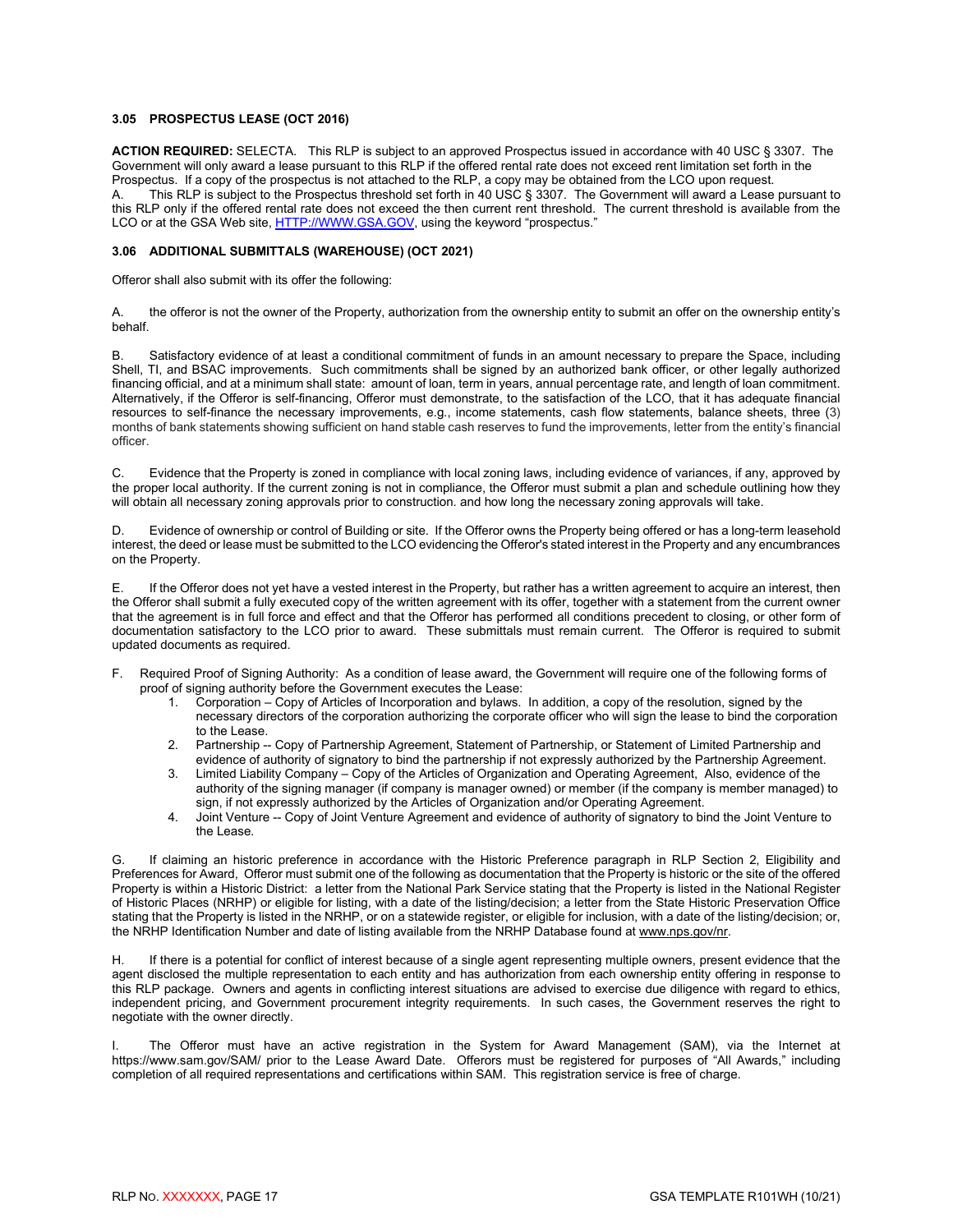#### <span id="page-19-0"></span>**3.05 PROSPECTUS LEASE (OCT 2016)**

**ACTION REQUIRED:** SELECTA. This RLP is subject to an approved Prospectus issued in accordance with 40 USC § 3307. The Government will only award a lease pursuant to this RLP if the offered rental rate does not exceed rent limitation set forth in the Prospectus. If a copy of the prospectus is not attached to the RLP, a copy may be obtained from the LCO upon request.<br>A This RLP is subject to the Prospectus threshold set forth in 40 USC 8 3307. The Government will award This RLP is subject to the Prospectus threshold set forth in 40 USC § 3307. The Government will award a Lease pursuant to this RLP only if the offered rental rate does not exceed the then current rent threshold. The current threshold is available from the LCO or at the GSA Web site, [HTTP://WWW.GSA.GOV,](http://www.gsa.gov/) using the keyword "prospectus."

#### <span id="page-19-1"></span>**3.06 ADDITIONAL SUBMITTALS (WAREHOUSE) (OCT 2021)**

Offeror shall also submit with its offer the following:

A. the offeror is not the owner of the Property, authorization from the ownership entity to submit an offer on the ownership entity's behalf.

B. Satisfactory evidence of at least a conditional commitment of funds in an amount necessary to prepare the Space, including Shell, TI, and BSAC improvements. Such commitments shall be signed by an authorized bank officer, or other legally authorized financing official, and at a minimum shall state: amount of loan, term in years, annual percentage rate, and length of loan commitment. Alternatively, if the Offeror is self-financing, Offeror must demonstrate, to the satisfaction of the LCO, that it has adequate financial resources to self-finance the necessary improvements, e.g., income statements, cash flow statements, balance sheets, three (3) months of bank statements showing sufficient on hand stable cash reserves to fund the improvements, letter from the entity's financial officer.

C. Evidence that the Property is zoned in compliance with local zoning laws, including evidence of variances, if any, approved by the proper local authority. If the current zoning is not in compliance, the Offeror must submit a plan and schedule outlining how they will obtain all necessary zoning approvals prior to construction. and how long the necessary zoning approvals will take.

D. Evidence of ownership or control of Building or site. If the Offeror owns the Property being offered or has a long-term leasehold interest, the deed or lease must be submitted to the LCO evidencing the Offeror's stated interest in the Property and any encumbrances on the Property.

E. If the Offeror does not yet have a vested interest in the Property, but rather has a written agreement to acquire an interest, then the Offeror shall submit a fully executed copy of the written agreement with its offer, together with a statement from the current owner that the agreement is in full force and effect and that the Offeror has performed all conditions precedent to closing, or other form of documentation satisfactory to the LCO prior to award. These submittals must remain current. The Offeror is required to submit updated documents as required.

- F. Required Proof of Signing Authority: As a condition of lease award, the Government will require one of the following forms of proof of signing authority before the Government executes the Lease:
	- 1. Corporation Copy of Articles of Incorporation and bylaws. In addition, a copy of the resolution, signed by the necessary directors of the corporation authorizing the corporate officer who will sign the lease to bind the corporation to the Lease.
	- 2. Partnership -- Copy of Partnership Agreement, Statement of Partnership, or Statement of Limited Partnership and evidence of authority of signatory to bind the partnership if not expressly authorized by the Partnership Agreement.
	- 3. Limited Liability Company Copy of the Articles of Organization and Operating Agreement, Also, evidence of the authority of the signing manager (if company is manager owned) or member (if the company is member managed) to sign, if not expressly authorized by the Articles of Organization and/or Operating Agreement.
	- 4. Joint Venture -- Copy of Joint Venture Agreement and evidence of authority of signatory to bind the Joint Venture to the Lease.

G. If claiming an historic preference in accordance with the Historic Preference paragraph in RLP Section 2, Eligibility and Preferences for Award, Offeror must submit one of the following as documentation that the Property is historic or the site of the offered Property is within a Historic District: a letter from the National Park Service stating that the Property is listed in the National Register of Historic Places (NRHP) or eligible for listing, with a date of the listing/decision; a letter from the State Historic Preservation Office stating that the Property is listed in the NRHP, or on a statewide register, or eligible for inclusion, with a date of the listing/decision; or, the NRHP Identification Number and date of listing available from the NRHP Database found at www.nps.gov/nr.

H. If there is a potential for conflict of interest because of a single agent representing multiple owners, present evidence that the agent disclosed the multiple representation to each entity and has authorization from each ownership entity offering in response to this RLP package. Owners and agents in conflicting interest situations are advised to exercise due diligence with regard to ethics, independent pricing, and Government procurement integrity requirements. In such cases, the Government reserves the right to negotiate with the owner directly.

The Offeror must have an active registration in the System for Award Management (SAM), via the Internet at https://www.sam.gov/SAM/ prior to the Lease Award Date. Offerors must be registered for purposes of "All Awards," including completion of all required representations and certifications within SAM. This registration service is free of charge.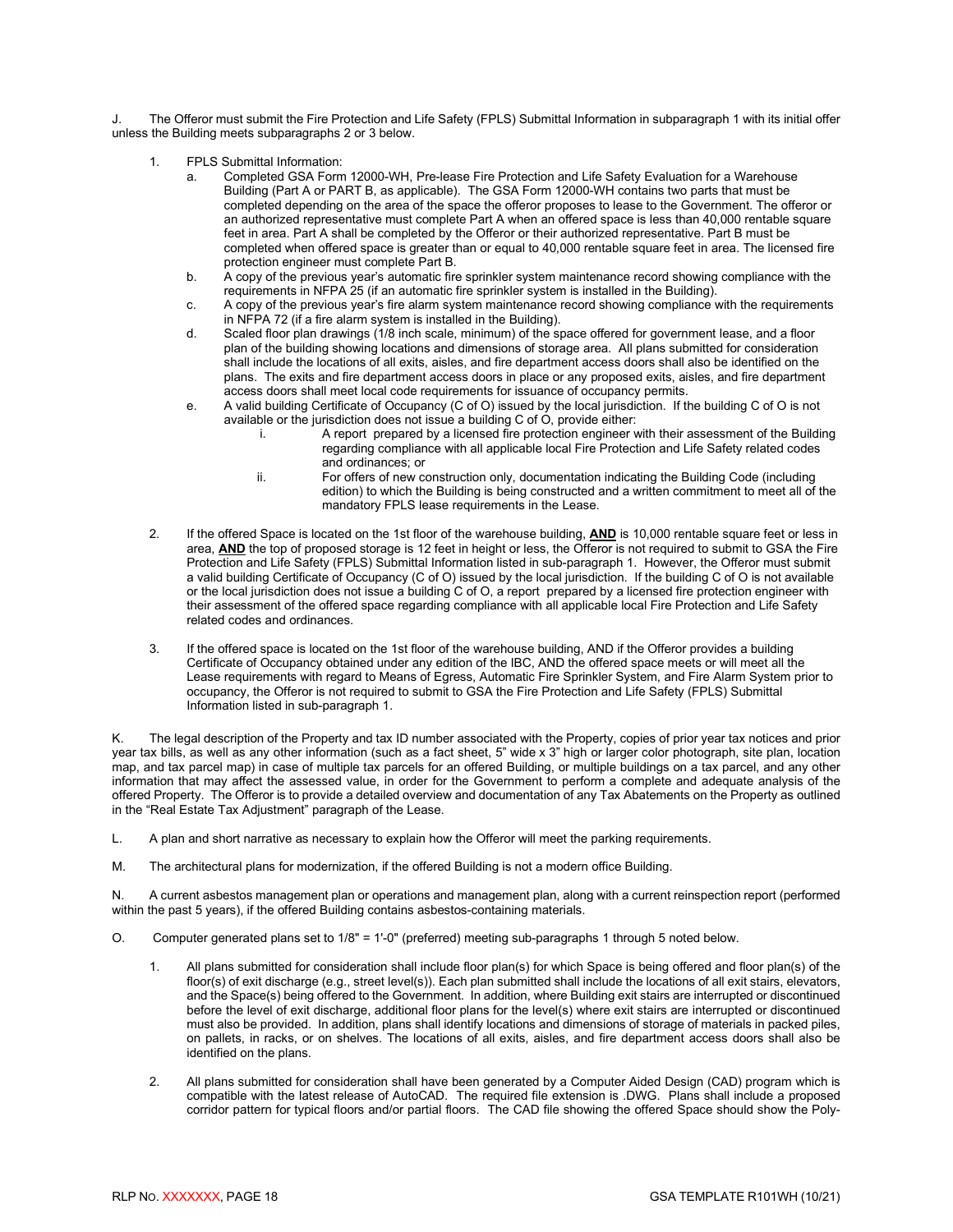The Offeror must submit the Fire Protection and Life Safety (FPLS) Submittal Information in subparagraph 1 with its initial offer unless the Building meets subparagraphs 2 or 3 below.

- 1. FPLS Submittal Information:
	- Completed GSA Form 12000-WH, Pre-lease Fire Protection and Life Safety Evaluation for a Warehouse Building (Part A or PART B, as applicable). The GSA Form 12000-WH contains two parts that must be completed depending on the area of the space the offeror proposes to lease to the Government. The offeror or an authorized representative must complete Part A when an offered space is less than 40,000 rentable square feet in area. Part A shall be completed by the Offeror or their authorized representative. Part B must be completed when offered space is greater than or equal to 40,000 rentable square feet in area. The licensed fire protection engineer must complete Part B.
	- b. A copy of the previous year's automatic fire sprinkler system maintenance record showing compliance with the requirements in NFPA 25 (if an automatic fire sprinkler system is installed in the Building).
	- c. A copy of the previous year's fire alarm system maintenance record showing compliance with the requirements in NFPA 72 (if a fire alarm system is installed in the Building).
	- d. Scaled floor plan drawings (1/8 inch scale, minimum) of the space offered for government lease, and a floor plan of the building showing locations and dimensions of storage area. All plans submitted for consideration shall include the locations of all exits, aisles, and fire department access doors shall also be identified on the plans. The exits and fire department access doors in place or any proposed exits, aisles, and fire department access doors shall meet local code requirements for issuance of occupancy permits.
	- e. A valid building Certificate of Occupancy (C of O) issued by the local jurisdiction. If the building C of O is not available or the jurisdiction does not issue a building C of O, provide either:<br>i. A report prepared by a licensed fire protection engineer w
		- A report prepared by a licensed fire protection engineer with their assessment of the Building regarding compliance with all applicable local Fire Protection and Life Safety related codes and ordinances; or
		- ii. For offers of new construction only, documentation indicating the Building Code (including edition) to which the Building is being constructed and a written commitment to meet all of the mandatory FPLS lease requirements in the Lease.
- 2. If the offered Space is located on the 1st floor of the warehouse building, **AND** is 10,000 rentable square feet or less in area, **AND** the top of proposed storage is 12 feet in height or less, the Offeror is not required to submit to GSA the Fire Protection and Life Safety (FPLS) Submittal Information listed in sub-paragraph 1. However, the Offeror must submit a valid building Certificate of Occupancy (C of O) issued by the local jurisdiction. If the building C of O is not available or the local jurisdiction does not issue a building C of O, a report prepared by a licensed fire protection engineer with their assessment of the offered space regarding compliance with all applicable local Fire Protection and Life Safety related codes and ordinances.
- 3. If the offered space is located on the 1st floor of the warehouse building, AND if the Offeror provides a building Certificate of Occupancy obtained under any edition of the IBC, AND the offered space meets or will meet all the Lease requirements with regard to Means of Egress, Automatic Fire Sprinkler System, and Fire Alarm System prior to occupancy, the Offeror is not required to submit to GSA the Fire Protection and Life Safety (FPLS) Submittal Information listed in sub-paragraph 1.

K. The legal description of the Property and tax ID number associated with the Property, copies of prior year tax notices and prior year tax bills, as well as any other information (such as a fact sheet, 5" wide x 3" high or larger color photograph, site plan, location map, and tax parcel map) in case of multiple tax parcels for an offered Building, or multiple buildings on a tax parcel, and any other information that may affect the assessed value, in order for the Government to perform a complete and adequate analysis of the offered Property. The Offeror is to provide a detailed overview and documentation of any Tax Abatements on the Property as outlined in the "Real Estate Tax Adjustment" paragraph of the Lease.

- L. A plan and short narrative as necessary to explain how the Offeror will meet the parking requirements.
- M. The architectural plans for modernization, if the offered Building is not a modern office Building.

N. A current asbestos management plan or operations and management plan, along with a current reinspection report (performed within the past 5 years), if the offered Building contains asbestos-containing materials.

- O. Computer generated plans set to 1/8" = 1'-0" (preferred) meeting sub-paragraphs 1 through 5 noted below.
	- 1. All plans submitted for consideration shall include floor plan(s) for which Space is being offered and floor plan(s) of the floor(s) of exit discharge (e.g., street level(s)). Each plan submitted shall include the locations of all exit stairs, elevators, and the Space(s) being offered to the Government. In addition, where Building exit stairs are interrupted or discontinued before the level of exit discharge, additional floor plans for the level(s) where exit stairs are interrupted or discontinued must also be provided. In addition, plans shall identify locations and dimensions of storage of materials in packed piles, on pallets, in racks, or on shelves. The locations of all exits, aisles, and fire department access doors shall also be identified on the plans.
	- 2. All plans submitted for consideration shall have been generated by a Computer Aided Design (CAD) program which is compatible with the latest release of AutoCAD. The required file extension is .DWG. Plans shall include a proposed corridor pattern for typical floors and/or partial floors. The CAD file showing the offered Space should show the Poly-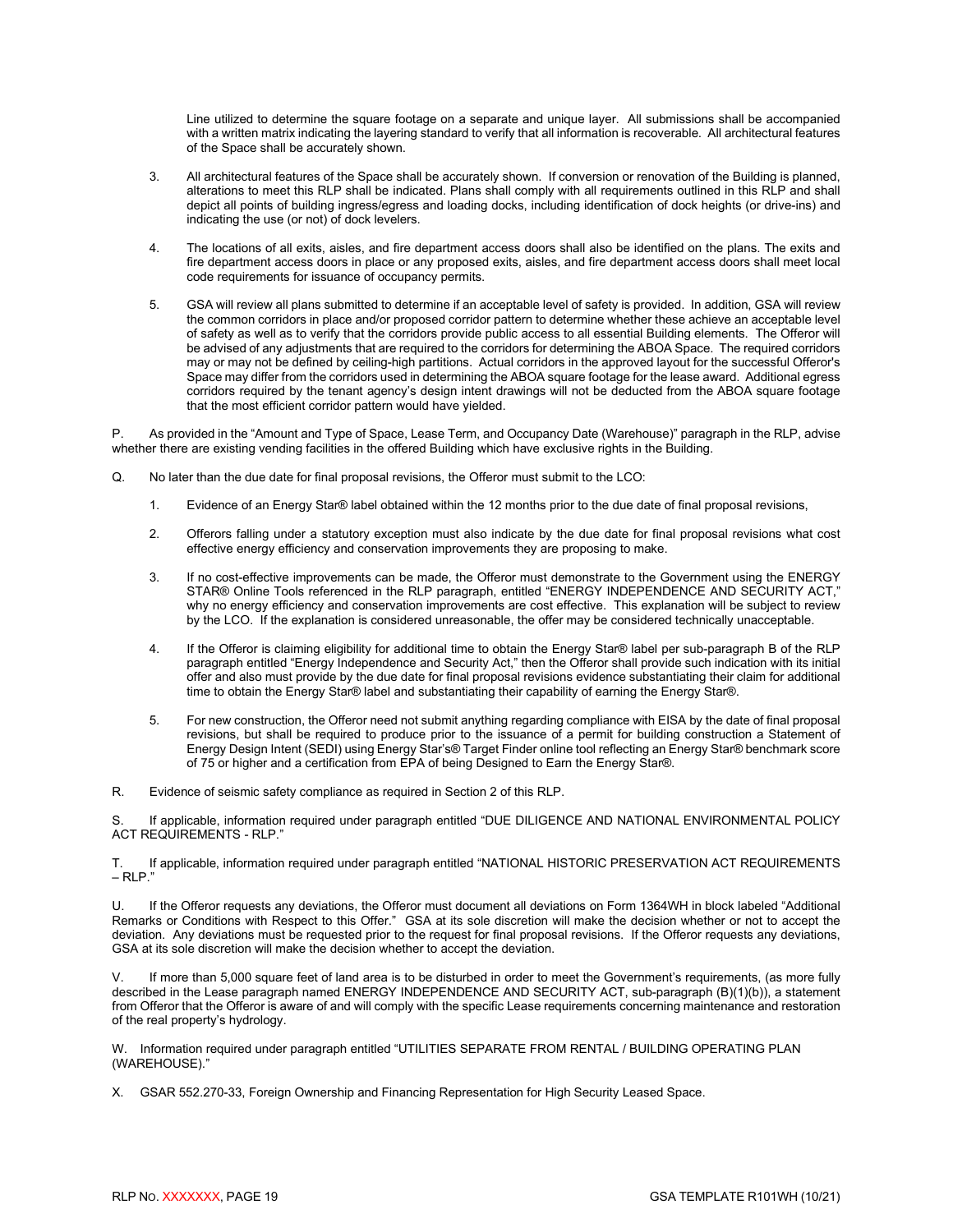Line utilized to determine the square footage on a separate and unique layer. All submissions shall be accompanied with a written matrix indicating the layering standard to verify that all information is recoverable. All architectural features of the Space shall be accurately shown.

- 3. All architectural features of the Space shall be accurately shown. If conversion or renovation of the Building is planned, alterations to meet this RLP shall be indicated. Plans shall comply with all requirements outlined in this RLP and shall depict all points of building ingress/egress and loading docks, including identification of dock heights (or drive-ins) and indicating the use (or not) of dock levelers.
- 4. The locations of all exits, aisles, and fire department access doors shall also be identified on the plans. The exits and fire department access doors in place or any proposed exits, aisles, and fire department access doors shall meet local code requirements for issuance of occupancy permits.
- 5. GSA will review all plans submitted to determine if an acceptable level of safety is provided. In addition, GSA will review the common corridors in place and/or proposed corridor pattern to determine whether these achieve an acceptable level of safety as well as to verify that the corridors provide public access to all essential Building elements. The Offeror will be advised of any adjustments that are required to the corridors for determining the ABOA Space. The required corridors may or may not be defined by ceiling-high partitions. Actual corridors in the approved layout for the successful Offeror's Space may differ from the corridors used in determining the ABOA square footage for the lease award. Additional egress corridors required by the tenant agency's design intent drawings will not be deducted from the ABOA square footage that the most efficient corridor pattern would have yielded.

P. As provided in the "Amount and Type of Space, Lease Term, and Occupancy Date (Warehouse)" paragraph in the RLP, advise whether there are existing vending facilities in the offered Building which have exclusive rights in the Building.

- Q. No later than the due date for final proposal revisions, the Offeror must submit to the LCO:
	- 1. Evidence of an Energy Star® label obtained within the 12 months prior to the due date of final proposal revisions,
	- 2. Offerors falling under a statutory exception must also indicate by the due date for final proposal revisions what cost effective energy efficiency and conservation improvements they are proposing to make.
	- 3. If no cost-effective improvements can be made, the Offeror must demonstrate to the Government using the ENERGY STAR® Online Tools referenced in the RLP paragraph, entitled "ENERGY INDEPENDENCE AND SECURITY ACT," why no energy efficiency and conservation improvements are cost effective. This explanation will be subject to review by the LCO. If the explanation is considered unreasonable, the offer may be considered technically unacceptable.
	- 4. If the Offeror is claiming eligibility for additional time to obtain the Energy Star® label per sub-paragraph B of the RLP paragraph entitled "Energy Independence and Security Act," then the Offeror shall provide such indication with its initial offer and also must provide by the due date for final proposal revisions evidence substantiating their claim for additional time to obtain the Energy Star® label and substantiating their capability of earning the Energy Star®.
	- 5. For new construction, the Offeror need not submit anything regarding compliance with EISA by the date of final proposal revisions, but shall be required to produce prior to the issuance of a permit for building construction a Statement of Energy Design Intent (SEDI) using Energy Star's® Target Finder online tool reflecting an Energy Star® benchmark score of 75 or higher and a certification from EPA of being Designed to Earn the Energy Star®.

R. Evidence of seismic safety compliance as required in Section 2 of this RLP.

S. If applicable, information required under paragraph entitled "DUE DILIGENCE AND NATIONAL ENVIRONMENTAL POLICY ACT REQUIREMENTS - RLP."

T. If applicable, information required under paragraph entitled "NATIONAL HISTORIC PRESERVATION ACT REQUIREMENTS  $-$  RLP."

U. If the Offeror requests any deviations, the Offeror must document all deviations on Form 1364WH in block labeled "Additional Remarks or Conditions with Respect to this Offer." GSA at its sole discretion will make the decision whether or not to accept the deviation. Any deviations must be requested prior to the request for final proposal revisions. If the Offeror requests any deviations, GSA at its sole discretion will make the decision whether to accept the deviation.

If more than 5,000 square feet of land area is to be disturbed in order to meet the Government's requirements, (as more fully described in the Lease paragraph named ENERGY INDEPENDENCE AND SECURITY ACT, sub-paragraph (B)(1)(b)), a statement from Offeror that the Offeror is aware of and will comply with the specific Lease requirements concerning maintenance and restoration of the real property's hydrology.

W. Information required under paragraph entitled "UTILITIES SEPARATE FROM RENTAL / BUILDING OPERATING PLAN (WAREHOUSE)."

X. GSAR 552.270-33, Foreign Ownership and Financing Representation for High Security Leased Space.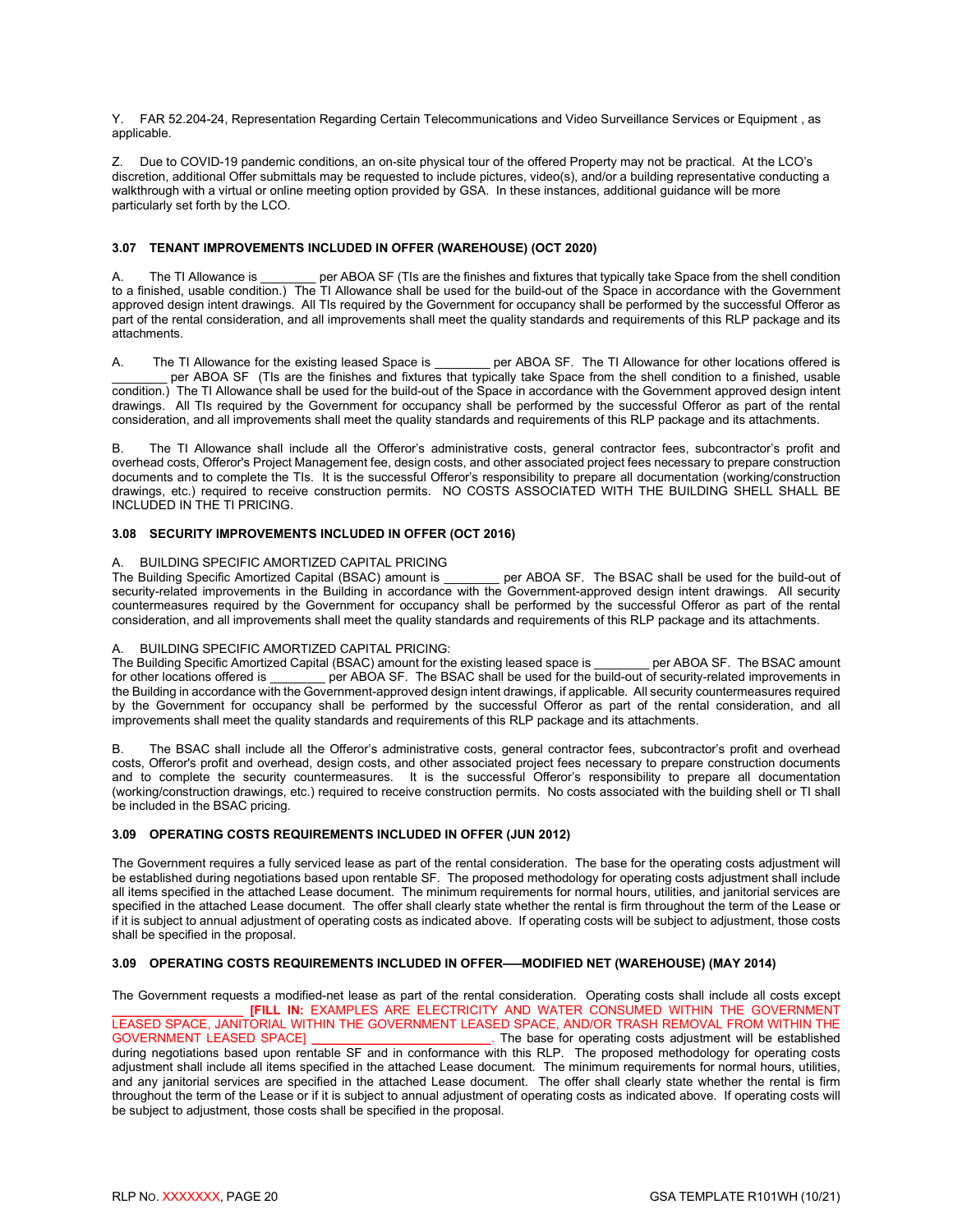Y. FAR 52.204-24, Representation Regarding Certain Telecommunications and Video Surveillance Services or Equipment , as applicable.

Z. Due to COVID-19 pandemic conditions, an on-site physical tour of the offered Property may not be practical. At the LCO's discretion, additional Offer submittals may be requested to include pictures, video(s), and/or a building representative conducting a walkthrough with a virtual or online meeting option provided by GSA. In these instances, additional guidance will be more particularly set forth by the LCO.

#### <span id="page-22-0"></span>**3.07 TENANT IMPROVEMENTS INCLUDED IN OFFER (WAREHOUSE) (OCT 2020)**

A. The TI Allowance is \_\_\_\_\_\_\_\_ per ABOA SF (TIs are the finishes and fixtures that typically take Space from the shell condition to a finished, usable condition.) The TI Allowance shall be used for the build-out of the Space in accordance with the Government approved design intent drawings. All TIs required by the Government for occupancy shall be performed by the successful Offeror as part of the rental consideration, and all improvements shall meet the quality standards and requirements of this RLP package and its attachments.

A. The TI Allowance for the existing leased Space is \_\_\_\_\_\_\_ per ABOA SF. The TI Allowance for other locations offered is per ABOA SF (TIs are the finishes and fixtures that typically take Space from the shell condition to a finished, usable condition.) The TI Allowance shall be used for the build-out of the Space in accordance with the Government approved design intent drawings. All TIs required by the Government for occupancy shall be performed by the successful Offeror as part of the rental consideration, and all improvements shall meet the quality standards and requirements of this RLP package and its attachments.

B.The TI Allowance shall include all the Offeror's administrative costs, general contractor fees, subcontractor's profit and overhead costs, Offeror's Project Management fee, design costs, and other associated project fees necessary to prepare construction documents and to complete the TIs. It is the successful Offeror's responsibility to prepare all documentation (working/construction drawings, etc.) required to receive construction permits. NO COSTS ASSOCIATED WITH THE BUILDING SHELL SHALL BE INCLUDED IN THE TI PRICING.

#### <span id="page-22-1"></span>**3.08 SECURITY IMPROVEMENTS INCLUDED IN OFFER (OCT 2016)**

#### A. BUILDING SPECIFIC AMORTIZED CAPITAL PRICING

The Building Specific Amortized Capital (BSAC) amount is \_\_\_\_\_\_\_\_ per ABOA SF. The BSAC shall be used for the build-out of security-related improvements in the Building in accordance with the Government-approved design intent drawings. All security countermeasures required by the Government for occupancy shall be performed by the successful Offeror as part of the rental consideration, and all improvements shall meet the quality standards and requirements of this RLP package and its attachments.

#### **BUILDING SPECIFIC AMORTIZED CAPITAL PRICING:**

The Building Specific Amortized Capital (BSAC) amount for the existing leased space is \_\_\_\_\_\_\_ per ABOA SF. The BSAC amount for other locations offered is per ABOA SF. The BSAC shall be used for the build-out of security-r per ABOA SF. The BSAC shall be used for the build-out of security-related improvements in the Building in accordance with the Government-approved design intent drawings, if applicable. All security countermeasures required by the Government for occupancy shall be performed by the successful Offeror as part of the rental consideration, and all improvements shall meet the quality standards and requirements of this RLP package and its attachments.

B. The BSAC shall include all the Offeror's administrative costs, general contractor fees, subcontractor's profit and overhead costs, Offeror's profit and overhead, design costs, and other associated project fees necessary to prepare construction documents and to complete the security countermeasures. It is the successful Offeror's responsibility to prepare all documentation (working/construction drawings, etc.) required to receive construction permits. No costs associated with the building shell or TI shall be included in the BSAC pricing.

#### <span id="page-22-2"></span>**3.09 OPERATING COSTS REQUIREMENTS INCLUDED IN OFFER (JUN 2012)**

The Government requires a fully serviced lease as part of the rental consideration. The base for the operating costs adjustment will be established during negotiations based upon rentable SF. The proposed methodology for operating costs adjustment shall include all items specified in the attached Lease document. The minimum requirements for normal hours, utilities, and janitorial services are specified in the attached Lease document. The offer shall clearly state whether the rental is firm throughout the term of the Lease or if it is subject to annual adjustment of operating costs as indicated above. If operating costs will be subject to adjustment, those costs shall be specified in the proposal.

#### <span id="page-22-3"></span>**3.09 OPERATING COSTS REQUIREMENTS INCLUDED IN OFFER–—MODIFIED NET (WAREHOUSE) (MAY 2014)**

The Government requests a modified-net lease as part of the rental consideration. Operating costs shall include all costs except **\_\_\_\_\_\_\_\_\_\_\_\_\_\_\_\_\_\_\_ [FILL IN:** EXAMPLES ARE ELECTRICITY AND WATER CONSUMED WITHIN THE GOVERNMENT LEASED SPACE, JANITORIAL WITHIN THE GOVERNMENT LEASED SPACE, AND/OR TRASH REMOVAL FROM WITHIN THE GOVERNMENT LEASED SPACEI . The base for operating costs adjustment will be established during negotiations based upon rentable SF and in conformance with this RLP. The proposed methodology for operating costs adjustment shall include all items specified in the attached Lease document. The minimum requirements for normal hours, utilities, and any janitorial services are specified in the attached Lease document. The offer shall clearly state whether the rental is firm throughout the term of the Lease or if it is subject to annual adjustment of operating costs as indicated above. If operating costs will be subject to adjustment, those costs shall be specified in the proposal.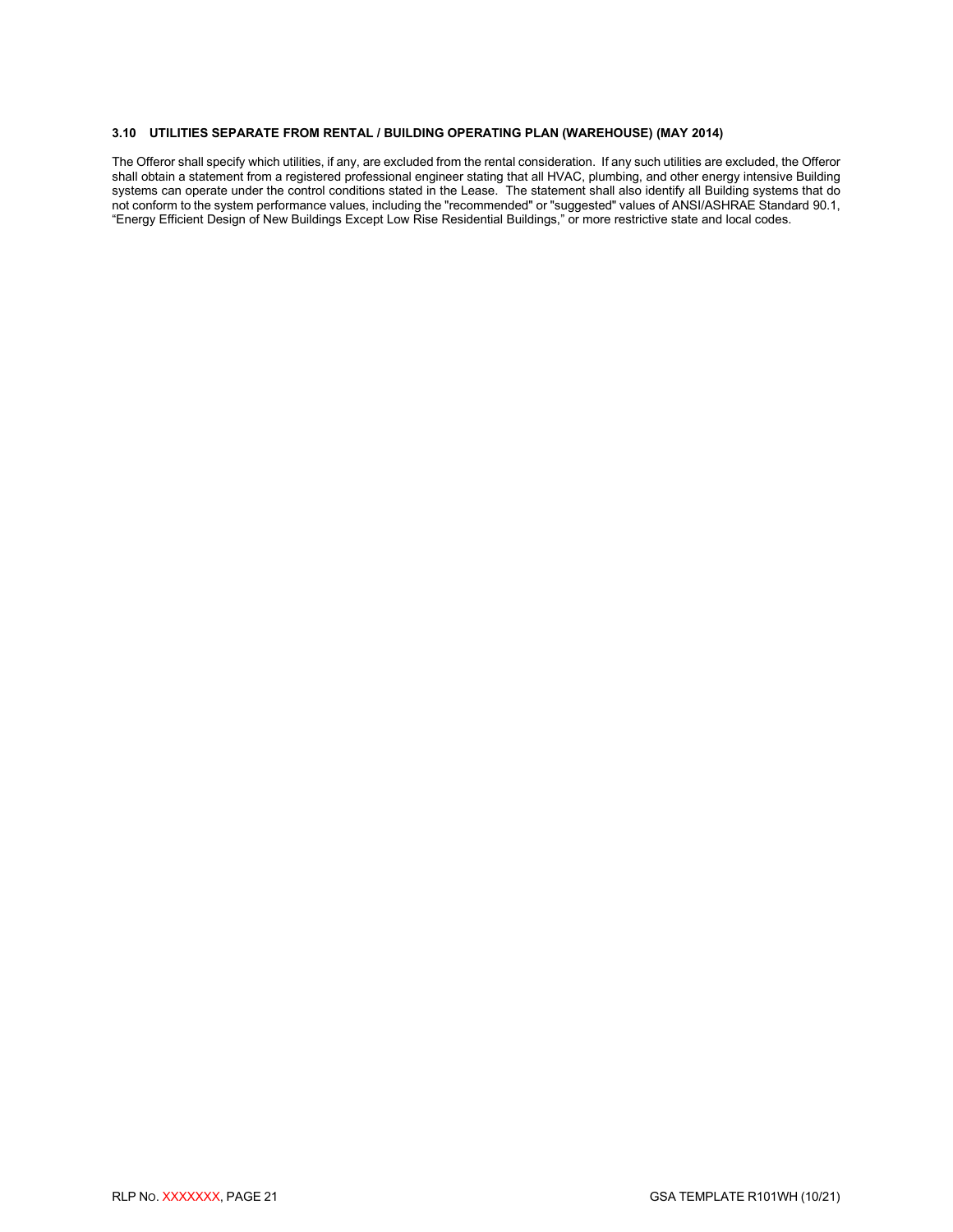#### <span id="page-23-0"></span>**3.10 UTILITIES SEPARATE FROM RENTAL / BUILDING OPERATING PLAN (WAREHOUSE) (MAY 2014)**

The Offeror shall specify which utilities, if any, are excluded from the rental consideration. If any such utilities are excluded, the Offeror shall obtain a statement from a registered professional engineer stating that all HVAC, plumbing, and other energy intensive Building systems can operate under the control conditions stated in the Lease. The statement shall also identify all Building systems that do not conform to the system performance values, including the "recommended" or "suggested" values of ANSI/ASHRAE Standard 90.1, "Energy Efficient Design of New Buildings Except Low Rise Residential Buildings," or more restrictive state and local codes.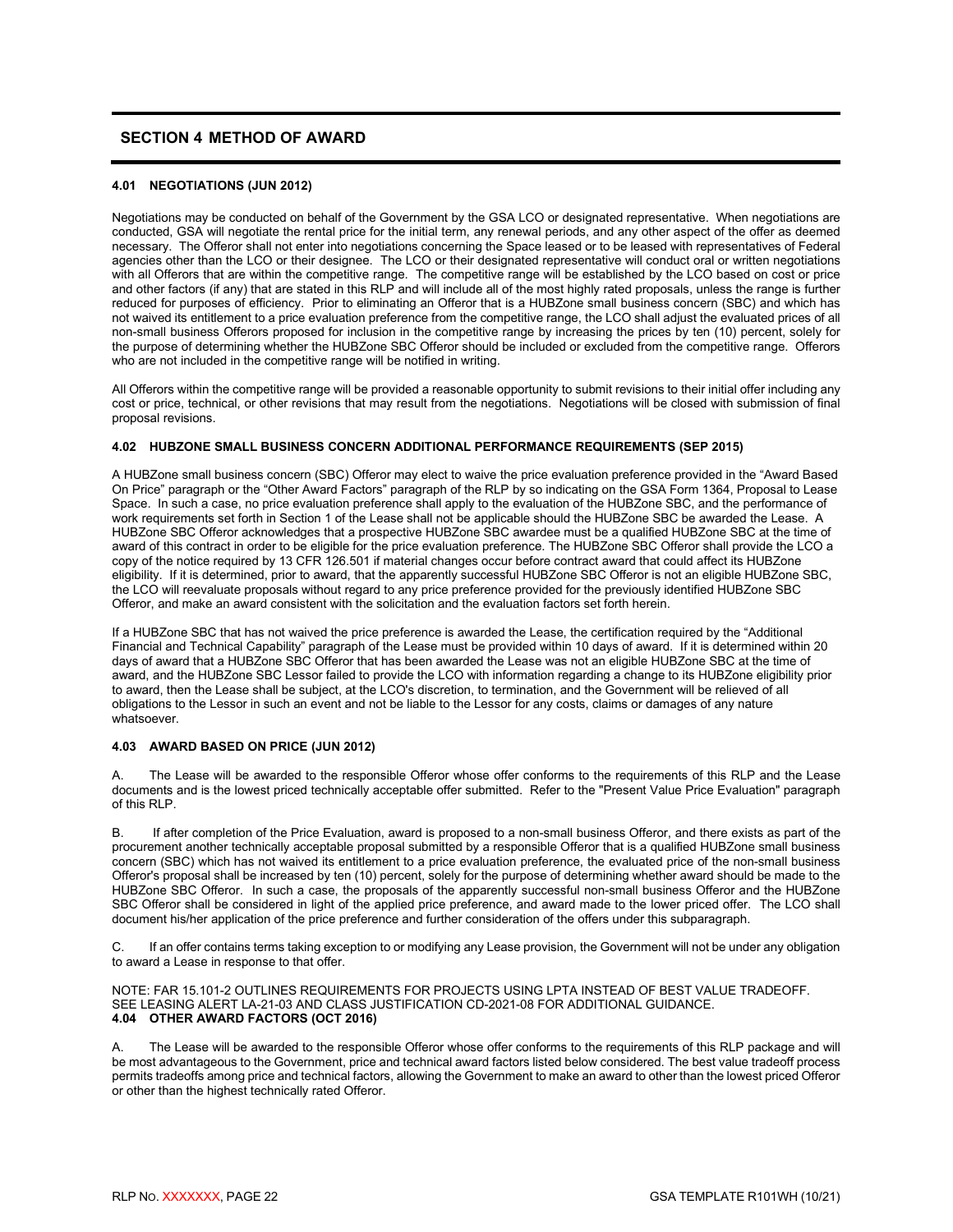# <span id="page-24-0"></span>**SECTION 4 METHOD OF AWARD**

#### <span id="page-24-1"></span>**4.01 NEGOTIATIONS (JUN 2012)**

Negotiations may be conducted on behalf of the Government by the GSA LCO or designated representative. When negotiations are conducted, GSA will negotiate the rental price for the initial term, any renewal periods, and any other aspect of the offer as deemed necessary. The Offeror shall not enter into negotiations concerning the Space leased or to be leased with representatives of Federal agencies other than the LCO or their designee. The LCO or their designated representative will conduct oral or written negotiations with all Offerors that are within the competitive range. The competitive range will be established by the LCO based on cost or price and other factors (if any) that are stated in this RLP and will include all of the most highly rated proposals, unless the range is further reduced for purposes of efficiency. Prior to eliminating an Offeror that is a HUBZone small business concern (SBC) and which has not waived its entitlement to a price evaluation preference from the competitive range, the LCO shall adjust the evaluated prices of all non-small business Offerors proposed for inclusion in the competitive range by increasing the prices by ten (10) percent, solely for the purpose of determining whether the HUBZone SBC Offeror should be included or excluded from the competitive range. Offerors who are not included in the competitive range will be notified in writing.

All Offerors within the competitive range will be provided a reasonable opportunity to submit revisions to their initial offer including any cost or price, technical, or other revisions that may result from the negotiations. Negotiations will be closed with submission of final proposal revisions.

#### <span id="page-24-2"></span>**4.02 HUBZONE SMALL BUSINESS CONCERN ADDITIONAL PERFORMANCE REQUIREMENTS (SEP 2015)**

A HUBZone small business concern (SBC) Offeror may elect to waive the price evaluation preference provided in the "Award Based On Price" paragraph or the "Other Award Factors" paragraph of the RLP by so indicating on the GSA Form 1364, Proposal to Lease Space. In such a case, no price evaluation preference shall apply to the evaluation of the HUBZone SBC, and the performance of work requirements set forth in Section 1 of the Lease shall not be applicable should the HUBZone SBC be awarded the Lease. A HUBZone SBC Offeror acknowledges that a prospective HUBZone SBC awardee must be a qualified HUBZone SBC at the time of award of this contract in order to be eligible for the price evaluation preference. The HUBZone SBC Offeror shall provide the LCO a copy of the notice required by 13 CFR 126.501 if material changes occur before contract award that could affect its HUBZone eligibility. If it is determined, prior to award, that the apparently successful HUBZone SBC Offeror is not an eligible HUBZone SBC, the LCO will reevaluate proposals without regard to any price preference provided for the previously identified HUBZone SBC Offeror, and make an award consistent with the solicitation and the evaluation factors set forth herein.

If a HUBZone SBC that has not waived the price preference is awarded the Lease, the certification required by the "Additional Financial and Technical Capability" paragraph of the Lease must be provided within 10 days of award. If it is determined within 20 days of award that a HUBZone SBC Offeror that has been awarded the Lease was not an eligible HUBZone SBC at the time of award, and the HUBZone SBC Lessor failed to provide the LCO with information regarding a change to its HUBZone eligibility prior to award, then the Lease shall be subject, at the LCO's discretion, to termination, and the Government will be relieved of all obligations to the Lessor in such an event and not be liable to the Lessor for any costs, claims or damages of any nature whatsoever.

#### <span id="page-24-3"></span>**4.03 AWARD BASED ON PRICE (JUN 2012)**

The Lease will be awarded to the responsible Offeror whose offer conforms to the requirements of this RLP and the Lease documents and is the lowest priced technically acceptable offer submitted. Refer to the "Present Value Price Evaluation" paragraph of this RLP.

B. If after completion of the Price Evaluation, award is proposed to a non-small business Offeror, and there exists as part of the procurement another technically acceptable proposal submitted by a responsible Offeror that is a qualified HUBZone small business concern (SBC) which has not waived its entitlement to a price evaluation preference, the evaluated price of the non-small business Offeror's proposal shall be increased by ten (10) percent, solely for the purpose of determining whether award should be made to the HUBZone SBC Offeror. In such a case, the proposals of the apparently successful non-small business Offeror and the HUBZone SBC Offeror shall be considered in light of the applied price preference, and award made to the lower priced offer. The LCO shall document his/her application of the price preference and further consideration of the offers under this subparagraph.

C. If an offer contains terms taking exception to or modifying any Lease provision, the Government will not be under any obligation to award a Lease in response to that offer.

<span id="page-24-4"></span>NOTE: FAR 15.101-2 OUTLINES REQUIREMENTS FOR PROJECTS USING LPTA INSTEAD OF BEST VALUE TRADEOFF. SEE LEASING ALERT LA-21-03 AND CLASS JUSTIFICATION CD-2021-08 FOR ADDITIONAL GUIDANCE. **4.04 OTHER AWARD FACTORS (OCT 2016)**

The Lease will be awarded to the responsible Offeror whose offer conforms to the requirements of this RLP package and will be most advantageous to the Government, price and technical award factors listed below considered. The best value tradeoff process permits tradeoffs among price and technical factors, allowing the Government to make an award to other than the lowest priced Offeror or other than the highest technically rated Offeror.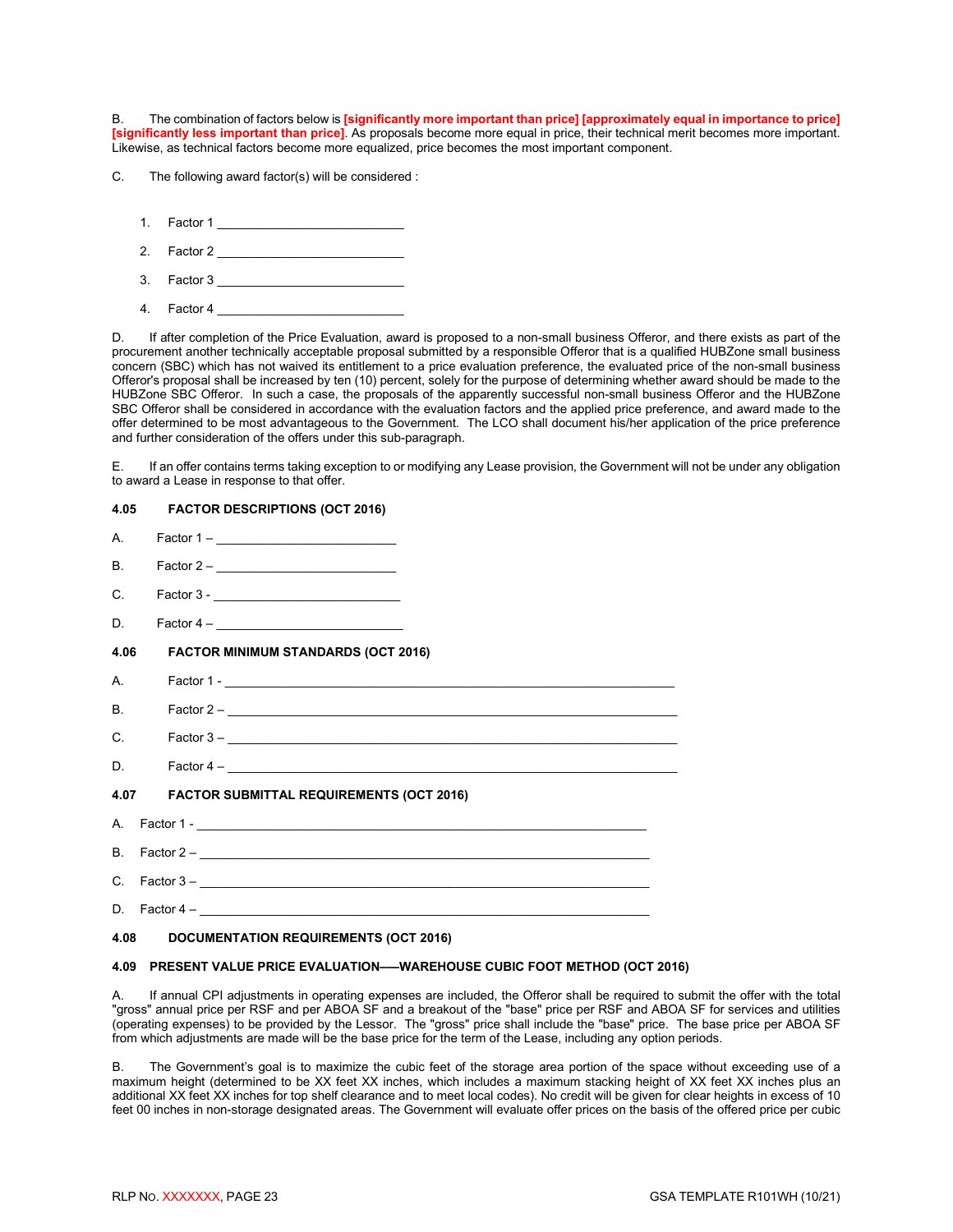B. The combination of factors below is **[significantly more important than price] [approximately equal in importance to price] [significantly less important than price]**. As proposals become more equal in price, their technical merit becomes more important. Likewise, as technical factors become more equalized, price becomes the most important component.

C. The following award factor(s) will be considered :

- 1. Factor 1 \_\_\_\_\_\_\_\_\_\_\_\_\_\_\_\_\_\_\_\_\_\_\_\_\_\_\_
- 2. Factor 2 \_\_\_\_\_\_\_\_\_\_\_\_\_\_\_\_\_\_\_\_\_\_\_\_\_\_\_
- 3. Factor 3 \_\_\_\_\_\_\_\_\_\_\_\_\_\_\_\_\_\_\_\_\_\_\_\_\_\_\_
- 4. Factor 4

D. If after completion of the Price Evaluation, award is proposed to a non-small business Offeror, and there exists as part of the procurement another technically acceptable proposal submitted by a responsible Offeror that is a qualified HUBZone small business concern (SBC) which has not waived its entitlement to a price evaluation preference, the evaluated price of the non-small business Offeror's proposal shall be increased by ten (10) percent, solely for the purpose of determining whether award should be made to the HUBZone SBC Offeror. In such a case, the proposals of the apparently successful non-small business Offeror and the HUBZone SBC Offeror shall be considered in accordance with the evaluation factors and the applied price preference, and award made to the offer determined to be most advantageous to the Government. The LCO shall document his/her application of the price preference and further consideration of the offers under this sub-paragraph.

E. If an offer contains terms taking exception to or modifying any Lease provision, the Government will not be under any obligation to award a Lease in response to that offer.

#### <span id="page-25-0"></span>**4.05 FACTOR DESCRIPTIONS (OCT 2016)**

<span id="page-25-1"></span>

|         | B. Factor $2-\underline{\hspace{2cm}}$        |  |  |
|---------|-----------------------------------------------|--|--|
| $C_{1}$ |                                               |  |  |
|         |                                               |  |  |
|         | 4.06 FACTOR MINIMUM STANDARDS (OCT 2016)      |  |  |
|         |                                               |  |  |
| B.      |                                               |  |  |
|         |                                               |  |  |
|         |                                               |  |  |
|         | 4.07 FACTOR SUBMITTAL REQUIREMENTS (OCT 2016) |  |  |
|         |                                               |  |  |
|         |                                               |  |  |
|         | C. Factor $3 -$                               |  |  |
|         |                                               |  |  |
|         | 4.08 DOCUMENTATION REQUIREMENTS (OCT 2016)    |  |  |

### <span id="page-25-4"></span><span id="page-25-3"></span><span id="page-25-2"></span>**4.09 PRESENT VALUE PRICE EVALUATION–—WAREHOUSE CUBIC FOOT METHOD (OCT 2016)**

A. If annual CPI adjustments in operating expenses are included, the Offeror shall be required to submit the offer with the total "gross" annual price per RSF and per ABOA SF and a breakout of the "base" price per RSF and ABOA SF for services and utilities (operating expenses) to be provided by the Lessor. The "gross" price shall include the "base" price. The base price per ABOA SF from which adjustments are made will be the base price for the term of the Lease, including any option periods.

B. The Government's goal is to maximize the cubic feet of the storage area portion of the space without exceeding use of a maximum height (determined to be XX feet XX inches, which includes a maximum stacking height of XX feet XX inches plus an additional XX feet XX inches for top shelf clearance and to meet local codes). No credit will be given for clear heights in excess of 10 feet 00 inches in non-storage designated areas. The Government will evaluate offer prices on the basis of the offered price per cubic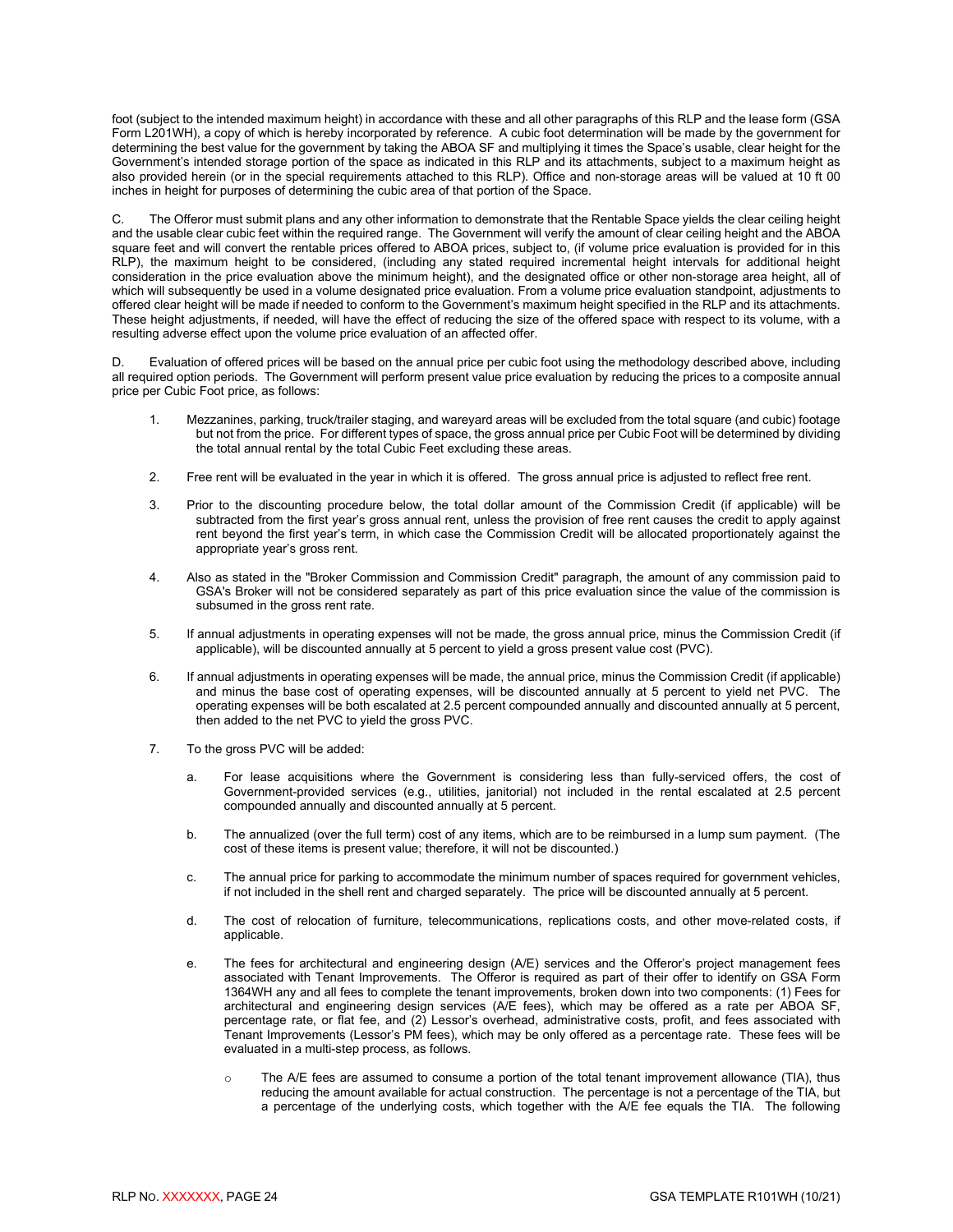foot (subject to the intended maximum height) in accordance with these and all other paragraphs of this RLP and the lease form (GSA Form L201WH), a copy of which is hereby incorporated by reference. A cubic foot determination will be made by the government for determining the best value for the government by taking the ABOA SF and multiplying it times the Space's usable, clear height for the Government's intended storage portion of the space as indicated in this RLP and its attachments, subject to a maximum height as also provided herein (or in the special requirements attached to this RLP). Office and non-storage areas will be valued at 10 ft 00 inches in height for purposes of determining the cubic area of that portion of the Space.

C. The Offeror must submit plans and any other information to demonstrate that the Rentable Space yields the clear ceiling height and the usable clear cubic feet within the required range. The Government will verify the amount of clear ceiling height and the ABOA square feet and will convert the rentable prices offered to ABOA prices, subject to, (if volume price evaluation is provided for in this RLP), the maximum height to be considered, (including any stated required incremental height intervals for additional height consideration in the price evaluation above the minimum height), and the designated office or other non-storage area height, all of which will subsequently be used in a volume designated price evaluation. From a volume price evaluation standpoint, adjustments to offered clear height will be made if needed to conform to the Government's maximum height specified in the RLP and its attachments. These height adjustments, if needed, will have the effect of reducing the size of the offered space with respect to its volume, with a resulting adverse effect upon the volume price evaluation of an affected offer.

D. Evaluation of offered prices will be based on the annual price per cubic foot using the methodology described above, including all required option periods. The Government will perform present value price evaluation by reducing the prices to a composite annual price per Cubic Foot price, as follows:

- 1. Mezzanines, parking, truck/trailer staging, and wareyard areas will be excluded from the total square (and cubic) footage but not from the price. For different types of space, the gross annual price per Cubic Foot will be determined by dividing the total annual rental by the total Cubic Feet excluding these areas.
- 2. Free rent will be evaluated in the year in which it is offered. The gross annual price is adjusted to reflect free rent.
- 3. Prior to the discounting procedure below, the total dollar amount of the Commission Credit (if applicable) will be subtracted from the first year's gross annual rent, unless the provision of free rent causes the credit to apply against rent beyond the first year's term, in which case the Commission Credit will be allocated proportionately against the appropriate year's gross rent.
- 4. Also as stated in the "Broker Commission and Commission Credit" paragraph, the amount of any commission paid to GSA's Broker will not be considered separately as part of this price evaluation since the value of the commission is subsumed in the gross rent rate.
- 5. If annual adjustments in operating expenses will not be made, the gross annual price, minus the Commission Credit (if applicable), will be discounted annually at 5 percent to yield a gross present value cost (PVC).
- 6. If annual adjustments in operating expenses will be made, the annual price, minus the Commission Credit (if applicable) and minus the base cost of operating expenses, will be discounted annually at 5 percent to yield net PVC. The operating expenses will be both escalated at 2.5 percent compounded annually and discounted annually at 5 percent, then added to the net PVC to yield the gross PVC.
- 7. To the gross PVC will be added:
	- a. For lease acquisitions where the Government is considering less than fully-serviced offers, the cost of Government-provided services (e.g., utilities, janitorial) not included in the rental escalated at 2.5 percent compounded annually and discounted annually at 5 percent.
	- b. The annualized (over the full term) cost of any items, which are to be reimbursed in a lump sum payment. (The cost of these items is present value; therefore, it will not be discounted.)
	- c. The annual price for parking to accommodate the minimum number of spaces required for government vehicles, if not included in the shell rent and charged separately. The price will be discounted annually at 5 percent.
	- d. The cost of relocation of furniture, telecommunications, replications costs, and other move-related costs, if applicable.
	- e. The fees for architectural and engineering design (A/E) services and the Offeror's project management fees associated with Tenant Improvements. The Offeror is required as part of their offer to identify on GSA Form 1364WH any and all fees to complete the tenant improvements, broken down into two components: (1) Fees for architectural and engineering design services (A/E fees), which may be offered as a rate per ABOA SF, percentage rate, or flat fee, and (2) Lessor's overhead, administrative costs, profit, and fees associated with Tenant Improvements (Lessor's PM fees), which may be only offered as a percentage rate. These fees will be evaluated in a multi-step process, as follows.
		- o The A/E fees are assumed to consume a portion of the total tenant improvement allowance (TIA), thus reducing the amount available for actual construction. The percentage is not a percentage of the TIA, but a percentage of the underlying costs, which together with the A/E fee equals the TIA. The following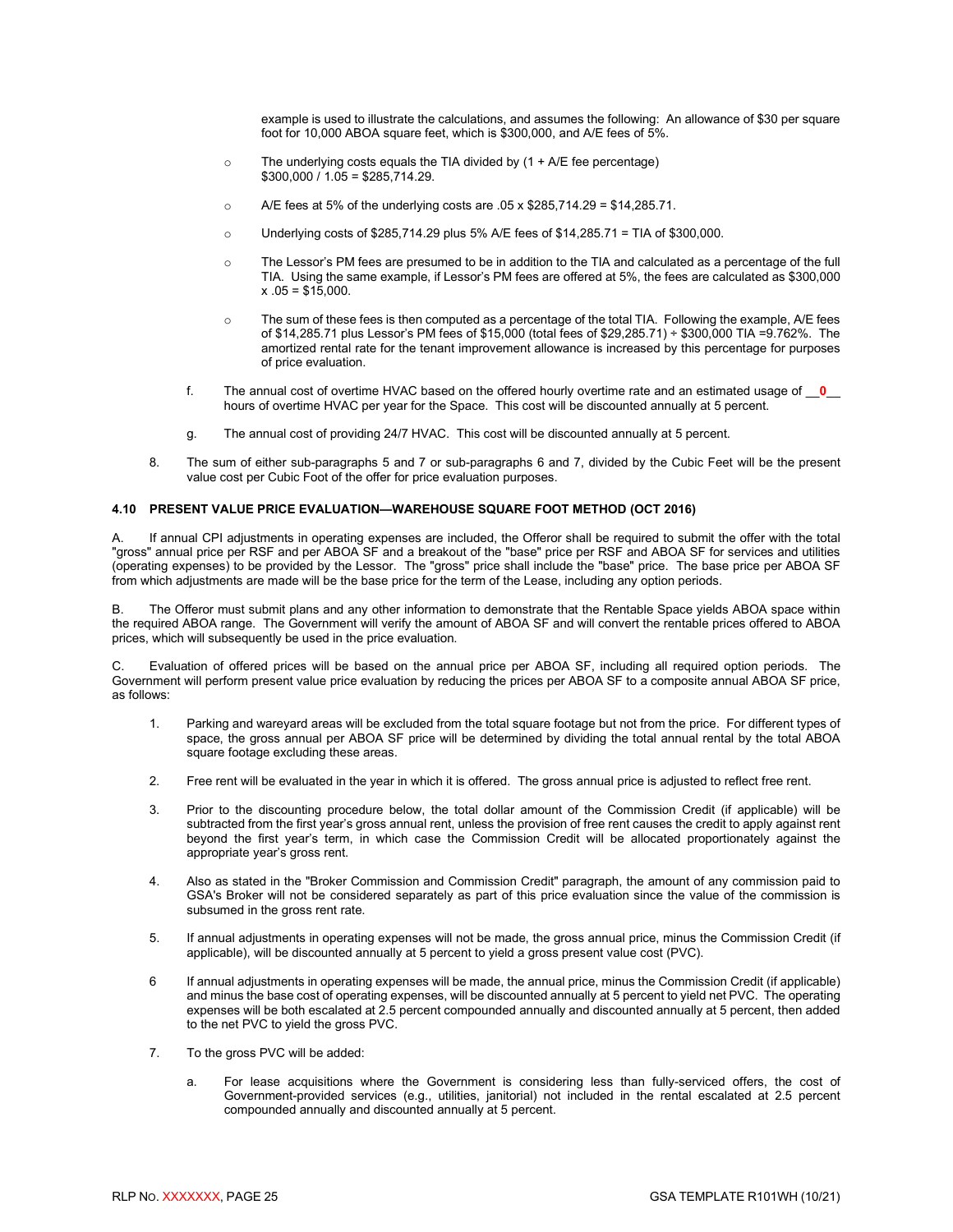example is used to illustrate the calculations, and assumes the following: An allowance of \$30 per square foot for 10,000 ABOA square feet, which is \$300,000, and A/E fees of 5%.

- $\circ$  The underlying costs equals the TIA divided by (1 + A/E fee percentage)  $$300,000 / 1.05 = $285,714.29.$
- o A/E fees at 5% of the underlying costs are .05 x \$285,714.29 = \$14,285.71.
- $\circ$  Underlying costs of \$285,714.29 plus 5% A/E fees of \$14,285.71 = TIA of \$300,000.
- o The Lessor's PM fees are presumed to be in addition to the TIA and calculated as a percentage of the full TIA. Using the same example, if Lessor's PM fees are offered at 5%, the fees are calculated as \$300,000  $x .05 = $15,000.$
- $\circ$  The sum of these fees is then computed as a percentage of the total TIA. Following the example, A/E fees of \$14,285.71 plus Lessor's PM fees of \$15,000 (total fees of \$29,285.71) ÷ \$300,000 TIA =9.762%. The amortized rental rate for the tenant improvement allowance is increased by this percentage for purposes of price evaluation.
- f. The annual cost of overtime HVAC based on the offered hourly overtime rate and an estimated usage of \_\_**0**\_\_ hours of overtime HVAC per year for the Space. This cost will be discounted annually at 5 percent.
- g. The annual cost of providing 24/7 HVAC. This cost will be discounted annually at 5 percent.
- 8. The sum of either sub-paragraphs 5 and 7 or sub-paragraphs 6 and 7, divided by the Cubic Feet will be the present value cost per Cubic Foot of the offer for price evaluation purposes.

#### <span id="page-27-0"></span>**4.10 PRESENT VALUE PRICE EVALUATION—WAREHOUSE SQUARE FOOT METHOD (OCT 2016)**

A. If annual CPI adjustments in operating expenses are included, the Offeror shall be required to submit the offer with the total "gross" annual price per RSF and per ABOA SF and a breakout of the "base" price per RSF and ABOA SF for services and utilities (operating expenses) to be provided by the Lessor. The "gross" price shall include the "base" price. The base price per ABOA SF from which adjustments are made will be the base price for the term of the Lease, including any option periods.

B. The Offeror must submit plans and any other information to demonstrate that the Rentable Space yields ABOA space within the required ABOA range. The Government will verify the amount of ABOA SF and will convert the rentable prices offered to ABOA prices, which will subsequently be used in the price evaluation.

C. Evaluation of offered prices will be based on the annual price per ABOA SF, including all required option periods. The Government will perform present value price evaluation by reducing the prices per ABOA SF to a composite annual ABOA SF price, as follows:

- 1. Parking and wareyard areas will be excluded from the total square footage but not from the price. For different types of space, the gross annual per ABOA SF price will be determined by dividing the total annual rental by the total ABOA square footage excluding these areas.
- 2. Free rent will be evaluated in the year in which it is offered. The gross annual price is adjusted to reflect free rent.
- 3. Prior to the discounting procedure below, the total dollar amount of the Commission Credit (if applicable) will be subtracted from the first year's gross annual rent, unless the provision of free rent causes the credit to apply against rent beyond the first year's term, in which case the Commission Credit will be allocated proportionately against the appropriate year's gross rent.
- 4. Also as stated in the "Broker Commission and Commission Credit" paragraph, the amount of any commission paid to GSA's Broker will not be considered separately as part of this price evaluation since the value of the commission is subsumed in the gross rent rate.
- 5. If annual adjustments in operating expenses will not be made, the gross annual price, minus the Commission Credit (if applicable), will be discounted annually at 5 percent to yield a gross present value cost (PVC).
- 6 If annual adjustments in operating expenses will be made, the annual price, minus the Commission Credit (if applicable) and minus the base cost of operating expenses, will be discounted annually at 5 percent to yield net PVC. The operating expenses will be both escalated at 2.5 percent compounded annually and discounted annually at 5 percent, then added to the net PVC to yield the gross PVC.
- 7. To the gross PVC will be added:
	- a. For lease acquisitions where the Government is considering less than fully-serviced offers, the cost of Government-provided services (e.g., utilities, janitorial) not included in the rental escalated at 2.5 percent compounded annually and discounted annually at 5 percent.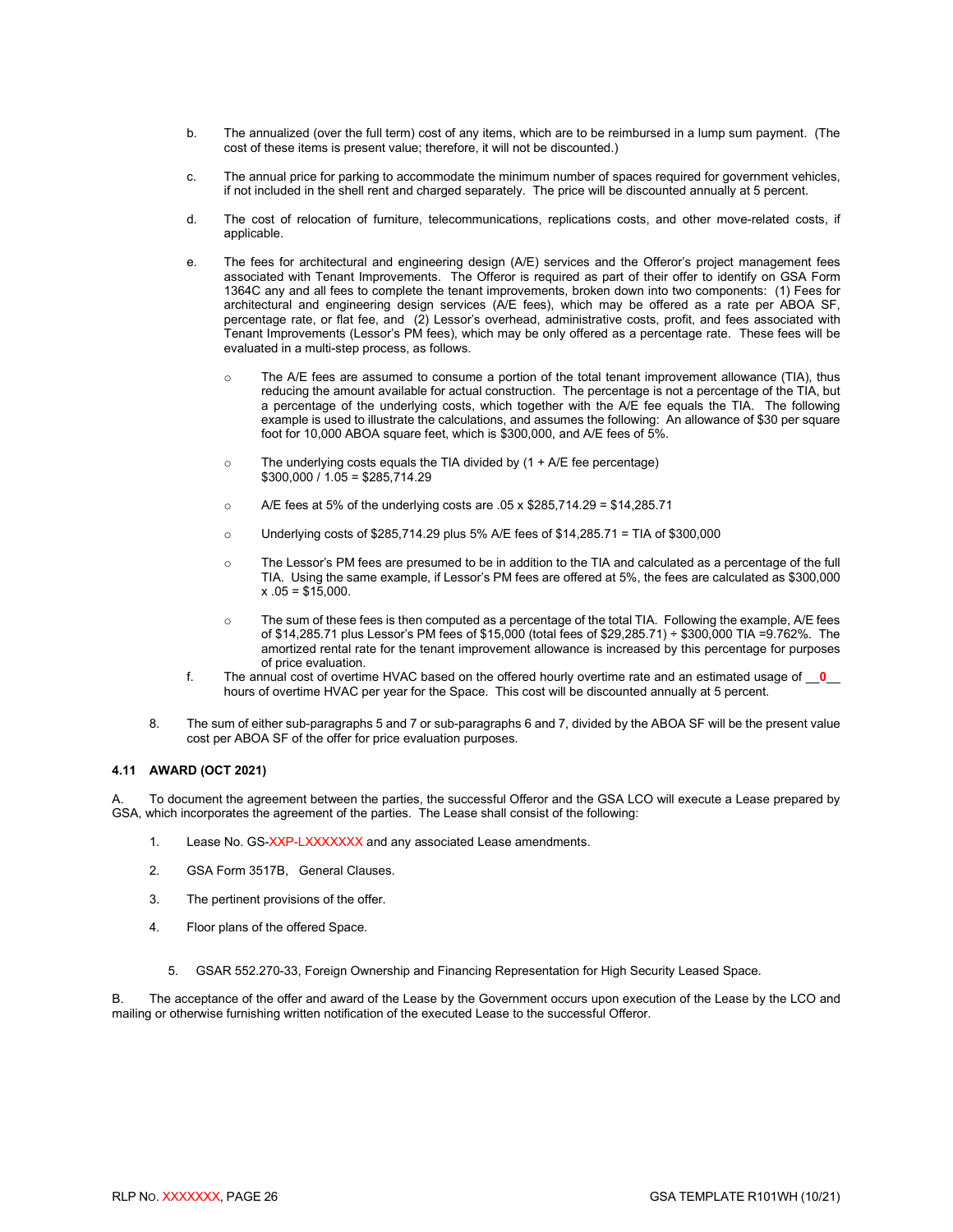- b. The annualized (over the full term) cost of any items, which are to be reimbursed in a lump sum payment. (The cost of these items is present value; therefore, it will not be discounted.)
- c. The annual price for parking to accommodate the minimum number of spaces required for government vehicles, if not included in the shell rent and charged separately. The price will be discounted annually at 5 percent.
- d. The cost of relocation of furniture, telecommunications, replications costs, and other move-related costs, if applicable.
- e. The fees for architectural and engineering design (A/E) services and the Offeror's project management fees associated with Tenant Improvements. The Offeror is required as part of their offer to identify on GSA Form 1364C any and all fees to complete the tenant improvements, broken down into two components: (1) Fees for architectural and engineering design services (A/E fees), which may be offered as a rate per ABOA SF, percentage rate, or flat fee, and (2) Lessor's overhead, administrative costs, profit, and fees associated with Tenant Improvements (Lessor's PM fees), which may be only offered as a percentage rate. These fees will be evaluated in a multi-step process, as follows.
	- The A/E fees are assumed to consume a portion of the total tenant improvement allowance (TIA), thus reducing the amount available for actual construction. The percentage is not a percentage of the TIA, but a percentage of the underlying costs, which together with the A/E fee equals the TIA. The following example is used to illustrate the calculations, and assumes the following: An allowance of \$30 per square foot for 10,000 ABOA square feet, which is \$300,000, and A/E fees of 5%.
	- $\circ$  The underlying costs equals the TIA divided by  $(1 + A/E)$  fee percentage)  $$300,000 / 1.05 = $285,714.29$
	- o A/E fees at 5% of the underlying costs are .05 x \$285,714.29 = \$14,285.71
	- o Underlying costs of \$285,714.29 plus 5% A/E fees of \$14,285.71 = TIA of \$300,000
	- o The Lessor's PM fees are presumed to be in addition to the TIA and calculated as a percentage of the full TIA. Using the same example, if Lessor's PM fees are offered at 5%, the fees are calculated as \$300,000  $x .05 = $15,000.$
	- $\circ$  The sum of these fees is then computed as a percentage of the total TIA. Following the example, A/E fees of \$14,285.71 plus Lessor's PM fees of \$15,000 (total fees of \$29,285.71) ÷ \$300,000 TIA =9.762%. The amortized rental rate for the tenant improvement allowance is increased by this percentage for purposes of price evaluation.
- f. The annual cost of overtime HVAC based on the offered hourly overtime rate and an estimated usage of \_\_**0**\_\_ hours of overtime HVAC per year for the Space. This cost will be discounted annually at 5 percent.
- 8. The sum of either sub-paragraphs 5 and 7 or sub-paragraphs 6 and 7, divided by the ABOA SF will be the present value cost per ABOA SF of the offer for price evaluation purposes.

#### <span id="page-28-0"></span>**4.11 AWARD (OCT 2021)**

To document the agreement between the parties, the successful Offeror and the GSA LCO will execute a Lease prepared by GSA, which incorporates the agreement of the parties. The Lease shall consist of the following:

- 1. Lease No. GS-XXP-LXXXXXXX and any associated Lease amendments.
- 2. GSA Form 3517B, General Clauses.
- 3. The pertinent provisions of the offer.
- 4. Floor plans of the offered Space.
	- 5. GSAR 552.270-33, Foreign Ownership and Financing Representation for High Security Leased Space.

B. The acceptance of the offer and award of the Lease by the Government occurs upon execution of the Lease by the LCO and mailing or otherwise furnishing written notification of the executed Lease to the successful Offeror.